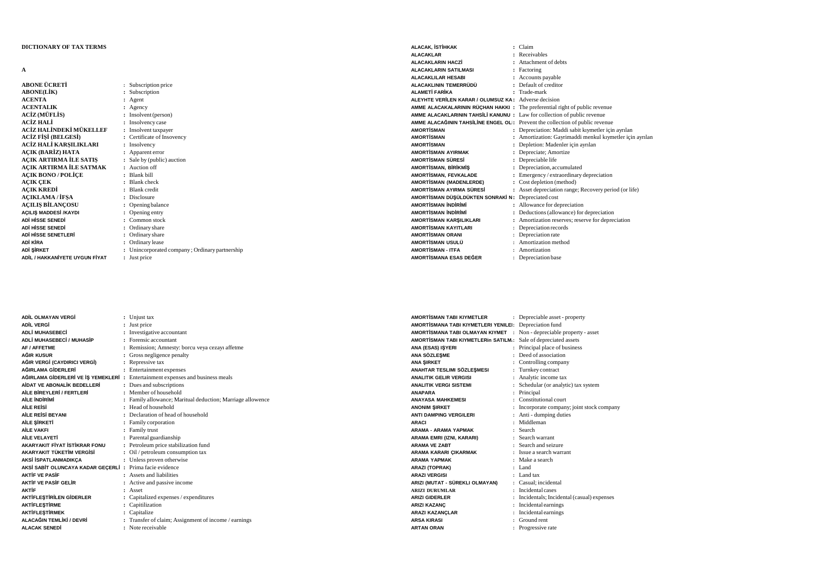## **DICTIONARY OF TAX TERMS**

**A**

| ABONE ÜCRETİ                   | : Subscription price                         |
|--------------------------------|----------------------------------------------|
| <b>ABONE(LİK)</b>              | Subscription                                 |
| <b>ACENTA</b>                  | : Agent                                      |
| <b>ACENTALIK</b>               | Agency                                       |
| ACİZ (MÜFLİS)                  | Insolvent (person)                           |
| ACİZ HALİ                      | Insolvency case                              |
| ACİZ HALİNDEKİ MÜKELLEF        | Insolvent taxpayer                           |
| ACİZ FİSİ (BELGESİ)            | : Certificate of Insovency                   |
| ACİZ HALİ KARSILIKLARI         | : Insolvency                                 |
| ACIK (BARİZ) HATA              | Apparent error                               |
| ACIK ARTIRMA İLE SATIS         | : Sale by (public) auction                   |
| ACIK ARTIRMA İLE SATMAK        | : Auction off                                |
| <b>ACIK BONO / POLÍCE</b>      | Blank bill                                   |
| <b>AÇIK ÇEK</b>                | <b>Blank</b> check                           |
| <b>ACIK KREDİ</b>              | <b>Blank</b> credit                          |
| ACIKLAMA / İFSA                | : Disclosure                                 |
| <b>ACILIS BİLANCOSU</b>        | Opening balance                              |
| AÇILIŞ MADDESİ /KAYDI          | Opening entry                                |
| ADİ HİSSE SENEDİ               | Common stock                                 |
| ADİ HİSSE SENEDİ               | Ordinary share                               |
| ADİ HİSSE SENETLERİ            | : Ordinary share                             |
| ADİ KİRA                       | : Ordinary lease                             |
| ADİ ŞİRKET                     | Unincorporated company; Ordinary partnership |
| ADİL / HAKKANİYETE UYGUN FİYAT | : Just price                                 |
|                                |                                              |

| ALACAK. İSTİHKAK                                                                   | : Claim                                                  |
|------------------------------------------------------------------------------------|----------------------------------------------------------|
| <b>ALACAKLAR</b>                                                                   | : Receivables                                            |
| <b>ALACAKLARIN HACZİ</b>                                                           | : Attachment of debts                                    |
| <b>ALACAKLARIN SATILMASI</b>                                                       | : Factoring                                              |
| <b>ALACAKLILAR HESABI</b>                                                          | : Accounts payable                                       |
| ALACAKLININ TEMERRÜDÜ                                                              | : Default of creditor                                    |
| <b>ALAMETİ FARİKA</b>                                                              | : Trade-mark                                             |
| ALEYHTE VERİLEN KARAR / OLUMSUZ KA: Adverse decision                               |                                                          |
| <b>AMME ALACAKALARININ RÜÇHAN HAKKI :</b> The preferential right of public revenue |                                                          |
| AMME ALACAKLARININ TAHSILI KANUNU: Law for collection of public revenue            |                                                          |
| AMME ALACAĞININ TAHSİLİNE ENGEL OL: Prevent the collection of public revenue       |                                                          |
| <b>AMORTISMAN</b>                                                                  | : Depreciation: Maddi sabit kiymetler için ayrılan       |
| <b>AMORTISMAN</b>                                                                  | : Amortization: Gayrimaddi menkul kıymetler için ayrılan |
| <b>AMORTISMAN</b>                                                                  | : Depletion: Madenler için ayrılan                       |
| <b>AMORTISMAN AYIRMAK</b>                                                          | : Depreciate; Amortize                                   |
| <b>AMORTISMAN SÜRESİ</b>                                                           | Depreciable life                                         |
| <b>AMORTISMAN, BIRIKMIS</b>                                                        | : Depreciation, accumulated                              |
| <b>AMORTISMAN, FEVKALADE</b>                                                       | : Emergency / extraordinary depreciation                 |
| <b>AMORTISMAN (MADENLERDE)</b>                                                     | : Cost depletion (method)                                |
| AMORTİSMAN AYIRMA SÜRESİ                                                           | : Asset depreciation range; Recovery period (or life)    |
| AMORTİSMAN DÜŞÜLDÜKTEN SONRAKİ N: Depreciated cost                                 |                                                          |
| <b>AMORTISMAN INDIRIMI</b>                                                         | : Allowance for depreciation                             |
| <b>AMORTISMAN INDIRIMI</b>                                                         | : Deductions (allowance) for depreciation                |
| AMORTİSMAN KARSILIKLARI                                                            | : Amortization reserves; reserve for depreciation        |
| <b>AMORTISMAN KAYITLARI</b>                                                        | : Depreciation records                                   |
| <b>AMORTISMAN ORANI</b>                                                            | Depreciation rate                                        |
| <b>AMORTISMAN USULÜ</b>                                                            | Amortization method                                      |
| <b>AMORTISMAN - ITFA</b>                                                           | : Amortization                                           |
| AMORTÍSMANA ESAS DEĞER                                                             | : Depreciation base                                      |

| ADİL OLMAYAN VERGİ                   |                      | : Unjust tax                                             |
|--------------------------------------|----------------------|----------------------------------------------------------|
| <b>ADİL VERGİ</b>                    |                      | Just price                                               |
| <b>ADLİ MUHASEBECİ</b>               |                      | Investigative accountant                                 |
| ADLİ MUHASEBECİ / MUHASİP            |                      | : Forensic accountant                                    |
| <b>AF / AFFETME</b>                  |                      | Remission; Amnesty: borcu veya cezayı affetme            |
| AĞIR KUSUR                           |                      | Gross negligence penalty                                 |
| AĞIR VERGİ (CAYDIRICI VERGİ)         |                      | Repressive tax                                           |
| AĞIRLAMA GİDERLERİ                   |                      | : Entertainment expenses                                 |
| AĞIRLAMA GİDERLERİ VE İŞ YEMEKLERİ : |                      | Entertainment expenses and business meals                |
| AIDAT VE ABONALIK BEDELLERI          |                      | : Dues and subscriptions                                 |
| AİLE BİREYLERİ / FERTLERİ            |                      | : Member of household                                    |
| AII F INDIRIMI                       |                      | Family allowance; Maritual deduction; Marriage allowence |
| <b>AILE REISI</b>                    |                      | : Head of household                                      |
| AILE REISI BEYANI                    |                      | : Declaration of head of household                       |
| AİLE ŞİRKETİ                         |                      | : Family corporation                                     |
| <b>AİLE VAKFI</b>                    | $\ddot{\phantom{a}}$ | Family trust                                             |
| AILE VELAYETI                        |                      | : Parental guardianship                                  |
| AKARYAKIT FİYAT İSTİKRAR FONU        |                      | : Petroleum price stabilization fund                     |
| AKARYAKIT TÜKETİM VERGİSİ            |                      | Oil / petroleum consumption tax                          |
| AKSİ İSPATLANMADIKÇA                 |                      | : Unless proven otherwise                                |
| AKSİ SABİT OLUNCAYA KADAR GEÇERLİ :  |                      | Prima facie evidence                                     |
| <b>AKTIF VF PASIF</b>                |                      | : Assets and liabilities                                 |
| <b>AKTIF VE PASIF GELIR</b>          |                      | : Active and passive income                              |
| <b>AKTIF</b>                         |                      | Asset                                                    |
| <b>AKTİFLEŞTİRİLEN GİDERLER</b>      |                      | Capitalized expenses / expenditures                      |
| <b>AKTİFLESTİRME</b>                 |                      | Capitilization                                           |
| <b>AKTİFLESTİRMEK</b>                |                      | Capitalize                                               |
| ALACAĞIN TEMLİKİ / DEVRİ             |                      | : Transfer of claim; Assignment of income / earnings     |
| <b>ALACAK SENEDİ</b>                 |                      | Note receivable                                          |

**:**

| .                               | $\ldots$           |
|---------------------------------|--------------------|
| ANA SÖZLEŞME                    | : Deed of associa  |
| <b>ANA SIRKET</b>               | : Controlling con  |
| ANAHTAR TESLIMI SÖZLESMESI      | : Turnkey contrac  |
| <b>ANALITIK GELIR VERGISI</b>   | Analytic income    |
| <b>ANALITIK VERGI SISTEMI</b>   | Schedular (or a    |
| <b>ANAPARA</b>                  | Principal          |
| <b>ANAYASA MAHKEMESI</b>        | Constitutional c   |
| <b>ANONIM SIRKET</b>            | Incorporate con    |
| <b>ANTI DAMPING VERGILERI</b>   | : Anti - dumping   |
| <b>ARACI</b>                    | Middleman          |
| <b>ARAMA - ARAMA YAPMAK</b>     | : Search           |
| ARAMA EMRI (IZNI, KARARI)       | Search warrant     |
| <b>ARAMA VE ZABT</b>            | Search and seiz    |
| ARAMA KARARI ÇIKARMAK           | Issue a search w   |
| <b>ARAMA YAPMAK</b>             | : Make a search    |
| <b>ARAZI (TOPRAK)</b>           | : Land             |
| <b>ARAZI VERGISI</b>            | $:$ Land tax       |
| ARIZI (MUTAT - SÜREKLI OLMAYAN) | : Casual; incident |
| <b>ARIZI DURUMLAR</b>           | Incidental cases   |
| <b>ARIZI GIDERLER</b>           | Incidentals; Inci  |
| <b>ARIZI KAZANC</b>             | Incidental earni   |
| <b>ARAZI KAZANÇLAR</b>          | Incidental earni   |
| <b>ARSA KIRASI</b>              | Ground rent        |
| <b>ARTAN ORAN</b>               | Progressive rate   |
|                                 |                    |

|                                      | Depreciable asset - property                |
|--------------------------------------|---------------------------------------------|
| AMORTİSMANA TABI KIYMETLERI YENILEI: | Depreciation fund                           |
| AMORTİSMANA TABI OLMAYAN KIYMET      | Non - depreciable property - asset          |
| AMORTİSMAN TABI KIYMETLERIN SATILM.: | Sale of depreciated assets                  |
|                                      | Principal place of business                 |
|                                      | : Deed of association                       |
|                                      | Controlling company                         |
| ÷                                    | Turnkey contract                            |
|                                      | Analytic income tax                         |
|                                      | Schedular (or analytic) tax system          |
| ÷                                    | Principal                                   |
|                                      | Constitutional court                        |
|                                      | : Incorporate company; joint stock company  |
|                                      | Anti - dumping duties                       |
|                                      | Middleman                                   |
|                                      | : Search                                    |
|                                      | $\therefore$ Search warrant                 |
|                                      | : Search and seizure                        |
|                                      | : Issue a search warrant                    |
|                                      | : Make a search                             |
|                                      | • Land                                      |
|                                      | $\pm$ Land tax                              |
|                                      | : Casual: incidental                        |
|                                      | : Incidental cases                          |
|                                      | : Incidentals; Incidental (casual) expenses |
|                                      | : Incidental earnings                       |
|                                      | : Incidental earnings                       |
|                                      |                                             |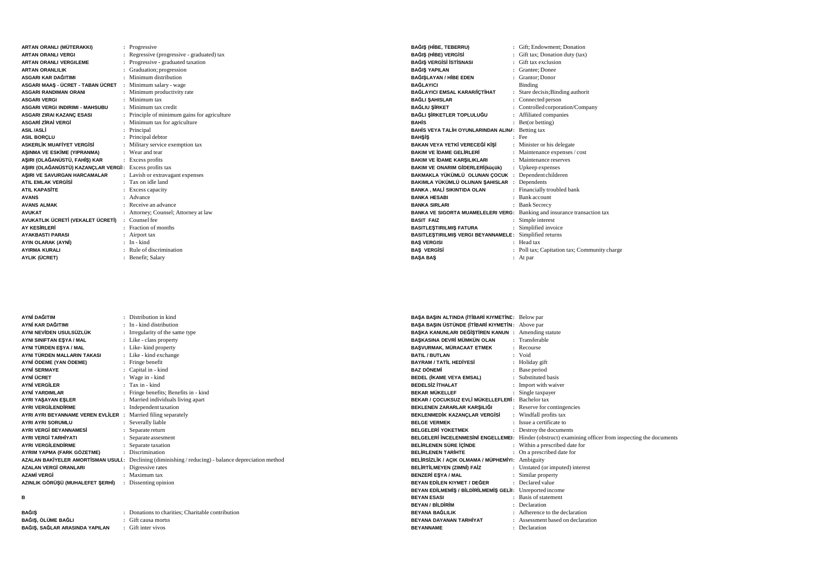| ARTAN ORANLI (MÜTERAKKI)               |    | : Progressive                              |
|----------------------------------------|----|--------------------------------------------|
| ARTAN ORANI I VERGI                    | ÷  | Regressive (progressive - graduated) tax   |
| <b>ARTAN ORANLI VERGILEME</b>          |    | Progressive - graduated taxation           |
| <b>ARTAN ORANLILIK</b>                 |    | Graduation; progression                    |
| ASGARI KAR DAĞITIMI                    |    | Minimum distribution                       |
| ASGARI MAAŞ - ÜCRET - TABAN ÜCRET      |    | : Minimum salary - wage                    |
| <b>ASGARI RANDIMAN ORANI</b>           | ÷  | Minimum productivity rate                  |
| <b>ASGARI VERGI</b>                    |    | Minimum tax                                |
| <b>ASGARI VERGI INDIRIMI - MAHSUBU</b> |    | : Minimum tax credit                       |
| ASGARI ZIRAI KAZANÇ ESASI              |    | Principle of minimum gains for agriculture |
| <b>ASGARI ZIRAI VERGI</b>              |    | Minimum tax for agriculture                |
| <b>ASIL/ASLI</b>                       |    | Principal                                  |
| <b>ASIL BORCLU</b>                     |    | Principal debtor                           |
| <b>ASKERLİK MUAFİYET VERGİSİ</b>       | ÷  | Military service exemption tax             |
| ASINMA VE ESKİME (YIPRANMA)            |    | Wear and tear                              |
| AŞIRI (OLAĞANÜSTÜ, FAHİŞ) KAR          |    | : Excess profits                           |
| AŞIRI (OLAĞANÜSTÜ) KAZANÇLAR VERGİ:    |    | Excess profits tax                         |
| ASIRI VE SAVURGAN HARCAMALAR           |    | : Lavish or extravagant expenses           |
| <b>ATIL EMLAK VERGISI</b>              |    | Tax on idle land                           |
| <b>ATIL KAPASITE</b>                   |    | Excess capacity                            |
| <b>AVANS</b>                           | ۰. | Advance                                    |
| <b>AVANS ALMAK</b>                     |    | Receive an advance                         |
| <b>AVUKAT</b>                          |    | Attorney; Counsel; Attorney at law         |
| AVUKATLIK ÜCRETİ (VEKALET ÜCRETİ)      |    | : Counsel fee                              |
| <b>AY KESİRLERİ</b>                    |    | Fraction of months                         |
| <b>AYAKBASTI PARASI</b>                |    | Airport tax                                |
| AYIN OLARAK (AYNI)                     |    | In - kind                                  |
| <b>AYIRMA KURALI</b>                   |    | : Rule of discrimination                   |
| AYLIK (ÜCRET)                          |    | : Benefit; Salary                          |
|                                        |    |                                            |

| AYNİ DAĞITIM                      |    | : Distribution in kind                                                                              |
|-----------------------------------|----|-----------------------------------------------------------------------------------------------------|
| AYNİ KAR DAĞITIMI                 |    | : In - kind distribution                                                                            |
| AYNI NEVİDEN USULSÜZLÜK           |    | : Irregularity of the same type                                                                     |
| AYNI SINIFTAN ESYA / MAL          |    | : Like - class property                                                                             |
| AYNI TÜRDEN EŞYA / MAL            |    | : Like-kind property                                                                                |
| AYNI TÜRDEN MALLARIN TAKASI       |    | : Like - kind exchange                                                                              |
| AYNİ ÖDEME (YAN ÖDEME)            |    | : Fringe benefit                                                                                    |
| <b>AYNİ SERMAYE</b>               |    | : Capital in - kind                                                                                 |
| AYNİ ÜCRET                        |    | : Wage in - kind                                                                                    |
| <b>AYNİ VERGİLER</b>              |    | : Tax in - kind                                                                                     |
| <b>AYNİ YARDIMLAR</b>             |    | : Fringe benefits; Benefits in - kind                                                               |
| AYRI YAŞAYAN EŞLER                |    | : Married individuals living apart                                                                  |
| <b>AYRI VERGİLENDİRME</b>         |    | : Independent taxation                                                                              |
| AYRI AYRI BEYANNAME VEREN EVLİLER | ÷. | Married filing separately                                                                           |
| <b>AYRI AYRI SORUMLU</b>          |    | : Severally liable                                                                                  |
| <b>AYRI VERGİ BEYANNAMESİ</b>     |    | Separate return                                                                                     |
| <b>AYRI VERGİ TARHİYATI</b>       |    | Separate assesment                                                                                  |
| <b>AYRI VERGİLENDİRME</b>         |    | Separate taxation                                                                                   |
| AYRIM YAPMA (FARK GÖZETME)        |    | : Discrimination                                                                                    |
|                                   |    | AZALAN BAKİYELER AMORTİSMAN USULİ: Declining (diminishing / reducing) - balance depreciation method |
| <b>AZALAN VERGİ ORANLARI</b>      |    | : Digressive rates                                                                                  |
| <b>AZAMİ VERGİ</b>                |    | : Maximum tax                                                                                       |
| AZINLIK GÖRÜŞÜ (MUHALEFET ŞERHİ)  |    | : Dissenting opinion                                                                                |
|                                   |    |                                                                                                     |

**B**

| BAĞIS                          | : Donat    |
|--------------------------------|------------|
| BAĞIS. ÖLÜME BAĞLI             | $:$ Gift c |
| BAĞIS. SAĞLAR ARASINDA YAPILAN | : Gift in  |

 **:** Donations to charities; Charitable contribution causa mortis Gift inter vivos

| BAĞIŞ (HİBE, TEBERRU)                                                    |    | : Gift; Endowment; Donation                  |
|--------------------------------------------------------------------------|----|----------------------------------------------|
| BAĞIŞ (HİBE) VERGİSİ                                                     | ÷. | Gift tax; Donation duty (tax)                |
| <b>BAĞIŞ VERGİSİ İSTİSNASI</b>                                           | ۰. | Gift tax exclusion                           |
| <b>BAĞIS YAPILAN</b>                                                     |    | : Grantee: Donee                             |
| BAĞISLAYAN / HİBE EDEN                                                   |    | : Grantor: Donor                             |
| <b>BAĞLAYICI</b>                                                         |    | Binding                                      |
| BAĞLAYICI EMSAL KARAR/İÇTİHAT                                            |    | Stare decisis; Binding authorit              |
| <b>BAĞLI SAHISLAR</b>                                                    |    | : Connected person                           |
| <b>BAĞLIU SİRKET</b>                                                     |    | : Controlled corporation/Company             |
| BAĞLI ŞİRKETLER TOPLULUĞU                                                | ÷  | Affiliated companies                         |
| <b>RAHIS</b>                                                             | ÷  | Bet(or betting)                              |
| BAHİS VEYA TALİH OYUNLARINDAN ALINA: Betting tax                         |    |                                              |
| <b>BAHSİS</b>                                                            |    | $\cdot$ Fee                                  |
| BAKAN VEYA YETKİ VERECEĞİ KİSİ                                           |    | : Minister or his delegate                   |
| <b>BAKIM VE IDAME GELIRLERI</b>                                          |    | : Maintenance expenses / cost                |
| BAKIM VE İDAME KARŞILIKLARI                                              |    | : Maintenance reserves                       |
| <b>BAKIM VE ONARIM GİDERLERİ(küçük)</b>                                  |    | : Upkeep expenses                            |
| BAKMAKLA YÜKÜMLÜ OLUNAN ÇOCUK : Dependent childeren                      |    |                                              |
| BAKIMLA YÜKÜMLÜ OLUNAN ŞAHISLAR : Dependents                             |    |                                              |
| <b>BANKA, MALİ SIKINTIDA OLAN</b>                                        |    | : Financially troubled bank                  |
| <b>BANKA HESABI</b>                                                      |    | : Bank account                               |
| <b>BANKA SIRLARI</b>                                                     |    | : Bank Secrecy                               |
| BANKA VE SIGORTA MUAMELELERI VERG: Banking and insurance transaction tax |    |                                              |
| <b>BASIT FAIZ</b>                                                        |    | Simple interest                              |
| <b>BASITLEŞTIRILMIŞ FATURA</b>                                           |    | Simplified invoice                           |
| BASITLESTIRILMIS VERGI BEYANNAMELE: Simplified returns                   |    |                                              |
| <b>BAS VERGISI</b>                                                       |    | : Head tax                                   |
| <b>BAS VERGISI</b>                                                       |    | : Poll tax; Capitation tax; Community charge |
| <b>BASA BAS</b>                                                          |    | $:$ At par                                   |
|                                                                          |    |                                              |

| BAŞA BAŞIN ALTINDA (İTİBARİ KIYMETİNE: Below par         |                                                                                                       |
|----------------------------------------------------------|-------------------------------------------------------------------------------------------------------|
| BAŞA BAŞIN ÜSTÜNDE (İTİBARİ KIYMETİN: Above par          |                                                                                                       |
| BAŞKA KANUNLARI DEĞİŞTİREN KANUN: Amending statute       |                                                                                                       |
| BASKASINA DEVRİ MÜMKÜN OLAN                              | : Transferable                                                                                        |
| BAŞVURMAK, MÜRACAAT ETMEK                                | : Recourse                                                                                            |
| <b>BATIL / BUTLAN</b>                                    | · Void                                                                                                |
| <b>RAYRAM / TATIL HEDİYESİ</b>                           | : Holiday gift                                                                                        |
| <b>BAZ DÖNEMİ</b>                                        | Base period                                                                                           |
| <b>BEDEL (İKAME VEYA EMSAL)</b>                          | Substituted basis                                                                                     |
| <b>BEDELSIZ ITHAL AT</b>                                 | Import with waiver                                                                                    |
| <b>REKAR MÜKELLEE</b>                                    | Single taxpayer                                                                                       |
| BEKAR / ÇOCUKSUZ EVLİ MÜKELLEFLERİ: Bachelor tax         |                                                                                                       |
| BEKLENEN ZARARLAR KARSILIĞI                              | : Reserve for contingencies                                                                           |
| BEKLENMEDİK KAZANÇLAR VERGİSİ                            | : Windfall profits tax                                                                                |
| <b>BELGE VERMEK</b>                                      | : Issue a certificate to                                                                              |
| <b>BELGELERİ YOKETMEK</b>                                | : Destroy the documents                                                                               |
|                                                          | BELGELERİ İNCELENMESİNİ ENGELLEMEI: Hinder (obstruct) examining officer from inspecting the documents |
| BELİRLENEN SÜRE İCİNDE                                   | : Within a prescribed date for                                                                        |
| <b>BELIBLENEN TARIHTE</b>                                | On a prescribed date for                                                                              |
| BELİRSİZLİK / AÇIK OLMAMA / MÜPHEMİYI:                   | Ambiguity                                                                                             |
| <b>BELİRTİLMEYEN (ZIMNİ) FAİZ</b>                        | : Unstated (or imputed) interest                                                                      |
| <b>BENZERİ ESYA / MAL</b>                                | Similar property                                                                                      |
| BEYAN EDİLEN KIYMET / DEĞER                              | : Declared value                                                                                      |
| BEYAN EDİLMEMİŞ / BİLDİRİLMEMİŞ GELİI: Unreported income |                                                                                                       |
| <b>BEYAN ESASI</b>                                       | : Basis of statement                                                                                  |
| <b>BEYAN / BİLDİRİM</b>                                  | Declaration                                                                                           |
| <b>BEYANA BAĞLILIK</b>                                   | Adherence to the declaration                                                                          |
| BEYANA DAYANAN TARHİYAT                                  | Assessment based on declaration                                                                       |
| <b>BEYANNAME</b>                                         | : Declaration                                                                                         |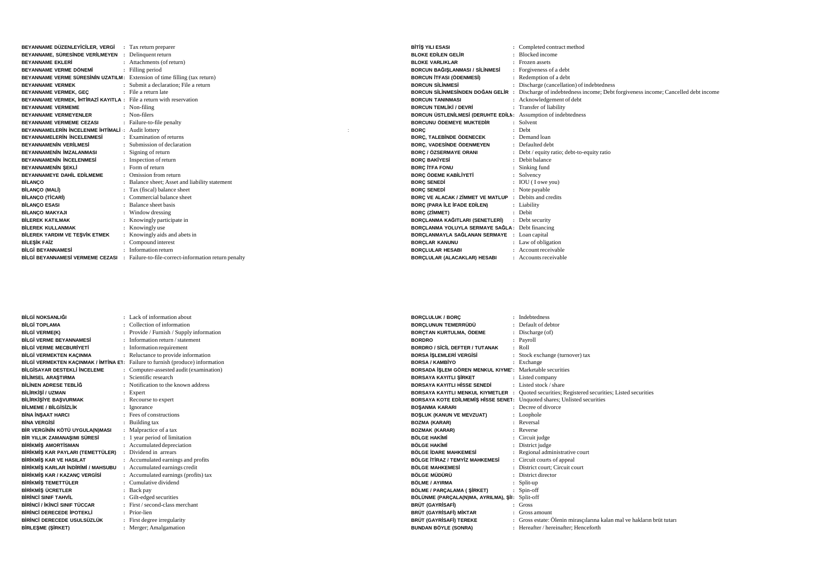| BEYANNAME DÜZENLEYİCİLER, VERGİ                                            | : Tax return preparer                                                                 |
|----------------------------------------------------------------------------|---------------------------------------------------------------------------------------|
| BEYANNAME, SÜRESİNDE VERİLMEYEN : Delinquent return                        |                                                                                       |
| <b>BEYANNAME EKLERİ</b>                                                    | : Attachments (of return)                                                             |
| BEYANNAME VERME DÖNEMİ                                                     | : Filling period                                                                      |
| BEYANNAME VERME SÜRESININ UZATILM: Extension of time filling (tax return)  |                                                                                       |
| <b>BEYANNAME VERMEK</b>                                                    | : Submit a declaration: File a return                                                 |
| BEYANNAME VERMEK, GEC                                                      | : File a return late                                                                  |
| <b>BEYANNAME VERMEK. IHTIRAZI KAYITLA</b> : File a return with reservation |                                                                                       |
| <b>BEYANNAME VERMEME</b>                                                   | : Non-filing                                                                          |
| <b>BEYANNAME VERMEYENLER</b>                                               | · Non-filers                                                                          |
| <b>BEYANNAME VERMEME CEZASI</b>                                            | : Failure-to-file penalty                                                             |
| BEYANNAMELERIN INCELENME IHTIMALI : Audit lottery                          |                                                                                       |
| <b>BEYANNAMELERÍN ÍNCELENMESÍ</b>                                          | : Examination of returns                                                              |
| <b>BEYANNAMENÍN VERÍLMESÍ</b>                                              | : Submission of declaration                                                           |
| <b>BEYANNAMENİN İMZALANMASI</b>                                            | : Signing of return                                                                   |
| <b>BEYANNAMENÍN ÍNCELENMESÍ</b>                                            | : Inspection of return                                                                |
| BEYANNAMENİN ŞEKLİ                                                         | $\cdot$ Form of return                                                                |
| <b>BEYANNAMEYE DAHİL EDİLMEME</b>                                          | : Omission from return                                                                |
| <b>BİLANÇO</b>                                                             | : Balance sheet; Asset and liability statement                                        |
| <b>BİLANÇO (MALİ)</b>                                                      | Tax (fiscal) balance sheet                                                            |
| <b>BİLANÇO (TİCARİ)</b>                                                    | Commercial balance sheet                                                              |
| <b>BİLANÇO ESASI</b>                                                       | : Balance sheet basis                                                                 |
| <b>BİLANÇO MAKYAJI</b>                                                     | : Window dressing                                                                     |
| <b>BİLEREK KATILMAK</b>                                                    | : Knowingly participate in                                                            |
| <b>BİLEREK KULLANMAK</b>                                                   | : Knowingly use                                                                       |
| <b>BİLEREK YARDIM VE TEŞVİK ETMEK</b>                                      | Knowingly aids and abets in                                                           |
| <b>BİLESİK FAİZ</b>                                                        | Compound interest                                                                     |
| <b>BİLGİ BEYANNAMESİ</b>                                                   | : Information return                                                                  |
|                                                                            | BİLGİ BEYANNAMESİ VERMEME CEZASI : Failure-to-file-correct-information return penalty |

| <b>BİTİŞ YILI ESASI</b>                                        | : Completed contract method                                                       |
|----------------------------------------------------------------|-----------------------------------------------------------------------------------|
| BLOKE EDJLEN GEL R                                             | Blocked income                                                                    |
| <b>BLOKE VARLIKLAR</b>                                         | : Frozen assets                                                                   |
| <b>BORCUN BAĞISLANMASI / SİLİNMESİ</b>                         | : Forgiveness of a debt                                                           |
| <b>BORCUN İTFASI (ÖDENMESİ)</b>                                | : Redemption of a debt                                                            |
| <b>BORCUN SILINMESI</b>                                        | : Discharge (cancellation) of indebtedness                                        |
| BORCUN SİLİNMESİNDEN DOĞAN GELİR :                             | Discharge of indebtedness income; Debt for giveness income; Cancelled debt income |
| <b>BORCUN TANINMASI</b>                                        | : Acknowledgement of debt                                                         |
| <b>BORCUN TEMLİKİ / DEVRİ</b>                                  | : Transfer of liability                                                           |
| BORCUN ÜSTLENİLMESİ (DERUHTE EDİLM: Assumption of indebtedness |                                                                                   |
| <b>BORCUNU ÖDEMEYE MUKTEDİR</b>                                | : Solvent                                                                         |
| <b>BORC</b>                                                    | $:$ Debt                                                                          |
| BORC, TALEBINDE ÖDENECEK                                       | : Demand loan                                                                     |
| <b>BORC. VADESINDE ÖDENMEYEN</b>                               | : Defaulted debt                                                                  |
| <b>BORC / ÖZSERMAYE ORANI</b>                                  | : Debt / equity ratio; debt-to-equity ratio                                       |
| <b>BORC BAKİYESİ</b>                                           | Debit balance                                                                     |
| <b>BORC ITFA FONU</b>                                          | Sinking fund                                                                      |
| <b>BORÇ ÖDEME KABİLİYETİ</b>                                   | Solvency                                                                          |
| <b>BORC SENEDI</b>                                             | <b>IOU</b> (I owe you)                                                            |
| <b>BORC SENEDI</b>                                             | : Note payable                                                                    |
| <b>BORC VE ALACAK / ZİMMET VE MATLUP : Debits and credits</b>  |                                                                                   |
| <b>BORC (PARA İLE İFADE EDİLEN)</b>                            | : Liability                                                                       |
| <b>BORC (ZİMMET)</b>                                           | : Debit                                                                           |
| BORÇLANMA KAĞITLARI (SENETLERİ)                                | : Debt security                                                                   |
| BORÇLANMA YOLUYLA SERMAYE SAĞLA: Debt financing                |                                                                                   |
| BORÇLANMAYLA SAĞLANAN SERMAYE : Loan capital                   |                                                                                   |
| <b>BORCLAR KANUNU</b>                                          | : Law of obligation                                                               |
| <b>BORCLULAR HESABI</b>                                        | : Account receivable                                                              |
| BORCLULAR (ALACAKLAR) HESABI                                   | : Accounts receivable                                                             |

| <b>BİLGİ NOKSANLIĞI</b>                   |    | Lack of information about                |
|-------------------------------------------|----|------------------------------------------|
| <b>BILGÍ TOPI AMA</b>                     |    | Collection of information                |
| <b>BİLGİ VERME(K)</b>                     |    | Provide / Furnish / Supply information   |
| <b>BİLGİ VERME BEYANNAMESİ</b>            |    | Information return / statement           |
| <b>BİLGİ VERME MECBURİYETİ</b>            |    | Information requirement                  |
| <b>BİLGİ VERMEKTEN KAÇINMA</b>            | Ì. | Reluctance to provide information        |
| BİLGİ VERMEKTEN KACINMAK / İMTİNA E1:     |    | Failure to furnish (produce) information |
| <b>BİLGİSAYAR DESTEKLİ İNCELEME</b>       |    | Computer-assested audit (examination)    |
| <b>BİLİMSEL ARAŞTIRMA</b>                 |    | Scientific research                      |
| BİLİNEN ADRESE TEBLİĞ                     |    | Notification to the known address        |
| BİLİRKİŞİ / UZMAN                         |    | Expert                                   |
| <b>BİLİRKİŞİYE BAŞVURMAK</b>              |    | Recourse to expert                       |
| <b>BİLMEME / BİLGİSİZLİK</b>              | ÷  | Ignorance                                |
| <b>BINA INSAAT HARCI</b>                  |    | Fees of constructions                    |
| <b>BİNA VERGİSİ</b>                       |    | Building tax                             |
| BİR VERGİNİN KÖTÜ UYGULA(N)MASI           | ÷  | Malpractice of a tax                     |
| BİR YILLIK ZAMANASIMI SÜRESİ              |    | 1 year period of limitation              |
| <b>BİRİKMİS AMORTİSMAN</b>                | Ì. | Accumulated depreciation                 |
| BİRİKMİŞ KAR PAYLARI (TEMETTÜLER)         | ٠  | Dividend in arrears                      |
| <b>BİRİKMİS KAR VE HASILAT</b>            |    | Accumulated earnings and profits         |
| <b>BİRİKMİS KARLAR İNDİRİMİ / MAHSUBU</b> |    | Accumulated earnings credit              |
| BİRİKMİŞ KAR / KAZANÇ VERGİSİ             |    | Accumulated earnings (profits) tax       |
| <b>BİRİKMİS TEMETTÜLER</b>                |    | Cumulative dividend                      |
| <b>BİRİKMİS ÜCRETLER</b>                  |    | Back pay                                 |
| <b>RİRİNCİ SINIF TAHVİL</b>               | ÷  | Gilt-edged securities                    |
| BİRİNCİ / İKİNCİ SINIF TÜCCAR             |    | First / second-class merchant            |
| BİRİNCİ DERECEDE İPOTEKLİ                 | ٠  | Prior-lien                               |
| BİRİNCİ DERECEDE USULSÜZLÜK               |    | First degree irregularity                |
| <b>BİRLESME (SİRKET)</b>                  |    | Merger: Amalgamation                     |

|  |  | Merger; Amalgamation |
|--|--|----------------------|
|--|--|----------------------|

| <b>BORCLULUK / BORC</b>                |                                                                   | <b>Indebtedness</b>                                                                                                                                     |
|----------------------------------------|-------------------------------------------------------------------|---------------------------------------------------------------------------------------------------------------------------------------------------------|
| BORÇLUNUN TEMERRÜDÜ                    |                                                                   | Default of debtor                                                                                                                                       |
| BORÇTAN KURTULMA, ÖDEME                |                                                                   | Discharge (of)                                                                                                                                          |
| <b>BORDRO</b>                          |                                                                   | Payroll                                                                                                                                                 |
| <b>BORDRO / SÍCÍL DEFTER / TUTANAK</b> |                                                                   | RoII                                                                                                                                                    |
| <b>BORSA İSLEMLERİ VERGİSİ</b>         |                                                                   | Stock exchange (turnover) tax                                                                                                                           |
| <b>BORSA / KAMBİYO</b>                 |                                                                   | Exchange                                                                                                                                                |
|                                        |                                                                   | Marketable securities                                                                                                                                   |
| <b>BORSAYA KAYITLI SİRKET</b>          |                                                                   | Listed company                                                                                                                                          |
| <b>BORSAYA KAYITLI HİSSE SENEDİ</b>    |                                                                   | Listed stock / share                                                                                                                                    |
|                                        |                                                                   | BORSAYA KAYITLI MENKUL KIYMETLER : Quoted securities; Registered securities; Listed securities                                                          |
|                                        |                                                                   |                                                                                                                                                         |
| <b>BOSANMA KARARI</b>                  |                                                                   | Decree of divorce                                                                                                                                       |
| <b>BOSLUK (KANUN VE MEVZUAT)</b>       |                                                                   | : Loophole                                                                                                                                              |
| <b>BOZMA (KARAR)</b>                   |                                                                   | : Reversal                                                                                                                                              |
| <b>BOZMAK (KARAR)</b>                  |                                                                   | Reverse                                                                                                                                                 |
| <b>BÖLGE HAKİMİ</b>                    |                                                                   | Circuit judge                                                                                                                                           |
| <b>RÖLGE HAKİMİ</b>                    |                                                                   | District judge                                                                                                                                          |
| <b>BÖLGE İDARE MAHKEMESİ</b>           |                                                                   | Regional administrative court                                                                                                                           |
|                                        |                                                                   | : Circuit courts of appeal                                                                                                                              |
| <b>BÖLGE MAHKEMESİ</b>                 |                                                                   | District court: Circuit court                                                                                                                           |
| BÖLGE MÜDÜRÜ                           |                                                                   | District director                                                                                                                                       |
| <b>BÖLME / AYIRMA</b>                  |                                                                   | Split-up                                                                                                                                                |
| BÖLME / PARCALAMA ( ŞİRKET)            |                                                                   | Spin-off                                                                                                                                                |
|                                        |                                                                   | Split-off                                                                                                                                               |
| BRÜT (GAYRİSAFİ)                       |                                                                   | Gross                                                                                                                                                   |
| BRÜT (GAYRİSAFİ) MİKTAR                |                                                                   | Gross amount                                                                                                                                            |
|                                        |                                                                   | : Gross estate: Ölenin mirasçılarına kalan mal ve hakların brüt tutarı                                                                                  |
| <b>BUNDAN BÖYLE (SONRA)</b>            |                                                                   | : Hereafter / hereinafter: Henceforth                                                                                                                   |
|                                        | <b>BÖLGE İTİRAZ / TEMYİZ MAHKEMESİ</b><br>BRÜT (GAYRİSAFİ) TEREKE | BORSADA İŞLEM GÖREN MENKUL KIYME':<br>BORSAYA KOTE EDİLMEMİŞ HİSSE SENET: Unquoted shares; Unlisted securities<br>BÖLÜNME (PARÇALA(N)MA, AYRILMA), ŞİI: |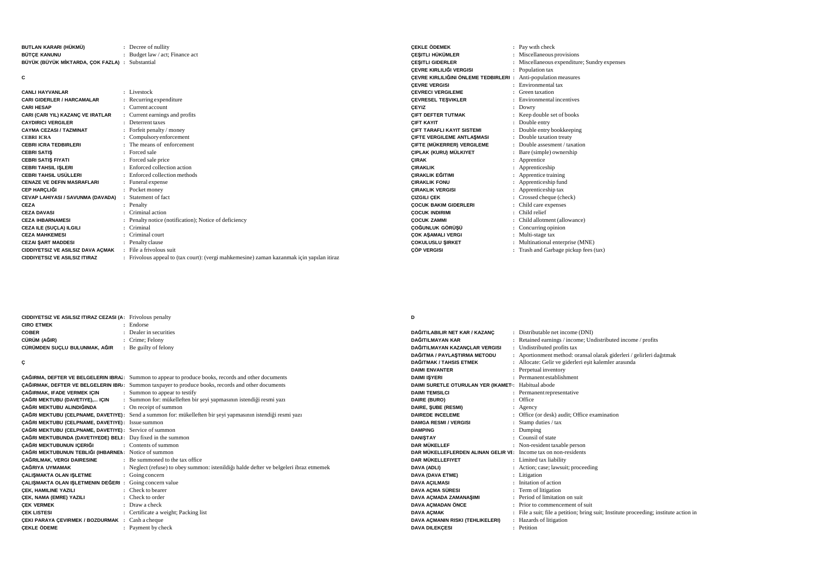| BUTLAN KARARI (HÜKMÜ)                           | : Decree of nullity             |
|-------------------------------------------------|---------------------------------|
| <b>BÜTCE KANUNU</b>                             | : Budget law / act; Finance act |
| BÜYÜK (BÜYÜK MİKTARDA, ÇOK FAZLA) : Substantial |                                 |

**C**

| <b>CANLI HAYVANLAR</b>               | : Livestock                                                                               |
|--------------------------------------|-------------------------------------------------------------------------------------------|
| <b>CARI GIDERLER / HARCAMALAR</b>    | : Recurring expenditure                                                                   |
| <b>CARI HESAP</b>                    | $:$ Current account                                                                       |
| CARI (CARI YIL) KAZANÇ VE IRATLAR    | : Current earnings and profits                                                            |
| <b>CAYDIRICI VERGILER</b>            | : Deterrent taxes                                                                         |
| <b>CAYMA CEZASI / TAZMINAT</b>       | : Forfeit penalty / money                                                                 |
| <b>CEBRI ICRA</b>                    | : Compulsory enforcement                                                                  |
| <b>CEBRI ICRA TEDBIRLERI</b>         | : The means of enforcement                                                                |
| <b>CEBRI SATIS</b>                   | : Forced sale                                                                             |
| <b>CEBRI SATIS FIYATI</b>            | : Forced sale price                                                                       |
| <b>CEBRI TAHSIL ISLERI</b>           | : Enforced collection action                                                              |
| CEBRI TAHSIL USÜLLERI                | : Enforced collection methods                                                             |
| <b>CENAZE VE DEFIN MASRAFLARI</b>    | : Funeral expense                                                                         |
| <b>CEP HARCLIĞI</b>                  | : Pocket money                                                                            |
| CEVAP LAHIYASI / SAVUNMA (DAVADA)    | : Statement of fact                                                                       |
| CEZA                                 | : Penalty                                                                                 |
| <b>CEZA DAVASI</b>                   | : Criminal action                                                                         |
| <b>CEZA IHBARNAMESI</b>              | : Penalty notice (notification); Notice of deficiency                                     |
| <b>CEZA ILE (SUCLA) ILGILI</b>       | : Criminal                                                                                |
| <b>CEZA MAHKEMESI</b>                | : Criminal court                                                                          |
| <b>CEZAI SART MADDESI</b>            | : Penalty clause                                                                          |
| CIDDIYETSIZ VE ASILSIZ DAVA AÇMAK    | : File a frivolous suit                                                                   |
| <b>CIDDIYETSIZ VE ASILSIZ ITIRAZ</b> | : Frivolous appeal to (tax court): (vergi mahkemesine) zaman kazanmak için yapılan itiraz |
|                                      |                                                                                           |

| <b>CEKLE ÖDEMEK</b>                   | ÷ | Pay with check                             |
|---------------------------------------|---|--------------------------------------------|
| <b>CESITLI HÜKÜMLER</b>               |   | Miscellaneous provisions                   |
| <b>CESITLI GIDERLER</b>               |   | Miscellaneous expenditure; Sundry expenses |
| ÇEVRE KIRLILIĞI VERGISI               | ÷ | Population tax                             |
| CEVRE KIRLILIĞINI ÖNLEME TEDBIRLERI : |   | Anti-population measures                   |
| <b>CEVRE VERGISI</b>                  |   | Environmental tax                          |
| <b>CEVRECI VERGILEME</b>              |   | Green taxation                             |
| <b>CEVRESEL TESVIKLER</b>             |   | Environmental incentives                   |
| <b>CEYIZ</b>                          |   | Dowry                                      |
| <b>CIFT DEFTER TUTMAK</b>             |   | Keep double set of books                   |
| <b>CIFT KAYIT</b>                     |   | Double entry                               |
| <b>CIFT TARAFLI KAYIT SISTEMI</b>     |   | Double entry bookkeeping                   |
| <b>CIFTE VERGILEME ANTLASMASI</b>     | ÷ | Double taxation treaty                     |
| <b>CIFTE (MÜKERRER) VERGILEME</b>     |   | Double assesment / taxation                |
| CIPLAK (KURU) MÜLKIYET                |   | Bare (simple) ownership                    |
| <b>CIRAK</b>                          |   | Apprentice                                 |
| <b>CIRAKLIK</b>                       |   | Apprenticeship                             |
| <b>CIRAKLIK EĞITIMI</b>               |   | Apprentice training                        |
| <b>CIRAKLIK FONU</b>                  |   | Apprenticeship fund                        |
| <b>CIRAKLIK VERGISI</b>               |   | Apprenticeship tax                         |
| <b>CIZGILI CEK</b>                    |   | Crossed cheque (check)                     |
| <b>COCUK BAKIM GIDERLERI</b>          |   | Child care expenses                        |
| <b>COCUK INDIRIMI</b>                 |   | Child relief                               |
| <b>COCUK ZAMMI</b>                    |   | Child allotment (allowance)                |
| ÇOĞUNLUK GÖRÜŞÜ                       |   | Concurring opinion                         |
| <b>COK ASAMALI VERGI</b>              |   | Multi-stage tax                            |
| <b>COKULUSLU SIRKET</b>               |   | Multinational enterprise (MNE)             |
| <b>CÖP VERGISI</b>                    |   | Trash and Garbage pickup fees (tax)        |
|                                       |   |                                            |

**CIDDIYETSIZ VE ASILSIZ ITIRAZ CEZASI (ABD) :** Frivolous penalty **CIRO ETMEK :** Endorse**COBER :** Dealer in securities **CÜRÜM (A**Ğ**IR) :** Crime; Felony **CÜRÜMDEN SUÇLU BULUNMAK, A**Ğ**IR :** Be guilty of felony

**Ç**

|                                                                  | <b>CAĞIRMA, DEFTER VE BELGELERIN IBRA:</b> Summon to appear to produce books, records and other documents   |
|------------------------------------------------------------------|-------------------------------------------------------------------------------------------------------------|
|                                                                  | CAĞIRMAK, DEFTER VE BELGELERIN IBRI: Summon taxpayer to produce books, records and other documents          |
| <b>CAĞIRMAK, IFADE VERMEK IÇIN</b> : Summon to appear to testify |                                                                                                             |
|                                                                  | <b>ÇAĞRI MEKTUBU (DAVETIYE) IÇIN :: Summon for: mükelleften bir şeyi yapmasının istendiği resmi yazı</b>    |
| CAĞRI MEKTUBU ALINDIĞINDA: On receipt of summon                  |                                                                                                             |
|                                                                  | ÇAĞRI MEKTUBU (CELPNAME, DAVETIYE): Send a summon for: mükelleften bir şeyi yapmasının istendiği resmi yazı |
| CAĞRI MEKTUBU (CELPNAME, DAVETIYE): Issue summon                 |                                                                                                             |
| CAĞRI MEKTUBU (CELPNAME, DAVETIYE): Service of summon            |                                                                                                             |
| CAĞRI MEKTUBUNDA (DAVETIYEDE) BELI: Day fixed in the summon      |                                                                                                             |
| CAĞRI MEKTUBUNUN ICERIĞI                                         | : Contents of summon                                                                                        |
| CAĞRI MEKTUBUNUN TEBLIĞI (IHBARNEN: Notice of summon             |                                                                                                             |
| ÇAĞRILMAK, VERGI DAIRESINE                                       | : Be summoned to the tax office                                                                             |
| <b>CAĞRIYA UYMAMAK</b>                                           | : Neglect (refuse) to obey summon: istenil diği halde defter ve belgeleri ibraz etmemek                     |
| <b>CALISMAKTA OLAN ISLETME</b>                                   | : Going concern                                                                                             |
| CALISMAKTA OLAN ISLETMENIN DEĞERI : Going concern value          |                                                                                                             |
| <b>CEK, HAMILINE YAZILI</b>                                      | : Check to bearer                                                                                           |
| <b>CEK, NAMA (EMRE) YAZILI</b>                                   | : Check to order                                                                                            |
| <b>CEK VERMEK</b>                                                | $\therefore$ Draw a check                                                                                   |
| <b>CEK LISTESI</b>                                               | : Certificate a weight; Packing list                                                                        |
| <b>CEKI PARAYA CEVIRMEK / BOZDURMAK : Cash a cheque</b>          |                                                                                                             |
| <b>CEKLE ÖDEME</b>                                               | : Payment by check                                                                                          |

## **D**

| DAĞITILABILIR NET KAR / KAZANÇ                                         | : Distributable net income (DNI)                                                    |
|------------------------------------------------------------------------|-------------------------------------------------------------------------------------|
| DAĞITILMAYAN KAR                                                       | : Retained earnings / income; Undistributed income / profits                        |
| DAĞITILMAYAN KAZANÇLAR VERGISI                                         | : Undistributed profits tax                                                         |
| DAĞITMA / PAYLAŞTIRMA METODU                                           | : Aportionment method: oransal olarak giderleri / gelirleri dağıtmak                |
| DAĞITMAK / TAHSIS ETMEK                                                | Allocate: Gelir ve giderleri eşit kalemler arasında                                 |
| <b>DAIMI ENVANTER</b>                                                  | Perpetual inventory                                                                 |
| <b>DAIMI ISYERI</b>                                                    | Permanent establishment                                                             |
| DAIMI SURETLE OTURULAN YER (IKAMET: Habitual abode                     |                                                                                     |
| <b>DAIMI TEMSILCI</b>                                                  | : Permanent representative                                                          |
| DAIRE (BURO)                                                           | Office                                                                              |
| DAIRE, SUBE (RESMI)                                                    | : Agency                                                                            |
| <b>DAIREDE INCELEME</b>                                                | Office (or desk) audit; Office examination                                          |
| <b>DAMGA RESMI / VERGISI</b>                                           | Stamp duties / tax                                                                  |
| <b>DAMPING</b>                                                         | Dumping                                                                             |
| <b>DANISTAY</b>                                                        | Counsil of state                                                                    |
| <b>DAR MÜKELLEE</b>                                                    | : Non-resident taxable person                                                       |
| <b>DAR MÜKELLEFLERDEN ALINAN GELIR VI:</b> Income tax on non-residents |                                                                                     |
| DAR MÜKELLEFIYET                                                       | : Limited tax liability                                                             |
| DAVA (ADLI)                                                            | : Action; case; lawsuit; proceeding                                                 |
| DAVA (DAVA ETME)                                                       | Litigation                                                                          |
| <b>DAVA ACILMASI</b>                                                   | Initation of action                                                                 |
| DAVA AÇMA SÜRESI                                                       | Term of litigation                                                                  |
| DAVA AÇMADA ZAMANAŞIMI                                                 | : Period of limitation on suit                                                      |
| <b>DAVA ACMADAN ÖNCE</b>                                               | Prior to commencement of suit                                                       |
| <b>DAVA ACMAK</b>                                                      | File a suit; file a petition; bring suit; Institute proceeding; institute action in |
| DAVA AÇMANIN RISKI (TEHLIKELERI)                                       | Hazards of litigation                                                               |
| <b>DAVA DILEKÇESI</b>                                                  | : Petition                                                                          |
|                                                                        |                                                                                     |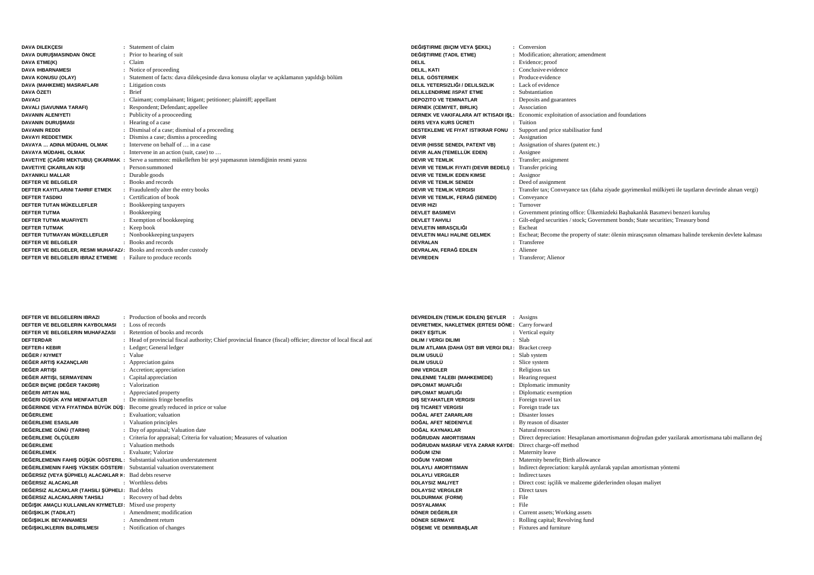| <b>DAVA DILEKÇESI</b>                                                | : Statement of claim                                                                                          | DEĞIŞTIRME (BIÇIM VEYA ŞEKIL)                                   | : Conversion                                                                                            |
|----------------------------------------------------------------------|---------------------------------------------------------------------------------------------------------------|-----------------------------------------------------------------|---------------------------------------------------------------------------------------------------------|
| DAVA DURUSMASINDAN ÖNCE                                              | : Prior to hearing of suit                                                                                    | DEĞISTIRME (TADIL ETME)                                         | : Modification: alteration: amendment                                                                   |
| DAVA ETME(K)                                                         | : Claim                                                                                                       | <b>DELIL</b>                                                    | : Evidence; proof                                                                                       |
| <b>DAVA IHBARNAMESI</b>                                              | : Notice of proceeding                                                                                        | <b>DELIL, KATI</b>                                              | : Conclusive evidence                                                                                   |
| DAVA KONUSU (OLAY)                                                   | : Statement of facts: dava dilekcesinde dava konusu olaylar ve acıklamanın yapıldığı bölüm                    | <b>DELIL GÖSTERMEK</b>                                          | : Produce evidence                                                                                      |
| DAVA (MAHKEME) MASRAFLARI                                            | : Litigation costs                                                                                            | DELIL YETERSIZLIĞI / DELILSIZLIK                                | : Lack of evidence                                                                                      |
| DAVA ÖZETI                                                           | : Brief                                                                                                       | <b>DELILLENDIRME /ISPAT ETME</b>                                | : Substantiation                                                                                        |
| <b>DAVACI</b>                                                        | Claimant; complainant; litigant; petitioner; plaintiff; appellant                                             | <b>DEPOZITO VE TEMINATLAR</b>                                   | : Deposits and guarantees                                                                               |
| DAVALI (SAVUNMA TARAFI)                                              | : Respondent; Defendant; appellee                                                                             | <b>DERNEK (CEMIYET, BIRLIK)</b>                                 | : Association                                                                                           |
| <b>DAVANIN ALENIYETI</b>                                             | : Publicity of a prooceeding                                                                                  |                                                                 | <b>DERNEK VE VAKIFALARA AIT IKTISADI ISL:</b> Economic exploitation of association and foundations      |
| <b>DAVANIN DURUSMASI</b>                                             | : Hearing of a case                                                                                           | DERS VEYA KURS ÜCRETI                                           | : Tuition                                                                                               |
| <b>DAVANIN REDDI</b>                                                 | : Dismisal of a case; dismisal of a proceeding                                                                | DESTEKLEME VE FIYAT ISTIKRAR FONU                               | Support and price stabilisatior fund                                                                    |
| <b>DAVAYI REDDETMEK</b>                                              | : Dismiss a case; dismiss a proceeding                                                                        | <b>DEVIR</b>                                                    | : Assignation                                                                                           |
| DAVAYA  ADINA MÜDAHIL OLMAK                                          | : Intervene on behalf of $\ldots$ in a case                                                                   | DEVIR (HISSE SENEDI, PATENT VB)                                 | : Assignation of shares (patent etc.)                                                                   |
| DAVAYA MÜDAHIL OLMAK                                                 | : Intervene in an action (suit, case) to                                                                      | DEVIR ALAN (TEMELLÜK EDEN)                                      | : Assignee                                                                                              |
|                                                                      | DAVETIYE (ÇAĞRI MEKTUBU) ÇIKARMAK : Serve a summon: mükelleften bir şeyi yapmasının istendiğinin resmi yazısı | <b>DEVIR VE TEMLIK</b>                                          | : Transfer; assignment                                                                                  |
| DAVETIYE ÇIKARILAN KIŞI                                              | : Person summoned                                                                                             | <b>DEVIR VE TEMLIK FIYATI (DEVIR BEDELI)</b> : Transfer pricing |                                                                                                         |
| <b>DAYANIKLI MALLAR</b>                                              | : Durable goods                                                                                               | DEVIR VE TEMLIK EDEN KIMSE                                      | $:$ Assignor                                                                                            |
| DEFTER VE BELGELER                                                   | : Books and records                                                                                           | <b>DEVIR VE TEMLIK SENEDI</b>                                   | : Deed of assignment                                                                                    |
| <b>DEFTER KAYITLARINI TAHRIF ETMEK</b>                               | Fraudulently alter the entry books                                                                            | <b>DEVIR VE TEMLIK VERGISI</b>                                  | : Transfer tax; Conveyance tax (daha ziyade gayrimenkul mülkiyeti ile taşıtların devrinde alınan vergi) |
| <b>DEFTER TASDIKI</b>                                                | : Certification of book                                                                                       | DEVIR VE TEMLIK, FERAĞ (SENEDI)                                 | : Conveyance                                                                                            |
| DEFTER TUTAN MÜKELLEFLER                                             | : Bookkeeping taxpayers                                                                                       | <b>DEVIR HIZI</b>                                               | : Turnover                                                                                              |
| <b>DEFTER TUTMA</b>                                                  | : Bookkeeping                                                                                                 | <b>DEVLET BASIMEVI</b>                                          | : Government printing office: Ülkemizdeki Başbakanlık Basımevi benzeri kuruluş                          |
| <b>DEFTER TUTMA MUAFIYETI</b>                                        | : Exemption of bookkeeping                                                                                    | <b>DEVLET TAHVILI</b>                                           | : Gilt-edged securities / stock; Government bonds; State securities; Treasury bond                      |
| <b>DEFTER TUTMAK</b>                                                 | $:$ Keep book                                                                                                 | DEVLETIN MIRASÇILIĞI                                            | : Escheat                                                                                               |
| DEFTER TUTMAYAN MÜKELLEFLER                                          | : Nonbookkeeping taxpayers                                                                                    | <b>DEVLETIN MALI HALINE GELMEK</b>                              | : Escheat; Become the property of state: ölenin mirascisinin olmamasi halinde terekenin devlete kalmasi |
| DEFTER VE BELGELER                                                   | : Books and records                                                                                           | <b>DEVRALAN</b>                                                 | : Transferee                                                                                            |
| DEFTER VE BELGELER, RESMI MUHAFAZI: Books and records under custody  |                                                                                                               | DEVRALAN, FERAĞ EDILEN                                          | : Alienee                                                                                               |
| <b>DEFTER VE BELGELERI IBRAZ ETMEME :</b> Failure to produce records |                                                                                                               | <b>DEVREDEN</b>                                                 | : Transferor; Alienor                                                                                   |

| DEFTER VE BELGELERIN IBRAZI                                             | : Production of books and records                                                                               | <b>DEVREDILEN (TEMLIK EDILEN) SEYLER : Assigns</b>         |                                                                                                       |
|-------------------------------------------------------------------------|-----------------------------------------------------------------------------------------------------------------|------------------------------------------------------------|-------------------------------------------------------------------------------------------------------|
| DEFTER VE BELGELERIN KAYBOLMASI                                         | Loss of records                                                                                                 | DEVRETMEK, NAKLETMEK (ERTESI DÖNE: Carry forward           |                                                                                                       |
| DEFTER VE BELGELERIN MUHAFAZASI                                         | Retention of books and records                                                                                  | <b>DIKEY ESITLIK</b>                                       | : Vertical equity                                                                                     |
| <b>DEFTERDAR</b>                                                        | : Head of provincial fiscal authority; Chief provincial finance (fiscal) officier; director of local fiscal aut | <b>DILIM / VERGI DILIMI</b>                                | : Slab                                                                                                |
| <b>DEFTER-I KEBIR</b>                                                   | : Ledger; General ledger                                                                                        | DILIM ATLAMA (DAHA ÜST BIR VERGI DILI :                    | Bracket creep                                                                                         |
| <b>DEĞER / KIYMET</b>                                                   | : Value                                                                                                         | DILIM USULÜ                                                | : Slab system                                                                                         |
| DEĞER ARTIS KAZANCLARI                                                  | : Appreciation gains                                                                                            | DILIM USULÜ                                                | : Slice system                                                                                        |
| DEĞER ARTISI                                                            | : Accretion; appreciation                                                                                       | <b>DINI VERGILER</b>                                       | : Religious tax                                                                                       |
| DEĞER ARTIŞI, SERMAYENIN                                                | : Capital appreciation                                                                                          | DINLENME TALEBI (MAHKEMEDE)                                | : Hearing request                                                                                     |
| DEĞER BIÇME (DEĞER TAKDIRI)                                             | : Valorization                                                                                                  | DIPLOMAT MUAFLIĞI                                          | : Diplomatic immunity                                                                                 |
| DEĞERI ARTAN MAL                                                        | : Appreciated property                                                                                          | DIPLOMAT MUAFLIĞI                                          | : Diplomatic exemption                                                                                |
| DEĞERI DÜŞÜK AYNI MENFAATLER                                            | : De minimis fringe benefits                                                                                    | DIS SEYAHATLER VERGISI                                     | : Foreign travel tax                                                                                  |
|                                                                         | DEĞERINDE VEYA FIYATINDA BÜYÜK DÜŞ: Become greatly reduced in price or value                                    | <b>DIS TICARET VERGISI</b>                                 | : Foreign trade tax                                                                                   |
| DEĞERLEME                                                               | : Evaluation: valuation                                                                                         | DOĞAL AFET ZARARLARI                                       | : Disaster losses                                                                                     |
| DEĞERLEME ESASLARI                                                      | : Valuation principles                                                                                          | DOĞAL AFET NEDENIYLE                                       | : By reason of disaster                                                                               |
| DEĞERLEME GÜNÜ (TARIHI)                                                 | : Day of appraisal; Valuation date                                                                              | DOĞAL KAYNAKLAR                                            | : Natural resources                                                                                   |
| DEĞERLEME ÖLCÜLERI                                                      | : Criteria for appraisal; Criteria for valuation; Measures of valuation                                         | DOĞRUDAN AMORTISMAN                                        | : Direct depreciation: Hesaplanan amortismanın doğrudan gıder yazılarak amortismana tabi malların değ |
| <b>DEĞERLEME</b>                                                        | : Valuation methods                                                                                             | DOĞRUDAN MASRAF VEYA ZARAR KAYDE: Direct charge-off method |                                                                                                       |
| <b>DEĞERLEMEK</b>                                                       | : Evaluate: Valorize                                                                                            | DOĞUM IZNI                                                 | : Maternity leave                                                                                     |
| DEĞERLEMENIN FAHIŞ DÜŞÜK GÖSTERIL: Substantial valuation understatement |                                                                                                                 | DOĞUM YARDIMI                                              | : Maternity benefit; Birth allowance                                                                  |
| DEĞERLEMENIN FAHIS YÜKSEK GÖSTERI: Substantial valuation overstatement  |                                                                                                                 | <b>DOLAYLI AMORTISMAN</b>                                  | : Indirect depreciation: karşılık ayrılarak yapılan amortisman yöntemi                                |
| DEĞERSIZ (VEYA SÜPHELI) ALACAKLAR K: Bad debts reserve                  |                                                                                                                 | <b>DOLAYLI VERGILER</b>                                    | : Indirect taxes                                                                                      |
| DEĞERSIZ ALACAKLAR                                                      | : Worthless debts                                                                                               | <b>DOLAYSIZ MALIYET</b>                                    | : Direct cost: iscilik ve malzeme giderlerinden oluşan maliyet                                        |
| DEĞERSIZ ALACAKLAR (TAHSILI ŞÜPHELI: Bad debts                          |                                                                                                                 | <b>DOLAYSIZ VERGILER</b>                                   | : Direct taxes                                                                                        |
| DEĞERSIZ ALACAKLARIN TAHSILI                                            | : Recovery of bad debts                                                                                         | <b>DOLDURMAK (FORM)</b>                                    | : File                                                                                                |
| DEĞIŞIK AMAÇLI KULLANILAN KIYMETLEI: Mixed use property                 |                                                                                                                 | <b>DOSYALAMAK</b>                                          | : File                                                                                                |
| DEĞIŞIKLIK (TADILAT)                                                    | : Amendment: modification                                                                                       | DÖNER DEĞERLER                                             | : Current assets; Working assets                                                                      |
| DEĞISIKLIK BEYANNAMESI                                                  | : Amendment return                                                                                              | <b>DÖNER SERMAYE</b>                                       | : Rolling capital; Revolving fund                                                                     |
| DEĞISIKLIKLERIN BILDIRILMESI                                            | : Notification of changes                                                                                       | DÖSEME VE DEMIRBASLAR                                      | : Fixtures and furniture                                                                              |
|                                                                         |                                                                                                                 |                                                            |                                                                                                       |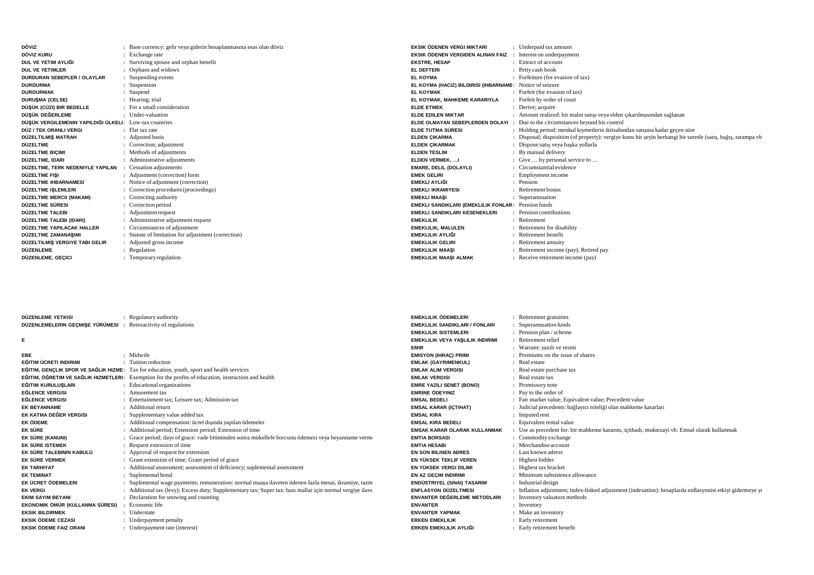| DÖVIZ                                                  | : Base currency: gelir veya giderin hesaplanmasına esas olan döviz |
|--------------------------------------------------------|--------------------------------------------------------------------|
| DÖVIZ KURU                                             | : Exchange rate                                                    |
| DUL VE YETIM AYLIĞI                                    | Surviving spouse and orphan benefit                                |
| <b>DUL VE YETIMLER</b>                                 | Orphans and widows                                                 |
| DURDURAN SEBEPLER / OLAYLAR                            | Suspending events                                                  |
| <b>DURDURMA</b>                                        | Suspension                                                         |
| <b>DURDURMAK</b>                                       | Suspend                                                            |
| <b>DURUSMA (CELSE)</b>                                 | : Hearing; trial                                                   |
| DÜŞÜK (CÜZI) BIR BEDELLE                               | : For a small consideration                                        |
| DÜSÜK DEĞERLEME                                        | : Under-valuation                                                  |
| DÜŞÜK VERGILEMENIN YAPILDIĞI ÜLKELI: Low-tax countries |                                                                    |
| DÜZ / TEK ORANLI VERGI                                 | : Flat tax rate                                                    |
| DÜZELTILMIŞ MATRAH                                     | : Adjusted basis                                                   |
| DÜZELTME                                               | : Correction; adjustment                                           |
| DÜZELTME BIÇIMI                                        | : Methods of adjustments                                           |
| DÜZELTME, IDARI                                        | : Administrative adjustments                                       |
| DÜZELTME, TERK NEDENIYLE YAPILAN                       | : Cessation adjustments                                            |
| DÜZELTME FISI                                          | : Adjustment (correction) form                                     |
| DÜZELTME IHBARNAMESI                                   | : Notice of adjustment (correction)                                |
| DÜZELTME IŞLEMLERI                                     | Correction procedures (proceedings)                                |
| DÜZELTME MERCII (MAKAM)                                | : Correcting authority                                             |
| DÜZELTME SÜRESI                                        | Correction period                                                  |
| DÜZELTME TALEBI                                        | : Adjustment request                                               |
| DÜZELTME TALEBI (IDARI)                                | : Administrative adjustment request                                |
| DÜZELTME YAPILACAK HALLER                              | : Circumstances of adjustment                                      |
| DÜZELTME ZAMANAŞIMI                                    | : Statute of limitation for adjustment (correction)                |
| DÜZELTILMIŞ VERGIYE TABI GELIR                         | : Adjusted gross income                                            |
| DÜZENLEME                                              | : Regulation                                                       |
| DÜZENLEME, GEÇICI                                      | Temporary regulation                                               |
|                                                        |                                                                    |

| EKSIK ÖDENEN VERGI MIKTARI                                   | : Underpaid tax amount                                                                                       |
|--------------------------------------------------------------|--------------------------------------------------------------------------------------------------------------|
| EKSIK ÖDENEN VERGIDEN ALINAN FAIZ : Interest on underpayment |                                                                                                              |
| <b>EKSTRE, HESAP</b>                                         | : Extract of account                                                                                         |
| EL DEFTERI                                                   | : Petty cash book                                                                                            |
| EL KOYMA                                                     | : Forfeiture (for evasion of tax)                                                                            |
| EL KOYMA (HACIZ) BILDIRISI (IHBARNAME: Notice of seizure     |                                                                                                              |
| <b>EL KOYMAK</b>                                             | : Forfeit (for evasion of tax)                                                                               |
| EL KOYMAK, MAHKEME KARARIYLA                                 | : Forfeit by order of court                                                                                  |
| <b>ELDE ETMEK</b>                                            | : Derive; acquire                                                                                            |
| <b>ELDE EDILEN MIKTAR</b>                                    | : Amount realized: bir malın satışı veya elden çıkarılmasından sağlanan                                      |
|                                                              | <b>ELDE OLMAYAN SEBEPLERDEN DOLAYI :</b> Due to the circumstances beyond his control                         |
| ELDE TUTMA SÜRESI                                            | : Holding period: menkul kiymetlerin iktisabından satışına kadar geçen süre                                  |
| ELDEN ÇIKARMA                                                | : Disposal; disposition (of property): vergive konu bir şeyin herhangi bir suretle (satış, bağış, tarampa vb |
| ELDEN ÇIKARMAK                                               | : Dispose: satis veya başka yollarla                                                                         |
| <b>ELDEN TESLIM</b>                                          | : By manual delivery                                                                                         |
| ELDEN VERMEK, I                                              | : Give  by personal service to                                                                               |
| EMARE, DELIL (DOLAYLI)                                       | : Circumstantial evidence                                                                                    |
| <b>EMEK GELIRI</b>                                           | : Employment income                                                                                          |
| EMEKLI AYLIĞI                                                | : Pension                                                                                                    |
| EMEKLI IKRAMIYESI                                            | : Retirement bonus                                                                                           |
| <b>EMEKLI MAASI</b>                                          | : Superannuation                                                                                             |
| <b>EMEKLI SANDIKLARI (EMEKLILIK FONLAR: Pension funds</b>    |                                                                                                              |
| EMEKLI SANDIKLARI KESENEKLERI                                | : Pension contributions                                                                                      |
| <b>EMEKLILIK</b>                                             | : Retirement                                                                                                 |
| EMEKLILIK, MALULEN                                           | : Retirement for disability                                                                                  |
| EMEKLILIK AYLIĞI                                             | : Retirement benefit                                                                                         |
| EMEKLILIK GELIRI                                             | : Retirement annuity                                                                                         |
| EMEKLILIK MAASI                                              | : Retirement income (pay); Retired pay                                                                       |
| EMEKLILIK MAAŞI ALMAK                                        | : Receive retirement income (pay)                                                                            |
|                                                              |                                                                                                              |

| DÜZENLEME YETKISI               | Regulatory authority                                                                                      | EMEKLILIK ÖDEMELERI                     | Retirement gratuities                                                                                      |
|---------------------------------|-----------------------------------------------------------------------------------------------------------|-----------------------------------------|------------------------------------------------------------------------------------------------------------|
| DÜZENLEMELERIN GECMISE YÜRÜMESI | Retroactivity of regulations                                                                              | <b>EMEKLILIK SANDIKLARI / FONLARI</b>   | : Superannuation funds                                                                                     |
|                                 |                                                                                                           | <b>EMEKLILIK SISTEMLERI</b>             | : Pension plan / scheme                                                                                    |
| Е                               |                                                                                                           | <b>EMEKLILIK VEYA YASLILIK INDIRIMI</b> | : Retirement relief                                                                                        |
|                                 |                                                                                                           | <b>EMIR</b>                             | : Warrant: yazılı ve resmi                                                                                 |
| <b>EBE</b>                      | : Midwife                                                                                                 | <b>EMISYON (IHRAC) PRIMI</b>            | Premiums on the issue of shares                                                                            |
| EĞITIM ÜCRETI INDIRIMI          | : Tuition reduction                                                                                       | <b>EMLAK (GAYRIMENKUL)</b>              | : Real estate                                                                                              |
|                                 | EĞITIM, GENCLIK SPOR VE SAĞLIK HIZME: Tax for education, youth, sport and health services                 | <b>EMLAK ALIM VERGISI</b>               | : Real estate purchase tax                                                                                 |
|                                 | EĞITIM, ÖĞRETIM VE SAĞLIK HIZMETLERI: Exemption for the profits of education, instruction and health      | <b>EMLAK VERGISI</b>                    | : Real estate tax                                                                                          |
| EĞITIM KURULUSLARI              | : Educational organizations                                                                               | <b>EMRE YAZILI SENET (BONO)</b>         | : Promissory note                                                                                          |
| <b>EĞLENCE VERGISI</b>          | : Amusement tax                                                                                           | <b>EMRINE ÖDEYINIZ</b>                  | : Pay to the order of                                                                                      |
| <b>EĞLENCE VERGISI</b>          | : Entertainment tax: Leisure tax: Admission tax                                                           | <b>EMSAL BEDELI</b>                     | : Fair market value; Equivalent value; Precedent value                                                     |
| <b>EK BEYANNAME</b>             | : Additional return                                                                                       | <b>EMSAL KARAR (ICTIHAT)</b>            | : Judicial precedents: bağlayıcı niteliği olan mahkeme kararları                                           |
| EK KATMA DEĞER VERGISI          | : Supplementary value added tax                                                                           | <b>EMSAL KIRA</b>                       | : Imputed rent                                                                                             |
| <b>EK ÖDEME</b>                 | : Additional compensation: ücret dışında yapılan ödemeler                                                 | <b>EMSAL KIRA BEDELI</b>                | : Equivalent rental value                                                                                  |
| EK SÜRE                         | : Additional period; Extension period; Extension of time                                                  | <b>EMSAK KARAR OLARAK KULLANMAK</b>     | : Use as precedent for: bir mahkeme kararını, içtihadı, muktezayi vb. Emsal olarak kullanmak               |
| EK SÜRE (KANUNI)                | : Grace period; days of grace: vade bitiminden sonra mükellefe borcunu ödemesi veya beyanname verme       | <b>EMTIA BORSASI</b>                    | : Commodity exchange                                                                                       |
| EK SÜRE ISTEMEK                 | : Request extension of time                                                                               | <b>EMTIA HESABI</b>                     | : Merchandise account                                                                                      |
| EK SÜRE TALEBININ KABULÜ        | : Approval of request for extension                                                                       | <b>EN SON BILINEN ADRES</b>             | : Last known adress                                                                                        |
| EK SÜRE VERMEK                  | : Grant extension of time; Grant period of grace                                                          | EN YÜKSEK TEKLIF VEREN                  | : Highest bidder                                                                                           |
| <b>EK TARHIYAT</b>              | : Additional assessment; assessment of deficiency; suplemental assessment                                 | EN YÜKSEK VERGI DILIMI                  | : Highest tax bracket                                                                                      |
| <b>EK TEMINAT</b>               | : Suplemental bond                                                                                        | <b>EN AZ GECIM INDIRIMI</b>             | : Minimum subsistence allowance                                                                            |
| EK ÜCRET ÖDEMELERI              | : Suplemental wage payments; remuneration: normal maasa ilaveten ödenen fazla mesai, ikramiye, tazm       | ENDÜSTRIYEL (SINAI) TASARIM             | : Industrial design                                                                                        |
| <b>EK VERGI</b>                 | : Additional tax (levy); Excess duty; Supplementary tax; Super tax: bazi mallar icin normal vergive ilave | ENFLASYON DÜZELTMESI                    | : Inflation adjustment; index-linked adjustment (indexation): hesaplarda enflasyonist etkivi gidermeye you |
| <b>EKIM SAYIM BEYANI</b>        | : Declaration for snowing and counting                                                                    | <b>ENVANTER DEĞERLEME METODLARI</b>     | : Inventory valuation methods                                                                              |
| EKONOMIK ÖMÜR (KULLANMA SÜRESI) | Economic life                                                                                             | <b>ENVANTER</b>                         | : Inventory                                                                                                |
| <b>EKSIK BILDIRMEK</b>          | : Understate                                                                                              | <b>ENVANTER YAPMAK</b>                  | : Make an inventory                                                                                        |
| <b>EKSIK ÖDEME CEZASI</b>       | : Underpayment penalty                                                                                    | <b>ERKEN EMEKLILIK</b>                  | : Early retirement                                                                                         |
| EKSIK ÖDEME FAIZ ORANI          | : Underpayment rate (interest)                                                                            | ERKEN EMEKLILIK AYLIĞI                  | : Early retirement benefit                                                                                 |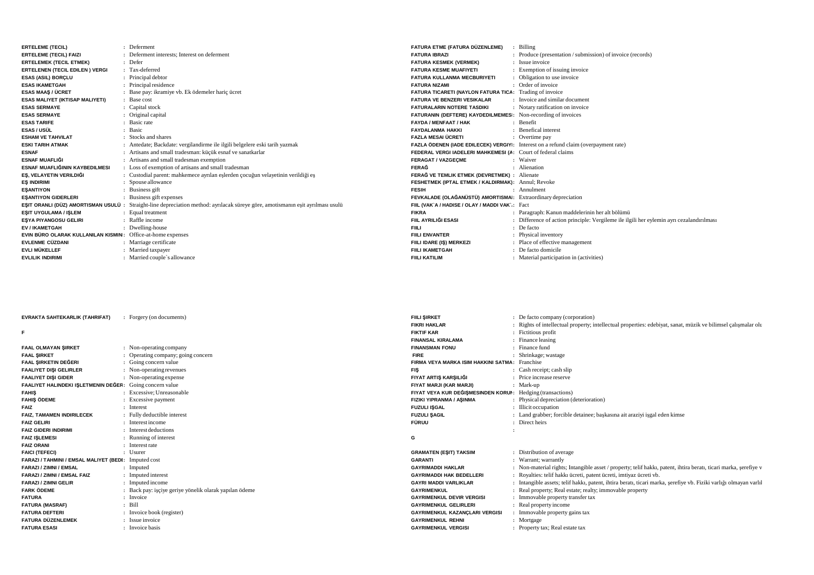| <b>ERTELEME (TECIL)</b>                                     | : Deferment                                                                                                                            | FATURA ETME (FATURA DÜZENLEME)                                | Billing                                                                                    |
|-------------------------------------------------------------|----------------------------------------------------------------------------------------------------------------------------------------|---------------------------------------------------------------|--------------------------------------------------------------------------------------------|
| <b>ERTELEME (TECIL) FAIZI</b>                               | : Deferment interests: Interest on deferment                                                                                           | <b>FATURA IBRAZI</b>                                          | : Produce (presentation / submission) of invoice (records)                                 |
| <b>ERTELEMEK (TECIL ETMEK)</b>                              | : Defer                                                                                                                                | <b>FATURA KESMEK (VERMEK)</b>                                 | : Issue invoice                                                                            |
| <b>ERTELENEN (TECIL EDILEN) VERGI</b>                       | : Tax-deferred                                                                                                                         | <b>FATURA KESME MUAFIYETI</b>                                 | : Exemption of issuing invoice                                                             |
| <b>ESAS (ASIL) BORCLU</b>                                   | : Principal debtor                                                                                                                     | FATURA KULLANMA MECBURIYETI                                   | : Obligation to use invoice                                                                |
| <b>ESAS IKAMETGAH</b>                                       | : Principal residence                                                                                                                  | <b>FATURA NIZAMI</b>                                          | : Order of invoice                                                                         |
| <b>ESAS MAAS / ÜCRET</b>                                    | : Base pay: ikramiye vb. Ek ödemeler haric ücret                                                                                       | FATURA TICARETI (NAYLON FATURA TICA: Trading of invoice       |                                                                                            |
| <b>ESAS MALIYET (IKTISAP MALIYETI)</b>                      | : Base cost                                                                                                                            | <b>FATURA VE BENZERI VESIKALAR</b>                            | : Invoice and similar document                                                             |
| <b>ESAS SERMAYE</b>                                         | : Capital stock                                                                                                                        | <b>FATURALARIN NOTERE TASDIKI</b>                             | : Notary ratification on invoice                                                           |
| <b>ESAS SERMAYE</b>                                         | : Original capital                                                                                                                     | FATURANIN (DEFTERE) KAYDEDILMEMES: Non-recording of invoices  |                                                                                            |
| <b>ESAS TARIFE</b>                                          | : Basic rate                                                                                                                           | <b>FAYDA / MENFAAT / HAK</b>                                  | : Benefit                                                                                  |
| <b>ESAS / USÜL</b>                                          | : Basic                                                                                                                                | <b>FAYDALANMA HAKKI</b>                                       | : Benefical interest                                                                       |
| <b>ESHAM VE TAHVILAT</b>                                    | : Stocks and shares                                                                                                                    | <b>FAZLA MESAI ÜCRETI</b>                                     | : Overtime pay                                                                             |
| <b>ESKI TARIH ATMAK</b>                                     | : Antedate; Backdate: vergilandirme ile ilgili belgelere eski tarih yazmak                                                             |                                                               | <b>FAZLA ÖDENEN (IADE EDILECEK) VERGIY</b> : Interest on a refund claim (overpayment rate) |
| <b>ESNAF</b>                                                | : Artisans and small tradesman: küçük esnaf ve sanatkarlar                                                                             | FEDERAL VERGI IADELERI MAHKEMESI (A: Court of federal claims  |                                                                                            |
| <b>ESNAF MUAFLIĞI</b>                                       | : Artisans and small tradesman exemption                                                                                               | <b>FERAGAT / VAZGECME</b>                                     | : Waiver                                                                                   |
| ESNAF MUAFLIĞININ KAYBEDILMESI                              | : Loss of exemption of artisans and small tradesman                                                                                    | <b>FERAĞ</b>                                                  | : Alienation                                                                               |
| EŞ, VELAYETIN VERILDIĞI                                     | : Custodial parent: mahkemece ayrılan eşlerden çocuğun velayetinin verildiği eş                                                        | FERAĞ VE TEMLIK ETMEK (DEVRETMEK) : Alienate                  |                                                                                            |
| <b>ES INDIRIMI</b>                                          | : Spouse allowance                                                                                                                     | FESHETMEK (IPTAL ETMEK / KALDIRMAK): Annul; Revoke            |                                                                                            |
| <b>ESANTIYON</b>                                            | : Business gift                                                                                                                        | <b>FESIH</b>                                                  | : Annulment                                                                                |
| <b>ESANTIYON GIDERLERI</b>                                  | : Business gift expenses                                                                                                               | FEVKALADE (OLAĞANÜSTÜ) AMORTISMAI: Extraordinary depreciation |                                                                                            |
|                                                             | <b>EŞIT ORANLI (DÜZ) AMORTISMAN USULÜ</b> : Straight-line depreciation method: ayrılacak süreye göre, amotismanın esit ayrılması usulü | FIIL (VAK`A / HADISE / OLAY / MADDI VAK`: Fact                |                                                                                            |
| ESIT UYGULAMA / ISLEM                                       | Equal treatment                                                                                                                        | <b>FIKRA</b>                                                  | : Paragraph: Kanun maddelerinin her alt bölümü                                             |
| ESYA PIYANGOSU GELIRI                                       | : Raffle income                                                                                                                        | FIIL AYRILIĞI ESASI                                           | : Difference of action principle: Vergileme ile ilgili her eylemin ayrı cezalandırılması   |
| EV / IKAMETGAH                                              | : Dwelling-house                                                                                                                       | <b>FIILI</b>                                                  | : De facto                                                                                 |
| EVIN BÜRO OLARAK KULLANILAN KISMIN: Office-at-home expenses |                                                                                                                                        | <b>FIILI ENVANTER</b>                                         | : Physical inventory                                                                       |
| <b>EVLENME CÜZDANI</b>                                      | : Marriage certificate                                                                                                                 | FIILI IDARE (IS) MERKEZI                                      | : Place of effective management                                                            |
| EVLI MÜKELLEF                                               | : Married taxpayer                                                                                                                     | <b>FIILI IKAMETGAH</b>                                        | : De facto domicile                                                                        |
| <b>EVLILIK INDIRIMI</b>                                     | : Married couple's allowance                                                                                                           | <b>FIILI KATILIM</b>                                          | : Material participation in (activities)                                                   |

| <b>EVRAKTA SAHTEKARLIK (TAHRIFAT)</b>                    | Forgery (on documents)                                 | <b>FIILI SIRKET</b>                                        | : De facto company (corporation)                                                                                  |
|----------------------------------------------------------|--------------------------------------------------------|------------------------------------------------------------|-------------------------------------------------------------------------------------------------------------------|
|                                                          |                                                        | <b>FIKRI HAKLAR</b>                                        | : Rights of intellectual property; intellectual properties: edebiyat, sanat, müzik ve bilimsel çalışmalar olu     |
|                                                          |                                                        | <b>FIKTIF KAR</b>                                          | : Fictitious profit                                                                                               |
|                                                          |                                                        | <b>FINANSAL KIRALAMA</b>                                   | : Finance leasing                                                                                                 |
| <b>FAAL OLMAYAN SIRKET</b>                               | : Non-operating company                                | <b>FINANSMAN FONU</b>                                      | : Finance fund                                                                                                    |
| <b>FAAL SIRKET</b>                                       | : Operating company; going concern                     | <b>FIRE</b>                                                | : Shrinkage; wastage                                                                                              |
| FAAL SIRKETIN DEĞERI                                     | : Going concern value                                  | FIRMA VEYA MARKA ISIM HAKKINI SATMA: Franchise             |                                                                                                                   |
| <b>FAALIYET DIŞI GELIRLER</b>                            | : Non-operating revenues                               | <b>FIS</b>                                                 | : Cash receipt; cash slip                                                                                         |
| <b>FAALIYET DISI GIDER</b>                               | : Non-operating expense                                | FIYAT ARTIS KARSILIĞI                                      | : Price increase reserve                                                                                          |
| FAALIYET HALINDEKI IŞLETMENIN DEĞER: Going concern value |                                                        | FIYAT MARJI (KAR MARJI)                                    | : Mark-up                                                                                                         |
| <b>FAHIS</b>                                             | : Excessive: Unreasonable                              | FIYAT VEYA KUR DEĞIŞMESINDEN KORUI: Hedging (transactions) |                                                                                                                   |
| <b>FAHIS ÖDEME</b>                                       | : Excessive payment                                    | <b>FIZIKI YIPRANMA / ASINMA</b>                            | : Physical depreciation (deterioration)                                                                           |
| <b>FAIZ</b>                                              | : Interest                                             | <b>FUZULI ISGAL</b>                                        | : Illicit occupation                                                                                              |
| <b>FAIZ. TAMAMEN INDIRILECEK</b>                         | : Fully deductible interest                            | <b>FUZULI SAGIL</b>                                        | : Land grabber; forcible detainee; baskasına ait araziyi isgal eden kimse                                         |
| <b>FAIZ GELIRI</b>                                       | : Interest income                                      | <b>FÜRUU</b>                                               | : Direct heirs                                                                                                    |
| <b>FAIZ GIDERI INDIRIMI</b>                              | : Interest deductions                                  |                                                            |                                                                                                                   |
| <b>FAIZ ISLEMESI</b>                                     | : Running of interest                                  |                                                            |                                                                                                                   |
| <b>FAIZ ORANI</b>                                        | : Interest rate                                        |                                                            |                                                                                                                   |
| <b>FAICI (TEFECI)</b>                                    | : Usurer                                               | <b>GRAMATEN (ESIT) TAKSIM</b>                              | : Distribution of average                                                                                         |
| FARAZI / TAHMINI / EMSAL MALIYET (BEDI)                  | $:$ Imputed cost                                       | <b>GARANTI</b>                                             | : Warrant: warrantly                                                                                              |
| <b>FARAZI / ZIMNI / EMSAL</b>                            | : Imputed                                              | <b>GAYRIMADDI HAKLAR</b>                                   | : Non-material rights; Intangible asset / property; telif hakkı, patent, ihtira beratı, ticari marka, şerefiye v  |
| <b>FARAZI / ZIMNI / EMSAL FAIZ</b>                       | : Imputed interest                                     | <b>GAYRIMADDI HAK BEDELLERI</b>                            | : Royalties: telif hakkı ücreti, patent ücreti, imtiyaz ücreti vb.                                                |
| <b>FARAZI / ZIMNI GELIR</b>                              | : Imputed income                                       | <b>GAYRI MADDI VARLIKLAR</b>                               | : Intangible assets; telif hakkı, patent, ihtira beratı, ticari marka, şerefiye vb. Fiziki varlığı olmayan varlıl |
| <b>FARK ÖDEME</b>                                        | : Back pay: işçiye geriye yönelik olarak yapılan ödeme | <b>GAYRIMENKUL</b>                                         | : Real property; Real estate; realty; immovable property                                                          |
| <b>FATURA</b>                                            | : Invoice                                              | <b>GAYRIMENKUL DEVIR VERGISI</b>                           | : Immovable property transfer tax                                                                                 |
| <b>FATURA (MASRAF)</b>                                   | $:$ Bill                                               | <b>GAYRIMENKUL GELIRLERI</b>                               | : Real property income                                                                                            |
| <b>FATURA DEFTERI</b>                                    | : Invoice book (register)                              | GAYRIMENKUL KAZANÇLARI VERGISI                             | : Immovable property gains tax                                                                                    |
| FATURA DÜZENLEMEK                                        | : Issue invoice                                        | <b>GAYRIMENKUL REHNI</b>                                   | : Mortgage                                                                                                        |
| <b>FATURA ESASI</b>                                      | : Invoice basis                                        | <b>GAYRIMENKUL VERGISI</b>                                 | : Property tax; Real estate tax                                                                                   |
|                                                          |                                                        |                                                            |                                                                                                                   |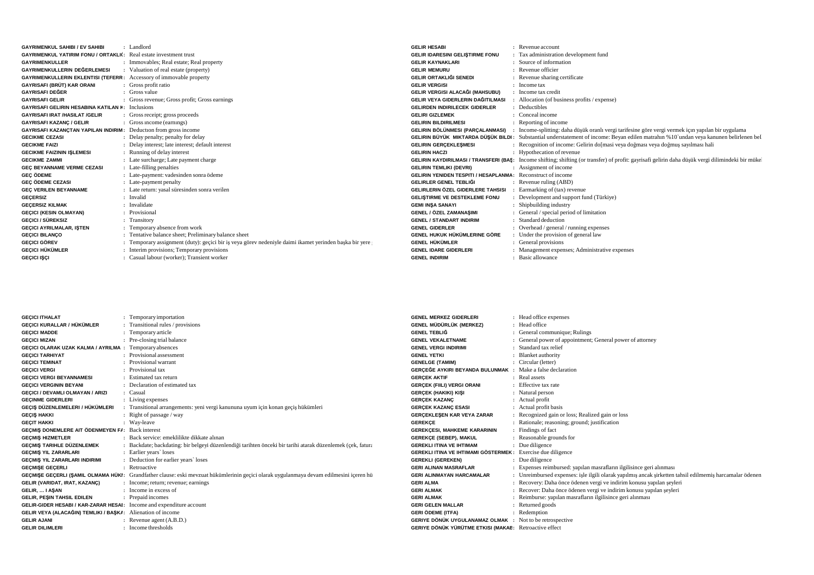| <b>GAYRIMENKUL SAHIBI / EV SAHIBI</b>                                      | : Landlord                                                                                             | <b>GELIR HESABI</b>                                                | : Revenue account                                                                                                                                  |
|----------------------------------------------------------------------------|--------------------------------------------------------------------------------------------------------|--------------------------------------------------------------------|----------------------------------------------------------------------------------------------------------------------------------------------------|
| <b>GAYRIMENKUL YATIRIM FONU / ORTAKLIC:</b> Real estate investment trust   |                                                                                                        | <b>GELIR IDARESINI GELISTIRME FONU</b>                             | : Tax administration development fund                                                                                                              |
| <b>GAYRIMENKULLER</b>                                                      | : Immovables; Real estate; Real property                                                               | <b>GELIR KAYNAKLARI</b>                                            | : Source of information                                                                                                                            |
| GAYRIMENKULLERIN DEĞERLEMESI                                               | : Valuation of real estate (property)                                                                  | <b>GELIR MEMURU</b>                                                | : Revenue officier                                                                                                                                 |
| <b>GAYRIMENKULLERIN EKLENTISI (TEFERR: Accessory of immovable property</b> |                                                                                                        | GELIR ORTAKLIĞI SENEDI                                             | : Revenue sharing certificate                                                                                                                      |
| GAYRISAFI (BRÜT) KAR ORANI                                                 | : Gross profit ratio                                                                                   | <b>GELIR VERGISI</b>                                               | $:$ Income tax                                                                                                                                     |
| <b>GAYRISAFI DEĞER</b>                                                     | : Gross value                                                                                          | GELIR VERGISI ALACAĞI (MAHSUBU)                                    | : Income tax credit                                                                                                                                |
| <b>GAYRISAFI GELIR</b>                                                     | : Gross revenue; Gross profit; Gross earnings                                                          | GELIR VEYA GIDERLERIN DAĞITILMASI                                  | Allocation (of business profits / expense)                                                                                                         |
| <b>GAYRISAFI GELIRIN HESABINA KATILAN #: Inclusions</b>                    |                                                                                                        | <b>GELIRDEN INDIRILECEK GIDERLER</b>                               | : Deductibles                                                                                                                                      |
| <b>GAYRISAFI IRAT /HASILAT /GELIR</b>                                      | : Gross receipt; gross proceeds                                                                        | <b>GELIRI GIZLEMEK</b>                                             | : Conceal income                                                                                                                                   |
| <b>GAYRISAFI KAZANC / GELIR</b>                                            | : Gross income (earnings)                                                                              | <b>GELIRIN BILDIRILMESI</b>                                        | : Reporting of income                                                                                                                              |
| GAYRISAFI KAZANCTAN YAPILAN INDIRIM: Deduction from gross income           |                                                                                                        |                                                                    | <b>GELIRIN BÖLÜNMESI (PARÇALANMASI)</b> : Income-splitting: daha düşük oranlı vergi tarifesine göre vergi vermek için yapılan bir uygulama         |
| <b>GECIKME CEZASI</b>                                                      | : Delay penalty; penalty for delay                                                                     |                                                                    | <b>GELIRIN BÜYÜK MIKTARDA DÜŞÜK BILDI:</b> Substantial understatement of income: Beyan edilen matrahın %10`undan veya kanunen belirlenen bel       |
| <b>GECIKME FAIZI</b>                                                       | : Delay interest; late interest; default interest                                                      | <b>GELIRIN GERCEKLESMESI</b>                                       | : Recognition of income: Gelirin do masi veya doğması veya doğmuş sayılması hali                                                                   |
| <b>GECIKME FAIZININ ISLEMESI</b>                                           | : Running of delay interest                                                                            | <b>GELIRIN HACZI</b>                                               | : Hypothecation of revenue                                                                                                                         |
| <b>GECIKME ZAMMI</b>                                                       | : Late surcharge; Late payment charge                                                                  |                                                                    | GELIRIN KAYDIRILMASI / TRANSFERI (BAŞ: Income shifting; shifting (or transfer) of profit: gayrisafi gelirin daha düşük vergi dilimindeki bir mükel |
| GEC BEYANNAME VERME CEZASI                                                 | : Late-filling penalties                                                                               | <b>GELIRIN TEMLIKI (DEVRI)</b>                                     | : Assignment of income                                                                                                                             |
| <b>GEC ÖDEME</b>                                                           | : Late-payment: vadesinden sonra ödeme                                                                 | <b>GELIRIN YENIDEN TESPITI / HESAPLANMA:</b> Reconstruct of income |                                                                                                                                                    |
| <b>GEC ÖDEME CEZASI</b>                                                    | : Late-payment penalty                                                                                 | GELIRLER GENEL TEBLIĞI                                             | $\therefore$ Revenue ruling (ABD)                                                                                                                  |
| <b>GEC VERILEN BEYANNAME</b>                                               | : Late return: yasal süresinden sonra verilen                                                          | GELIRLERIN ÖZEL GIDERLERE TAHSISI                                  | Earmarking of (tax) revenue                                                                                                                        |
| <b>GECERSIZ</b>                                                            | : Invalid                                                                                              | <b>GELISTIRME VE DESTEKLEME FONU</b>                               | : Development and support fund (Türkiye)                                                                                                           |
| <b>GECERSIZ KILMAK</b>                                                     | : Invalidate                                                                                           | <b>GEMI INSA SANAYI</b>                                            | : Shipbuilding industry                                                                                                                            |
| <b>GECICI (KESIN OLMAYAN)</b>                                              | : Provisional                                                                                          | <b>GENEL / ÖZEL ZAMANASIMI</b>                                     | : General / special period of limitation                                                                                                           |
| <b>GECICI / SÜREKSIZ</b>                                                   | : Transitory                                                                                           | <b>GENEL / STANDART INDIRIM</b>                                    | : Standard deduction                                                                                                                               |
| <b>GECICI AYRILMALAR, ISTEN</b>                                            | : Temporary absence from work                                                                          | <b>GENEL GIDERLER</b>                                              | : Overhead / general / running expenses                                                                                                            |
| <b>GECICI BILANCO</b>                                                      | : Tentative balance sheet; Preliminary balance sheet                                                   | GENEL HUKUK HÜKÜMLERINE GÖRE                                       | : Under the provision of general law                                                                                                               |
| <b>GECICI GÖREV</b>                                                        | : Temporary assignment (duty): gecici bir is veya görev nedeniyle daimi ikamet yerinden başka bir yere | GENEL HÜKÜMLER                                                     | : General provisions                                                                                                                               |
| GEÇICI HÜKÜMLER                                                            | : Interim provisions; Temporary provisions                                                             | <b>GENEL IDARE GIDERLERI</b>                                       | : Management expenses; Administrative expenses                                                                                                     |
| <b>GECICI ISCI</b>                                                         | : Casual labour (worker); Transient worker                                                             | <b>GENEL INDIRIM</b>                                               | : Basic allowance                                                                                                                                  |

| <b>GECICI ITHALAT</b>                                                       | : Temporary importation                                                                                                                | <b>GENEL MERKEZ GIDERLERI</b>                                      | : Head office expenses                                                                                  |
|-----------------------------------------------------------------------------|----------------------------------------------------------------------------------------------------------------------------------------|--------------------------------------------------------------------|---------------------------------------------------------------------------------------------------------|
| GEÇICI KURALLAR / HÜKÜMLER                                                  | : Transitional rules / provisions                                                                                                      | GENEL MÜDÜRLÜK (MERKEZ)                                            | : Head office                                                                                           |
| <b>GECICI MADDE</b>                                                         | : Temporary article                                                                                                                    | <b>GENEL TEBLIĞ</b>                                                | : General communique; Rulings                                                                           |
| <b>GECICI MIZAN</b>                                                         | : Pre-closing trial balance                                                                                                            | <b>GENEL VEKALETNAME</b>                                           | : General power of appointment; General power of attorney                                               |
| <b>GEÇICI OLARAK UZAK KALMA / AYRILMA : Temporary absences</b>              |                                                                                                                                        | <b>GENEL VERGI INDIRIMI</b>                                        | : Standard tax relief                                                                                   |
| <b>GECICI TARHIYAT</b>                                                      | : Provisional assessment                                                                                                               | <b>GENEL YETKI</b>                                                 | : Blanket authority                                                                                     |
| <b>GECICI TEMINAT</b>                                                       | : Provisional warrant                                                                                                                  | <b>GENELGE (TAMIM)</b>                                             | : Circular (letter)                                                                                     |
| <b>GECICI VERGI</b>                                                         | : Provisional tax                                                                                                                      | GERÇEĞE AYKIRI BEYANDA BULUNMAK : Make a false declaration         |                                                                                                         |
| <b>GECICI VERGI BEYANNAMESI</b>                                             | : Estimated tax return                                                                                                                 | <b>GERCEK AKTIF</b>                                                | : Real assets                                                                                           |
| <b>GECICI VERGININ BEYANI</b>                                               | : Declaration of estimated tax                                                                                                         | <b>GERCEK (FIILI) VERGI ORANI</b>                                  | : Effective tax rate                                                                                    |
| GECICI / DEVAMLI OLMAYAN / ARIZI                                            | : Casual                                                                                                                               | <b>GERCEK (HAKIKI) KIŞI</b>                                        | : Natural person                                                                                        |
| <b>GECINME GIDERLERI</b>                                                    | : Living expenses                                                                                                                      | <b>GERCEK KAZANC</b>                                               | : Actual profit                                                                                         |
| GEÇIŞ DÜZENLEMELERI / HÜKÜMLERI                                             | : Transitional arrangements: yeni vergi kanununa uyum için konan geçis hükümleri                                                       | <b>GERCEK KAZANC ESASI</b>                                         | : Actual profit basis                                                                                   |
| <b>GECIS HAKKI</b>                                                          | : Right of passage / way                                                                                                               | <b>GERCEKLESEN KAR VEYA ZARAR</b>                                  | : Recognized gain or loss; Realized gain or loss                                                        |
| <b>GECIT HAKKI</b>                                                          | : Way-leave                                                                                                                            | <b>GEREKCE</b>                                                     | : Rationale; reasoning; ground; justification                                                           |
| GECMIS DONEMLERE AIT ÖDENMEYEN F/: Back interest                            |                                                                                                                                        | <b>GEREKÇESI, MAHKEME KARARININ</b>                                | : Findings of fact                                                                                      |
| <b>GECMIS HIZMETLER</b>                                                     | : Back service: emeklilikte dikkate alınan                                                                                             | <b>GEREKCE (SEBEP), MAKUL</b>                                      | : Reasonable grounds for                                                                                |
| <b>GECMIS TARIHLE DÜZENLEMEK</b>                                            | : Backdate; backdating: bir belgeyi düzenlendiği tarihten önceki bir tarihi atarak düzenlemek (cek, fatura                             | <b>GEREKLI ITINA VE IHTIMAM</b>                                    | : Due diligence                                                                                         |
| <b>GECMIS YIL ZARARLARI</b>                                                 | : Earlier years' loses                                                                                                                 | <b>GEREKLI ITINA VE IHTIMAMI GÖSTERMEK:</b> Exercise due diligence |                                                                                                         |
| <b>GECMIS YIL ZARARLARI INDIRIMI</b>                                        | : Deduction for earlier years' loses                                                                                                   | <b>GEREKLI (GEREKEN)</b>                                           | : Due diligence                                                                                         |
| <b>GECMISE GECERLI</b>                                                      | : Retroactive                                                                                                                          | <b>GERI ALINAN MASRAFLAR</b>                                       | : Expenses reimbursed: yapılan masrafların ilgilisince geri alınması                                    |
|                                                                             | GEÇMIŞE GEÇERLI (ŞAMIL OLMAMA HÜKI: Grandfather clause: eski mevzuat hükümlerinin geçici olarak uygulanmaya devam edilmesini içeren hü | <b>GERI ALINMAYAN HARCAMALAR</b>                                   | : Unreimbursed expenses: isle ilgili olarak yapılmış ancak şirketten tahsil edilmemiş harcamalar ödenen |
| GELIR (VARIDAT, IRAT, KAZANÇ)                                               | : Income; return; revenue; earnings                                                                                                    | <b>GERI ALMA</b>                                                   | : Recovery: Daha önce ödenen vergi ve indirim konusu yapılan şeyleri                                    |
| GELIR,  I ASAN                                                              | : Income in excess of                                                                                                                  | <b>GERI ALMAK</b>                                                  | : Recover: Daha önce ödenen vergi ve indirim konusu yapılan şeyleri                                     |
| <b>GELIR. PESIN TAHSIL EDILEN</b>                                           | : Prepaid incomes                                                                                                                      | <b>GERI ALMAK</b>                                                  | : Reimburse: yapılan masrafların ilgilisince geri alınması                                              |
| <b>GELIR-GIDER HESABI / KAR-ZARAR HESAI:</b> Income and expenditure account |                                                                                                                                        | <b>GERI GELEN MALLAR</b>                                           | : Returned goods                                                                                        |
| GELIR VEYA (ALACAĞIN) TEMLIKI / BAŞKA: Alienation of income                 |                                                                                                                                        | <b>GERI ÖDEME (ITFA)</b>                                           | : Redemption                                                                                            |
| <b>GELIR AJANI</b>                                                          | : Revenue agent $(A.B.D.)$                                                                                                             | <b>GERIYE DÖNÜK UYGULANAMAZ OLMAK :</b> Not to be retrospective    |                                                                                                         |
| <b>GELIR DILIMLERI</b>                                                      | : Income thresholds                                                                                                                    | <b>GERIYE DÖNÜK YÜRÜTME ETKISI (MAKAE: Retroactive effect</b>      |                                                                                                         |
|                                                                             |                                                                                                                                        |                                                                    |                                                                                                         |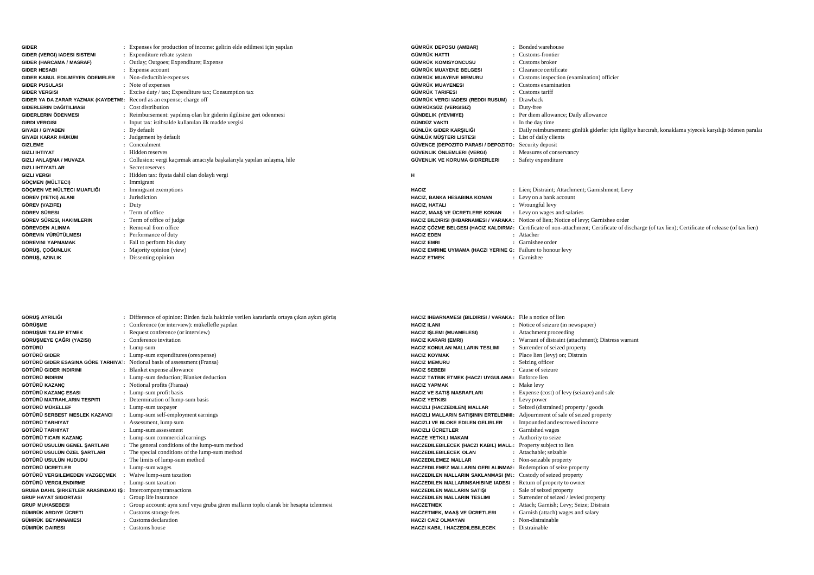| <b>GIDER</b>                                                         | : Expenses for production of income: gelirin elde edilmesi için yapılan | <b>GÜMRÜK DEPOSU (AMBAR)</b>                                | : Bonded warehouse                                                                                                                               |
|----------------------------------------------------------------------|-------------------------------------------------------------------------|-------------------------------------------------------------|--------------------------------------------------------------------------------------------------------------------------------------------------|
| GIDER (VERGI) IADESI SISTEMI                                         | : Expenditure rebate system                                             | GÜMRÜK HATTI                                                | : Customs-frontier                                                                                                                               |
| <b>GIDER (HARCAMA / MASRAF)</b>                                      | : Outlay; Outgoes; Expenditure; Expense                                 | GÜMRÜK KOMISYONCUSU                                         | $\therefore$ Customs broker                                                                                                                      |
| <b>GIDER HESABI</b>                                                  | : Expense account                                                       | GÜMRÜK MUAYENE BELGESI                                      | : Clearance certificate                                                                                                                          |
| GIDER KABUL EDILMEYEN ÖDEMELER                                       | : Non-deductible expenses                                               | GÜMRÜK MUAYENE MEMURU                                       | : Customs inspection (examination) officien                                                                                                      |
| <b>GIDER PUSULASI</b>                                                | : Note of expenses                                                      | GÜMRÜK MUAYENESI                                            | : Customs examination                                                                                                                            |
| <b>GIDER VERGISI</b>                                                 | : Excise duty / tax; Expenditure tax; Consumption tax                   | <b>GÜMRÜK TARIFESI</b>                                      | : Customs tariff                                                                                                                                 |
| GIDER YA DA ZARAR YAZMAK (KAYDETMI: Record as an expense; charge off |                                                                         | GÜMRÜK VERGI IADESI (REDDI RUSUM)                           | : Drawback                                                                                                                                       |
| GIDERLERIN DAĞITILMASI                                               | : Cost distribution                                                     | GÜMRÜKSÜZ (VERGISIZ)                                        | : Duty-free                                                                                                                                      |
| <b>GIDERLERIN ÖDENMESI</b>                                           | : Reimbursement: yapılmış olan bir giderin ilgilisine geri ödenmesi     | GÜNDELIK (YEVMIYE)                                          | : Per diem allowance; Daily allowance                                                                                                            |
| <b>GIRDI VERGISI</b>                                                 | : Input tax: istihsalde kullanılan ilk madde vergisi                    | GÜNDÜZ VAKTI                                                | : In the day time                                                                                                                                |
| <b>GIYABI / GIYABEN</b>                                              | : By default                                                            | GÜNLÜK GIDER KARŞILIĞI                                      | : Daily reimbursement: günlük giderler için ilgiliye harcırah, konaklama yiyecek karşılığı ödenen paralar                                        |
| GIYABI KARAR /HÜKÜM                                                  | : Judgement by default                                                  | GÜNLÜK MÜSTERI LISTESI                                      | : List of daily clients                                                                                                                          |
| <b>GIZLEME</b>                                                       | : Concealment                                                           | GÜVENCE (DEPOZITO PARASI / DEPOZITO: Security deposit       |                                                                                                                                                  |
| <b>GIZLI IHTIYAT</b>                                                 | : Hidden reserves                                                       | GÜVENLIK ÖNLEMLERI (VERGI)                                  | : Measures of conservancy                                                                                                                        |
| GIZLI ANLAŞMA / MUVAZA                                               | : Collusion: vergi kacırmak amacıyla başkalarıyla yapılan anlaşma, hile | GÜVENLIK VE KORUMA GIDRERLERI                               | : Safety expenditure                                                                                                                             |
| <b>GIZLI IHTIYATLAR</b>                                              | : Secret reserves                                                       |                                                             |                                                                                                                                                  |
| <b>GIZLI VERGI</b>                                                   | : Hidden tax: fiyata dahil olan dolaylı vergi                           | н                                                           |                                                                                                                                                  |
| GÖÇMEN (MÜLTECI)                                                     | : Immigrant                                                             |                                                             |                                                                                                                                                  |
| GÖÇMEN VE MÜLTECI MUAFLIĞI                                           | : Immigrant exemptions                                                  | <b>HACIZ</b>                                                | : Lien; Distraint; Attachment; Garnishment; Levy                                                                                                 |
| GÖREV (YETKI) ALANI                                                  | : Jurisdiction                                                          | <b>HACIZ. BANKA HESABINA KONAN</b>                          | : Levy on a bank account                                                                                                                         |
| GÖREV (VAZIFE)                                                       | $:$ Duty                                                                | <b>HACIZ, HATALI</b>                                        | : Wroungful levy                                                                                                                                 |
| <b>GÖREV SÜRESI</b>                                                  | : Term of office                                                        | HACIZ. MAAS VE ÜCRETLERE KONAN                              | : Levy on wages and salaries                                                                                                                     |
| GÖREV SÜRESI, HAKIMLERIN                                             | : Term of office of judge                                               |                                                             | HACIZ BILDIRISI (IHBARNAMESI / VARAKA: Notice of lien; Notice of levy; Garnishee order                                                           |
| <b>GÖREVDEN ALINMA</b>                                               | : Removal from office                                                   |                                                             | HACIZ ÇÖZME BELGESI (HACIZ KALDIRMA: Certificate of non-attachment; Certificate of discharge (of tax lien); Certificate of release (of tax lien) |
| GÖREVIN YÜRÜTÜLMESI                                                  | : Performance of duty                                                   | <b>HACIZ EDEN</b>                                           | : Attacher                                                                                                                                       |
| <b>GÖREVINI YAPMAMAK</b>                                             | : Fail to perform his duty                                              | <b>HACIZ EMRI</b>                                           | : Garnishee order                                                                                                                                |
| GÖRÜŞ, ÇOĞUNLUK                                                      | : Majority opinion (view)                                               | HACIZ EMRINE UYMAMA (HACZI YERINE G: Failure to honour levy |                                                                                                                                                  |
| GÖRÜŞ, AZINLIK                                                       | : Dissenting opinion                                                    | <b>HACIZ ETMEK</b>                                          | : Garnishee                                                                                                                                      |

| GÖRÜŞ AYRILIĞI                                                                  | : Difference of opinion: Birden fazla hakimle verilen kararlarda ortaya çıkan aykırı görüş | <b>HACIZ IHBAI</b> |
|---------------------------------------------------------------------------------|--------------------------------------------------------------------------------------------|--------------------|
| <b>GÖRÜSME</b>                                                                  | : Conference (or interview): mükellefle yapılan                                            | <b>HACIZ ILANI</b> |
| <b>GÖRÜSME TALEP ETMEK</b>                                                      | : Request conference (or interview)                                                        | <b>HACIZ ISLEN</b> |
| GÖRÜŞMEYE ÇAĞRI (YAZISI)                                                        | : Conference invitation                                                                    | <b>HACIZ KARA</b>  |
| GÖTÜRÜ                                                                          | : Lump-sum                                                                                 | <b>HACIZ KONL</b>  |
| GÖTÜRÜ GIDER                                                                    | : Lump-sum expenditures (or expense)                                                       | <b>HACIZ KOYM</b>  |
| <b>GÖTÜRÜ GIDER ESASINA GÖRE TARHIYA:</b> Notional basis of assessment (Fransa) |                                                                                            | <b>HACIZ MEMI</b>  |
| GÖTÜRÜ GIDER INDIRIMI                                                           | : Blanket expense allowance                                                                | <b>HACIZ SEBE</b>  |
| GÖTÜRÜ INDIRIM                                                                  | : Lump-sum deduction; Blanket deduction                                                    | <b>HACIZ TATB</b>  |
| GÖTÜRÜ KAZANC                                                                   | : Notional profits (Fransa)                                                                | <b>HACIZ YAPN</b>  |
| GÖTÜRÜ KAZANÇ ESASI                                                             | : Lump-sum profit basis                                                                    | HACIZ VE S/        |
| GÖTÜRÜ MATRAHLARIN TESPITI                                                      | : Determination of lump-sum basis                                                          | <b>HACIZ YETK</b>  |
| GÖTÜRÜ MÜKELLEF                                                                 | : Lump-sum taxpayer                                                                        | <b>HACIZLI (HA</b> |
| GÖTÜRÜ SERBEST MESLEK KAZANCI                                                   | : Lump-sum self-employment earnings                                                        | <b>HACIZLI MAI</b> |
| GÖTÜRÜ TARHIYAT                                                                 | : Assessment, lump sum                                                                     | <b>HACIZLI VE</b>  |
| GÖTÜRÜ TARHIYAT                                                                 | : Lump-sum assessment                                                                      | <b>HACIZLI ÜCI</b> |
| GÖTÜRÜ TICARI KAZANC                                                            | : Lump-sum commercial earnings                                                             | <b>HACZE YETI</b>  |
| GÖTÜRÜ USULÜN GENEL ŞARTLARI                                                    | : The general conditions of the lump-sum method                                            | <b>HACZEDILEI</b>  |
| GÖTÜRÜ USULÜN ÖZEL ŞARTLARI                                                     | : The special conditions of the lump-sum method                                            | <b>HACZEDILEI</b>  |
| GÖTÜRÜ USULÜN HUDUDU                                                            | : The limits of lump-sum method                                                            | <b>HACZEDILEI</b>  |
| GÖTÜRÜ ÜCRETLER                                                                 | : Lump-sum wages                                                                           | <b>HACZEDILEI</b>  |
| GÖTÜRÜ VERGILEMEDEN VAZGEÇMEK                                                   | : Waive lump-sum taxation                                                                  | <b>HACZEDILEI</b>  |
| GÖTÜRÜ VERGILENDIRME                                                            | : Lump-sum taxation                                                                        | <b>HACZEDILEI</b>  |
| <b>GRUBA DAHIL SIRKETLER ARASINDAKI IS:</b> Intercompany transactions           |                                                                                            | <b>HACZEDILEI</b>  |
| <b>GRUP HAYAT SIGORTASI</b>                                                     | : Group life insurance                                                                     | <b>HACZEDILEI</b>  |
| <b>GRUP MUHASEBESI</b>                                                          | : Group account: aynı sınıf veya gruba giren malların toplu olarak bir hesapta izlenmesi   | <b>HACZETMEI</b>   |
| GÜMRÜK ARDIYE ÜCRETI                                                            | : Customs storage fees                                                                     | <b>HACZETMER</b>   |
| <b>GÜMRÜK BEYANNAMESI</b>                                                       | : Customs declaration                                                                      | <b>HACZI CAIZ</b>  |
| <b>GÜMRÜK DAIRESI</b>                                                           | : Customs house                                                                            | <b>HACZI KABII</b> |
|                                                                                 |                                                                                            |                    |

| HACIZ IHBARNAMESI (BILDIRISI / VARAKA: File a notice of lien     |                                                       |
|------------------------------------------------------------------|-------------------------------------------------------|
| <b>HACIZ ILANI</b>                                               | : Notice of seizure (in newspaper)                    |
| <b>HACIZ ISLEMI (MUAMELESI)</b>                                  | Attachment proceeding                                 |
| <b>HACIZ KARARI (EMRI)</b>                                       | : Warrant of distraint (attachment); Distress warrant |
| <b>HACIZ KONULAN MALLARIN TESLIMI</b><br>$\ddot{\phantom{a}}$    | Surrender of seized property                          |
| <b>HACIZ KOYMAK</b>                                              | : Place lien (levy) on; Distrain                      |
| <b>HACIZ MEMURU</b><br>÷.                                        | Seizing officer                                       |
| <b>HACIZ SEBEBI</b><br>۰.                                        | Cause of seizure                                      |
| HACIZ TATBIK ETMEK (HACZI UYGULAMAI: Enforce lien                |                                                       |
| <b>HACIZ YAPMAK</b>                                              | : Make levy                                           |
| HACIZ VE SATIŞ MASRAFLARI                                        | : Expense (cost) of levy (seizure) and sale           |
| <b>HACIZ YETKISI</b>                                             | : Levy power                                          |
| HACIZLI (HACZEDILEN) MALLAR<br>÷.                                | Seized (distrained) property / goods                  |
| HACIZLI MALLARIN SATISININ ERTELENMI:                            | Adjournment of sale of seized property                |
| HACIZLI VE BLOKE EDILEN GELIRLER<br>÷                            | Impounded and escrowed income                         |
| HACIZLI ÜCRETLER                                                 | : Garnished wages                                     |
| <b>HACZE YETKILI MAKAM</b>                                       | Authority to seize                                    |
| HACZEDILEBILECEK (HACZI KABIL) MALL: Property subject to lien    |                                                       |
| HACZEDILEBILECEK OLAN<br>٠                                       | Attachable; seizable                                  |
| <b>HACZEDILEMEZ MALLAR</b>                                       | Non-seizable property                                 |
| HACZEDILEMEZ MALLARIN GERI ALINMAS: Redemption of seize property |                                                       |
| HACZEDILEN MALLARIN SAKLANMASI (MI: Custody of seized property   |                                                       |
| HACZEDILEN MALLARINSAHIBINE IADESI :                             | Return of property to owner                           |
| HACZEDILEN MALLARIN SATIŞI                                       | : Sale of seized property                             |
| <b>HACZEDILEN MALLARIN TESLIMI</b><br>$\mathbf{r}$               | Surrender of seized / levied property                 |
| <b>HACZETMEK</b>                                                 | Attach; Garnish; Levy; Seize; Distrain                |
| HACZETMEK, MAAŞ VE ÜCRETLERI<br>÷.                               | Garnish (attach) wages and salary                     |
| <b>HACZI CAIZ OLMAYAN</b>                                        | : Non-distrainable                                    |
| HACZI KABIL / HACZEDILEBILECEK                                   | : Distrainable                                        |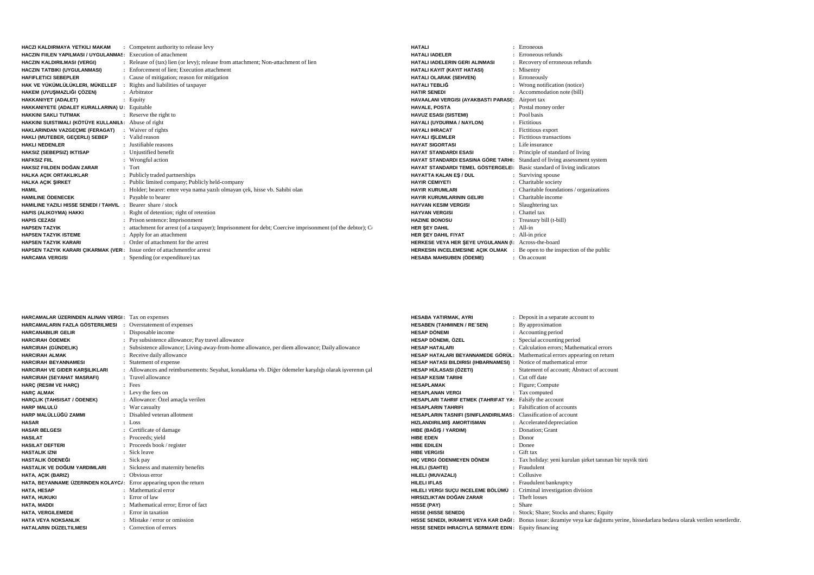| HACZI KALDIRMAYA YETKILI MAKAM                                          | : Competent authority to release levy                                                                    | <b>HATALI</b>          |
|-------------------------------------------------------------------------|----------------------------------------------------------------------------------------------------------|------------------------|
| HACZIN FIILEN YAPILMASI / UYGULANMAS: Execution of attachment           |                                                                                                          | <b>HATALI IADELER</b>  |
| HACZIN KALDIRILMASI (VERGI)                                             | : Release of (tax) lien (or levy); release from attachment; Non-attachment of lien                       | <b>HATALI IADELER</b>  |
| HACZIN TATBIKI (UYGULANMASI)                                            | : Enforcement of lien: Execution attachment                                                              | <b>HATALI KAYIT (K</b> |
| <b>HAFIFLETICI SEBEPLER</b>                                             | : Cause of mitigation; reason for mitigation                                                             | <b>HATALI OLARAK</b>   |
| HAK VE YÜKÜMLÜLÜKLERI, MÜKELLEF                                         | : Rights and liabilities of taxpayer                                                                     | <b>HATALI TEBLIĞ</b>   |
| HAKEM (UYUŞMAZLIĞI ÇÖZEN)                                               | : Arbitrator                                                                                             | <b>HATIR SENEDI</b>    |
| <b>HAKKANIYET (ADALET)</b>                                              | $:$ Equity                                                                                               | <b>HAVAALANI VER</b>   |
| HAKKANIYETE (ADALET KURALLARINA) U: Equitable                           |                                                                                                          | <b>HAVALE, POSTA</b>   |
| <b>HAKKINI SAKLI TUTMAK</b>                                             | : Reserve the right to                                                                                   | <b>HAVUZ ESASI (SI</b> |
| HAKKINI SUISTIMALI (KÖTÜYE KULLANILI: Abuse of right                    |                                                                                                          | <b>HAYALI (UYDURN</b>  |
| HAKLARINDAN VAZGECME (FERAGAT)                                          | : Waiver of rights                                                                                       | <b>HAYALI IHRACAT</b>  |
| HAKLI (MUTEBER, GECERLI) SEBEP                                          | : Valid reason                                                                                           | <b>HAYALI ISLEMLE</b>  |
| <b>HAKLI NEDENLER</b>                                                   | : Justifiable reasons                                                                                    | <b>HAYAT SIGORTA</b>   |
| HAKSIZ (SEBEPSIZ) IKTISAP                                               | : Unjustified benefit                                                                                    | <b>HAYAT STANDAR</b>   |
| <b>HAFKSIZ FIIL</b>                                                     | : Wrongful action                                                                                        | <b>HAYAT STANDAR</b>   |
| HAKSIZ FIILDEN DOĞAN ZARAR                                              | $:$ Tort                                                                                                 | <b>HAYAT STANDAR</b>   |
| HALKA AÇIK ORTAKLIKLAR                                                  | : Publicly traded partnerships                                                                           | <b>HAYATTA KALAN</b>   |
| <b>HALKA ACIK SIRKET</b>                                                | : Public limited company; Publicly held-company                                                          | <b>HAYIR CEMIYETI</b>  |
| <b>HAMIL</b>                                                            | : Holder; bearer: emre veya nama yazılı olmayan çek, hisse vb. Sahibi olan                               | <b>HAYIR KURUMLA</b>   |
| <b>HAMILINE ÖDENECEK</b>                                                | : Pavable to bearer                                                                                      | <b>HAYIR KURUMLA</b>   |
| <b>HAMILINE YAZILI HISSE SENEDI / TAHVIL : Bearer share / stock</b>     |                                                                                                          | <b>HAYVAN KESIM \</b>  |
| HAPIS (ALIKOYMA) HAKKI                                                  | : Right of detention; right of retention                                                                 | <b>HAYVAN VERGIS</b>   |
| <b>HAPIS CEZASI</b>                                                     | : Prison sentence: Imprisonment                                                                          | <b>HAZINE BONOSU</b>   |
| <b>HAPSEN TAZYIK</b>                                                    | : attachment for arrest (of a taxpayer); Imprisonment for debt; Coercive imprisonment (of the debtor); C | <b>HER SEY DAHIL</b>   |
| <b>HAPSEN TAZYIK ISTEME</b>                                             | : Apply for an attachment                                                                                | <b>HER SEY DAHIL F</b> |
| <b>HAPSEN TAZYIK KARARI</b>                                             | : Order of attachment for the arrest                                                                     | <b>HERKESE VEYA I</b>  |
| HAPSEN TAZYIK KARARI ÇIKARMAK (VER: Issue order of attachmentfor arrest |                                                                                                          | <b>HERKESIN INCEL</b>  |
| <b>HARCAMA VERGISI</b>                                                  | : Spending (or expenditure) tax                                                                          | <b>HESABA MAHSUI</b>   |

| <b>HATAII</b>                                                              | : Erroneous                              |
|----------------------------------------------------------------------------|------------------------------------------|
| <b>HATALI IADELER</b>                                                      | : Erroneous refunds                      |
| HATALI IADELERIN GERI ALINMASI                                             | : Recovery of erroneous refunds          |
| HATALI KAYIT (KAYIT HATASI)                                                | : Misentry                               |
| HATALI OLARAK (SEHVEN)                                                     | : Erroneously                            |
| HATALI TEBLIĞ                                                              | : Wrong notification (notice)            |
| HATIR SENEDI                                                               | : Accommodation note (bill)              |
| HAVAALANI VERGISI (AYAKBASTI PARASI): Airport tax                          |                                          |
| <b>HAVALE, POSTA</b>                                                       | : Postal money order                     |
| <b>HAVUZ ESASI (SISTEMI)</b>                                               | · Pool hasis                             |
| HAYALI (UYDURMA / NAYLON)                                                  | : Fictitious                             |
| <b>HAYALI IHRACAT</b>                                                      | : Fictitious export                      |
| HAYALI IŞLEMLER                                                            | : Fictitious transactions                |
| <b>HAYAT SIGORTASI</b>                                                     | : Life insurance                         |
| HAYAT STANDARDI ESASI                                                      | : Principle of standard of living        |
| HAYAT STANDARDI ESASINA GÖRE TARHI: Standard of living assessment system   |                                          |
| HAYAT STANDARDI TEMEL GÖSTERGELEI: Basic standard of living indicators     |                                          |
| HAYATTA KALAN ES / DUL                                                     | : Surviving spouse                       |
| <b>HAYIR CEMIYETI</b>                                                      | : Charitable society                     |
| HAYIR KURUMLARI                                                            | : Charitable foundations / organizations |
| HAYIR KURUMLARININ GELIRI                                                  | : Charitable income                      |
| HAYVAN KESIM VERGISI                                                       | : Slaughtering tax                       |
| <b>HAYVAN VERGISI</b>                                                      | : Chattel tax                            |
| <b>HAZINE BONOSU</b>                                                       | : Treasury bill (t-bill)                 |
| HER SEY DAHIL                                                              | : All-in                                 |
| HER SEY DAHIL FIYAT                                                        | : All-in price                           |
| HERKESE VEYA HER ŞEYE UYGULANAN (İ: Across-the-board                       |                                          |
| HERKESIN INCELEMESINE AÇIK OLMAK : Be open to the inspection of the public |                                          |
| HESABA MAHSUBEN (ÖDEME)                                                    | : On account                             |
|                                                                            |                                          |

| HARCAMALAR ÜZERINDEN ALINAN VERGI: Tax on expenses                 |                                                                                                       | <b>HESABA YATIRMAK, AYRI</b>                                              | Deposit in a separate account to                                                                                                      |
|--------------------------------------------------------------------|-------------------------------------------------------------------------------------------------------|---------------------------------------------------------------------------|---------------------------------------------------------------------------------------------------------------------------------------|
| <b>HARCAMALARIN FAZLA GÖSTERILMESI : Overstatement of expenses</b> |                                                                                                       | <b>HESABEN (TAHMINEN / RE`SEN)</b>                                        | : By approximation                                                                                                                    |
| <b>HARCANABILIR GELIR</b>                                          | : Disposable income                                                                                   | <b>HESAP DÖNEMI</b>                                                       | : Accounting period                                                                                                                   |
| <b>HARCIRAH ÖDEMEK</b>                                             | : Pay subsistence allowance; Pay travel allowance                                                     | HESAP DÖNEMI, ÖZEL                                                        | : Special accounting period                                                                                                           |
| HARCIRAH (GÜNDELIK)                                                | : Subsistence allowance; Living-away-from-home allowance, per diem allowance; Daily allowance         | <b>HESAP HATALARI</b>                                                     | : Calculation errors: Mathematical errors                                                                                             |
| <b>HARCIRAH ALMAK</b>                                              | : Receive daily allowance                                                                             | HESAP HATALARI BEYANNAMEDE GÖRÜL: Mathematical errors appearing on return |                                                                                                                                       |
| <b>HARCIRAH BEYANNAMESI</b>                                        | : Statement of expense                                                                                | HESAP HATASI BILDIRISI (IHBARNAMESI) : Notice of mathematical error       |                                                                                                                                       |
| HARCIRAH VE GIDER KARSILIKLARI                                     | : Allowances and reimbursements: Seyahat, konaklama vb. Diğer ödemeler karşılığı olarak isverenin çal | HESAP HÜLASASI (ÖZETI)                                                    | : Statement of account: Abstract of account                                                                                           |
| <b>HARCIRAH (SEYAHAT MASRAFI)</b>                                  | : Travel allowance                                                                                    | <b>HESAP KESIM TARIHI</b>                                                 | : Cut off date                                                                                                                        |
| <b>HARC (RESIM VE HARC)</b>                                        | $:$ Fees                                                                                              | <b>HESAPLAMAK</b>                                                         | : Figure; Compute                                                                                                                     |
| <b>HARC ALMAK</b>                                                  | : Levy the fees on                                                                                    | <b>HESAPLANAN VERGI</b>                                                   | : Tax computed                                                                                                                        |
| HARCLIK (TAHSISAT / ÖDENEK)                                        | : Allowance: Özel amaçla verilen                                                                      | HESAPLARI TAHRIF ETMEK (TAHRIFAT YA: Falsify the account                  |                                                                                                                                       |
| <b>HARP MALULÜ</b>                                                 | : War casualty                                                                                        | <b>HESAPLARIN TAHRIFI</b>                                                 | : Falsification of accounts                                                                                                           |
| HARP MALÜLLÜĞÜ ZAMMI                                               | : Disabled veteran allotment                                                                          | HESAPLARIN TASNIFI (SINIFLANDIRILMAS: Classification of account           |                                                                                                                                       |
| <b>HASAR</b>                                                       | $:$ Loss                                                                                              | <b>HIZLANDIRILMIS AMORTISMAN</b>                                          | : Accelerated depreciation                                                                                                            |
| <b>HASAR BELGESI</b>                                               | : Certificate of damage                                                                               | HIBE (BAĞIŞ / YARDIM)                                                     | : Donation: Grant                                                                                                                     |
| <b>HASILAT</b>                                                     | : Proceeds; yield                                                                                     | <b>HIBE EDEN</b>                                                          | : Donor                                                                                                                               |
| <b>HASILAT DEFTERI</b>                                             | : Proceeds book / register                                                                            | <b>HIBE EDILEN</b>                                                        | : Donee                                                                                                                               |
| <b>HASTALIK IZNI</b>                                               | : Sick leave                                                                                          | <b>HIBE VERGISI</b>                                                       | : Gift tax                                                                                                                            |
| <b>HASTALIK ÖDENEĞI</b>                                            | : Sick pay                                                                                            | HIC VERGI ÖDENMEYEN DÖNEM                                                 | : Tax holiday: yeni kurulan sirket tanınan bir teşvik türü                                                                            |
| HASTALIK VE DOĞUM YARDIMLARI                                       | : Sickness and maternity benefits                                                                     | <b>HILELI (SAHTE)</b>                                                     | : Fraudulent                                                                                                                          |
| HATA, AÇIK (BARIZ)                                                 | : Obvious error                                                                                       | HILELI (MUVAZALI)                                                         | : Collusive                                                                                                                           |
| HATA, BEYANNAME ÜZERINDEN KOLAYC/: Error appearing upon the return |                                                                                                       | <b>HILELI IFLAS</b>                                                       | : Fraudulent bankruptcy                                                                                                               |
| <b>HATA, HESAP</b>                                                 | : Mathematical error                                                                                  | HILELI VERGI SUÇU INCELEME BÖLÜMÜ : Criminal investigation division       |                                                                                                                                       |
| HATA, HUKUKI                                                       | : Error of law                                                                                        | HIRSIZLIKTAN DOĞAN ZARAR                                                  | : Theft losses                                                                                                                        |
| <b>HATA, MADDI</b>                                                 | : Mathematical error: Error of fact                                                                   | <b>HISSE (PAY)</b>                                                        | : Share                                                                                                                               |
| HATA, VERGILEMEDE                                                  | : Error in taxation                                                                                   | <b>HISSE (HISSE SENEDI)</b>                                               | : Stock; Share; Stocks and shares; Equity                                                                                             |
| <b>HATA VEYA NOKSANLIK</b>                                         | : Mistake / error or omission                                                                         |                                                                           | HISSE SENEDI, IKRAMIYE VEYA KAR DAĞI: Bonus issue: ikramiye veya kar dağıtımı yerine, hissedarlara bedava olarak verilen senetlerdir. |
| HATALARIN DÜZELTILMESI                                             | : Correction of errors                                                                                | HISSE SENEDI IHRACIYLA SERMAYE EDIN: Equity financing                     |                                                                                                                                       |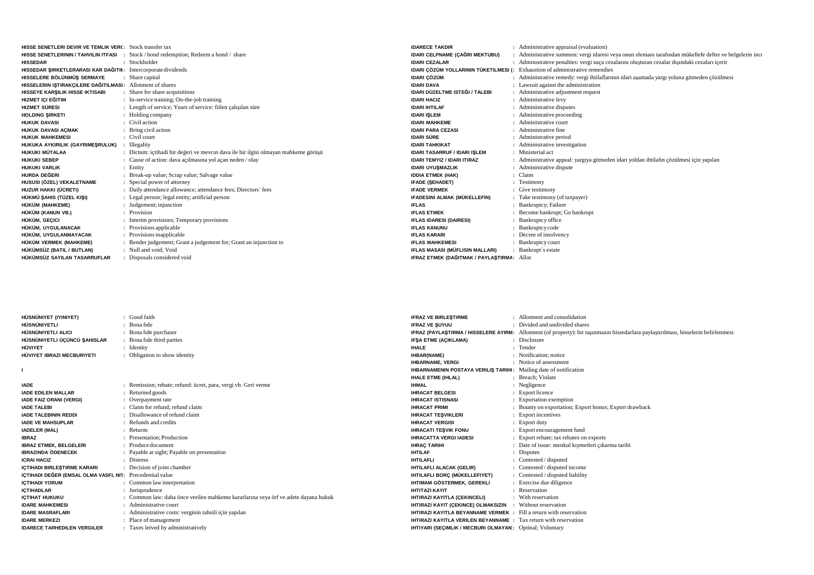| <b>HISSE SENETI ERI DEVIR VE TEMI IK VERC</b> Stock transfer tax |                                                                                    |
|------------------------------------------------------------------|------------------------------------------------------------------------------------|
| HISSE SENETLERININ / TAHVILIN ITFASI                             | Stock / bond redemption; Redeem a bond / share                                     |
| <b>HISSEDAR</b>                                                  | : Stockholder                                                                      |
| HISSEDAR ŞIRKETLERARASI KAR DAĞITII: Intercorporate dividends    |                                                                                    |
| HISSELERE BÖLÜNMÜS SERMAYE                                       | : Share capital                                                                    |
| HISSELERIN IŞTIRAKÇILERE DAĞITILMASI: Allotment of shares        |                                                                                    |
| HISSEYE KARŞILIK HISSE IKTISABI                                  | : Share for share acquisitions                                                     |
| HIZMET ICI EĞITIM                                                | : In-service training; On-the-job training                                         |
| <b>HIZMET SÜRESI</b>                                             | : Length of service; Years of service: fiilen calisilan süre                       |
| <b>HOLDING SIRKETI</b>                                           | Holding company                                                                    |
| <b>HUKUK DAVASI</b>                                              | : Civil action                                                                     |
| HUKUK DAVASI AÇMAK                                               | : Bring civil action                                                               |
| <b>HUKUK MAHKEMESI</b>                                           | : Civil court                                                                      |
| HUKUKA AYKIRILIK (GAYRIMEŞRULUK)                                 | <b>Illegality</b>                                                                  |
| <b>HUKUKI MÜTALAA</b>                                            | : Dictum: ictihadi bir değeri ve mevcut dava ile bir ilgisi olmayan mahkeme görüşü |
| <b>HUKUKI SEBEP</b>                                              | Cause of action: dava acılmasına yol açan neden / olay                             |
| <b>HUKUKI VARLIK</b>                                             | : Entity                                                                           |
| HURDA DEĞERI                                                     | : Break-up value; Scrap value; Salvage value                                       |
| HUSUSI (ÖZEL) VEKALETNAME                                        | : Special power of attorney                                                        |
| HUZUR HAKKI (ÜCRETI)                                             | Daily attendance allowance; attendance fees; Directors' fees                       |
| HÜKMÜ ŞAHIS (TÜZEL KIŞI)                                         | : Legal person; legal entity; artificial person                                    |
| HÜKÜM (MAHKEME)                                                  | : Judgement; injunction                                                            |
| HÜKÜM (KANUN VB.)                                                | $\cdot$ Provision                                                                  |
| HÜKÜM, GEÇICI                                                    | Interim provisions; Temporary provisions                                           |
| HÜKÜM, UYGULANACAK                                               | : Provisions applicable                                                            |
| HÜKÜM. UYGULANMAYACAK                                            | : Provisions inapplicable                                                          |
| HÜKÜM VERMEK (MAHKEME)                                           | : Render judgement; Grant a judgement for; Grant an injunction to                  |
| HÜKÜMSÜZ (BATIL / BUTLAN)                                        | : Null and void: Void                                                              |
| HÜKÜMSÜZ SAYILAN TASARRUFLAR                                     | : Disposals considered void                                                        |

| <b>IDARECE TAKDIR</b>                      | Administrative appraisal (evaluation)                                                                 |
|--------------------------------------------|-------------------------------------------------------------------------------------------------------|
| IDARI CELPNAME (ÇAĞRI MEKTUBU)             | Administrative summon: vergi idaresi veya onun elemanı tarafından mükellefe defter ve belgelerin ince |
| <b>IDARI CEZALAR</b>                       | Administrative penalties: vergi suçu cezalarını oluşturan cezalar dışındaki cezaları içerir           |
|                                            | <b>IDARI ÇÖZÜM YOLLARININ TÜKETILMESI (:</b> Exhaustion of administrative remendies                   |
| <b>IDARI ÇÖZÜM</b>                         | : Administrative remedy: vergi ihtilaflarının idari aşamada yargı yoluna gitmeden çözülmesi           |
| <b>IDARI DAVA</b>                          | Lawsuit against the administration                                                                    |
| IDARI DÜZELTME ISTEĞI / TALEBI             | Administrative adjustment request                                                                     |
| <b>IDARI HACIZ</b>                         | Administrative levy                                                                                   |
| <b>IDARI IHTILAF</b>                       | Administrative disputes                                                                               |
| <b>IDARI ISLEM</b>                         | Administrative proceeding                                                                             |
| <b>IDARI MAHKEME</b>                       | Administrative court                                                                                  |
| <b>IDARI PARA CEZASI</b>                   | Administrative fine                                                                                   |
| <b>IDARI SÜRE</b>                          | Administrative period                                                                                 |
| <b>IDARI TAHKIKAT</b>                      | Administrative investigation                                                                          |
| <b>IDARI TASARRUF / IDARI ISLEM</b>        | Ministerial act                                                                                       |
| <b>IDARI TEMYIZ / IDARI ITIRAZ</b>         | Administrative appeal: yargıya gitmeden idari yoldan ihtilafın çözülmesi için yapılan                 |
| <b>IDARI UYUŞMAZLIK</b>                    | Administrative dispute                                                                                |
| <b>IDDIA ETMEK (HAK)</b>                   | Claim                                                                                                 |
| <b>IFADE (SEHADET)</b>                     | Testimony                                                                                             |
| <b>IFADE VERMEK</b>                        | Give testimony                                                                                        |
| IFADESINI ALMAK (MÜKELLEFIN)               | Take testimony (of taxpayer)                                                                          |
| <b>IFLAS</b>                               | Bankruptcy; Failure                                                                                   |
| <b>IFLAS ETMEK</b>                         | Become bankrupt; Go bankrupt                                                                          |
| <b>IFLAS IDARESI (DAIRESI)</b>             | Bankruptcy office                                                                                     |
| <b>IFLAS KANUNU</b>                        | Bankruptcy code                                                                                       |
| <b>IFLAS KARARI</b>                        | Decree of insolvency                                                                                  |
| <b>IFLAS MAHKEMESI</b>                     | Bankruptcy court                                                                                      |
| IFLAS MASASI (MÜFLISIN MALLARI)            | : Bankrupt's estate                                                                                   |
| IFRAZ ETMEK (DAĞITMAK / PAYLAŞTIRMA: Allot |                                                                                                       |
|                                            |                                                                                                       |

| HÜSNÜNIYET (IYINIYET)        | : Good faith                  |
|------------------------------|-------------------------------|
| <b>HÜSNÜNIYETLI</b>          | : Bona fide                   |
| HÜSNÜNIYETLI ALICI           | : Bona fide purchaser         |
| HÜSNÜNIYETLI ÜCÜNCÜ SAHISLAR | : Bona fide third parties     |
| <b>HÜVIYET</b>               | : Identity                    |
| HÜVIYET IBRAZI MECBURIYETI   | : Obligation to show identity |

**I**

| <b>IADE</b>                                               | : Remission; rebate; refund: ücret, para, vergi vb. Geri verme                     |
|-----------------------------------------------------------|------------------------------------------------------------------------------------|
| <b>IADE EDILEN MALLAR</b>                                 | : Returned goods                                                                   |
| <b>IADE FAIZ ORANI (VERGI)</b>                            | : Overpayment rate                                                                 |
| <b>IADE TALEBI</b>                                        | : Claim for refund: refund claim                                                   |
| <b>IADE TALEBININ REDDI</b>                               | : Disallowance of refund claim                                                     |
| <b>IADE VE MAHSUPLAR</b>                                  | : Refunds and credits                                                              |
| <b>IADELER (MAL)</b>                                      | : Returns                                                                          |
| <b>IBRAZ</b>                                              | : Presentation: Production                                                         |
| <b>IBRAZ ETMEK, BELGELERI</b>                             | : Produce document                                                                 |
| <b>IBRAZINDA ÖDENECEK</b>                                 | : Payable at sight; Payable on presentation                                        |
| <b>ICRAI HACIZ</b>                                        | : Distress                                                                         |
| IÇTIHADI BIRLEŞTIRME KARARI                               | : Decision of joint chamber                                                        |
| IÇTIHADI DEĞER (EMSAL OLMA VASFI, NI1: Precedential value |                                                                                    |
| <b>ICTIHADI YORUM</b>                                     | : Common law interpretation                                                        |
| <b>ICTIHADLAR</b>                                         | : Jurisprudence                                                                    |
| <b>ICTIHAT HUKUKU</b>                                     | : Common law: daha önce verilen mahkeme kararlarına veya örf ve adete dayana hukuk |
| <b>IDARE MAHKEMESI</b>                                    | : Administrative court                                                             |
| <b>IDARE MASRAFLARI</b>                                   | : Administrative costs: verginin tahsili için yapılan                              |
| <b>IDARE MERKEZI</b>                                      | : Place of management                                                              |
| <b>IDARECE TARHEDILEN VERGILER</b>                        | : Taxes leived by administratively                                                 |
|                                                           |                                                                                    |

| <b>IFRAZ VE BIRLESTIRME</b>                                               | : Allotment and consolidation                                                                                                       |
|---------------------------------------------------------------------------|-------------------------------------------------------------------------------------------------------------------------------------|
| <b>IFRAZ VE SUYUU</b>                                                     | : Divided and undivided shares                                                                                                      |
|                                                                           | IFRAZ (PAYLAŞTIRMA / HISSELERE AYIRM: Allotment (of property): bir taşınmazın hissedarlara paylaştırılması, hisselerin belirlenmesi |
| <b>IFSA ETME (ACIKLAMA)</b>                                               | : Disclosure                                                                                                                        |
| <b>IHALE</b>                                                              | : Tender                                                                                                                            |
| <b>IHBAR(NAME)</b>                                                        | : Notification; notice                                                                                                              |
| <b>IHBARNAME, VERGI</b>                                                   | : Notice of assessment                                                                                                              |
| <b>IHBARNAMENIN POSTAYA VERILIS TARIHI:</b> Mailing date of notification  |                                                                                                                                     |
| <b>IHALE ETME (IHLAL)</b>                                                 | : Breach: Violate                                                                                                                   |
| <b>IHMAL</b>                                                              | : Negligence                                                                                                                        |
| <b>IHRACAT BELGESI</b>                                                    | : Export licence                                                                                                                    |
| <b>IHRACAT ISTISNASI</b>                                                  | : Exportation exemption                                                                                                             |
| <b>IHRACAT PRIMI</b>                                                      | : Bounty on exportation; Export bonus; Export drawback                                                                              |
| <b>IHRACAT TESVIKLERI</b>                                                 | : Export incentives                                                                                                                 |
| <b>IHRACAT VERGISI</b>                                                    | : Export duty                                                                                                                       |
| <b>IHRACATI TESVIK FONU</b>                                               | : Export encouragement fund                                                                                                         |
| <b>IHRACATTA VERGI IADESI</b>                                             | : Export rebate; tax rebates on exports                                                                                             |
| <b>IHRAC TARIHI</b>                                                       | : Date of issue: menkul kıymetleri çıkarma tarihi                                                                                   |
| <b>IHTILAF</b>                                                            | <b>Disputes</b>                                                                                                                     |
| <b>IHTILAFLI</b>                                                          | : Contested / disputed                                                                                                              |
| <b>IHTILAFLI ALACAK (GELIR)</b>                                           | : Contested / disputed income                                                                                                       |
| IHTILAFLI BORÇ (MÜKELLEFIYET)                                             | : Contested / disputed liability                                                                                                    |
| IHTIMAM GÖSTERMEK, GEREKLI                                                | : Exercise due diligence                                                                                                            |
| <b>IHTITAZI KAYIT</b>                                                     | : Reservation                                                                                                                       |
| IHTIRAZI KAYITLA (ÇEKINCELI)                                              | : With reservation                                                                                                                  |
| IHTIRAZI KAYIT (CEKINCE) OLMAKSIZIN : Without reservation                 |                                                                                                                                     |
| <b>IHTIRAZI KAYITLA BEYANNAME VERMEK : Fill a return with reservation</b> |                                                                                                                                     |
| <b>IHTIRAZI KAYITLA VERILEN BEYANNAME : Tax return with reservation</b>   |                                                                                                                                     |
| IHTIYARI (SEÇIMLIK / MECBURI OLMAYAN: Optinal; Voluntary                  |                                                                                                                                     |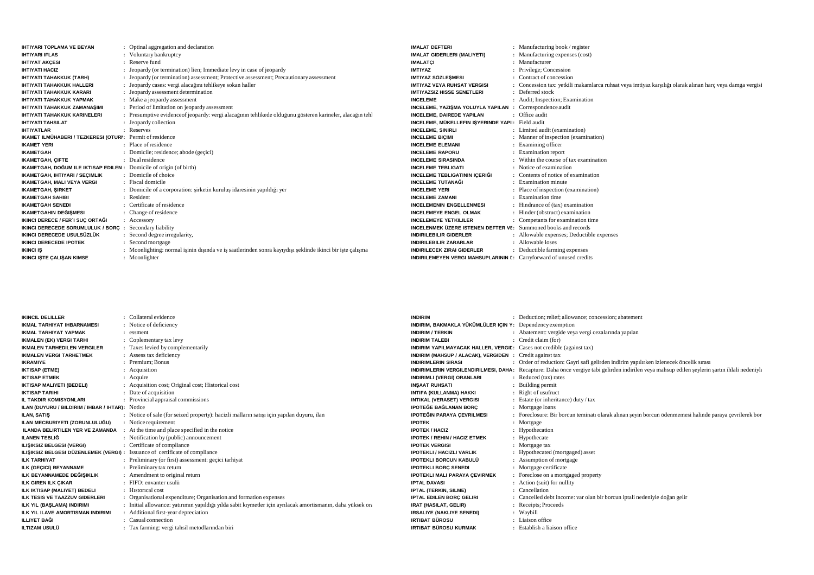| <b>IHTIYARI TOPLAMA VE BEYAN</b>                                    | Optinal aggregation and declaration                                                                       | <b>IMALAT DEFTERI</b>                                                 | : Manufacturing book / register                                                                          |
|---------------------------------------------------------------------|-----------------------------------------------------------------------------------------------------------|-----------------------------------------------------------------------|----------------------------------------------------------------------------------------------------------|
| <b>IHTIYARI IFLAS</b>                                               | Voluntary bankruptcy                                                                                      | IMALAT GIDERLERI (MALIYETI)                                           | : Manufacturing expenses (cost)                                                                          |
| <b>IHTIYAT AKCESI</b>                                               | : Reserve fund                                                                                            | <b>IMALATCI</b>                                                       | : Manufacturer                                                                                           |
| <b>IHTIYATI HACIZ</b>                                               | : Jeopardy (or termination) lien; Immediate levy in case of jeopardy                                      | <b>IMTIYAZ</b>                                                        | : Privilege; Concession                                                                                  |
| IHTIYATI TAHAKKUK (TARH)                                            | : Jeopardy (or termination) assessment; Protective assessment; Precautionary assessment                   | <b>IMTIYAZ SÖZLEŞMESI</b>                                             | : Contract of concession                                                                                 |
| <b>IHTIYATI TAHAKKUK HALLERI</b>                                    | : Jeopardy cases: vergi alacağını tehlikeye sokan haller                                                  | <b>IMTIYAZ VEYA RUHSAT VERGISI</b>                                    | : Concession tax: yetkili makamlarca ruhsat veya imtiyaz karşılığı olarak alınan harc veya damga vergisi |
| <b>IHTIYATI TAHAKKUK KARARI</b>                                     | : Jeopardy assessment determination                                                                       | IMTIYAZSIZ HISSE SENETLERI                                            | : Deferred stock                                                                                         |
| <b>IHTIYATI TAHAKKUK YAPMAK</b>                                     | : Make a jeopardy assessment                                                                              | <b>INCELEME</b>                                                       | : Audit: Inspection; Examination                                                                         |
| IHTIYATI TAHAKKUK ZAMANAŞIMI                                        | : Period of limitation on jeopardy assessment                                                             | INCELEME, YAZIŞMA YOLUYLA YAPILAN                                     | : Correspondence audit                                                                                   |
| <b>IHTIYATI TAHAKKUK KARINELERI</b>                                 | : Presumptive evidence of jeopardy: vergi alacağının tehlikede olduğunu gösteren karineler, alacağın tehl | <b>INCELEME, DAIREDE YAPILAN</b>                                      | : Office audit                                                                                           |
| <b>IHTIYATI TAHSILAT</b>                                            | : Jeopardy collection                                                                                     | INCELEME, MÜKELLEFIN IŞYERINDE YAPI: Field audit                      |                                                                                                          |
| <b>IHTIYATLAR</b>                                                   | : Reserves                                                                                                | <b>INCELEME, SINIRLI</b>                                              | : Limited audit (examination)                                                                            |
| IKAMET ILMÜHABERI / TEZKERESI (OTURI: Permit of residence           |                                                                                                           | <b>INCELEME BICIMI</b>                                                | : Manner of inspection (examination)                                                                     |
| <b>IKAMET YERI</b>                                                  | : Place of residence                                                                                      | <b>INCELEME ELEMANI</b>                                               | : Examining officer                                                                                      |
| <b>IKAMETGAH</b>                                                    | : Domicile; residence; abode (geçici)                                                                     | <b>INCELEME RAPORU</b>                                                | : Examination report                                                                                     |
| <b>IKAMETGAH, CIFTE</b>                                             | : Dual residence                                                                                          | <b>INCELEME SIRASINDA</b>                                             | : Within the course of tax examination                                                                   |
| IKAMETGAH, DOĞUM ILE IKTISAP EDILEN : Domicile of origin (of birth) |                                                                                                           | <b>INCELEME TEBLIGATI</b>                                             | : Notice of examination                                                                                  |
| IKAMETGAH, IHTIYARI / SECIMLIK                                      | : Domicile of choice                                                                                      | <b>INCELEME TEBLIGATININ ICERIĞI</b>                                  | : Contents of notice of examination                                                                      |
| <b>IKAMETGAH, MALI VEYA VERGI</b>                                   | : Fiscal domicile                                                                                         | <b>INCELEME TUTANAĞI</b>                                              | : Examination minute                                                                                     |
| <b>IKAMETGAH, SIRKET</b>                                            | Domicile of a corporation: sirketin kurulus idaresinin yapıldığı yer                                      | <b>INCELEME YERI</b>                                                  | : Place of inspection (examination)                                                                      |
| <b>IKAMETGAH SAHIBI</b>                                             | Resident                                                                                                  | <b>INCELEME ZAMANI</b>                                                | : Examination time                                                                                       |
| <b>IKAMETGAH SENEDI</b>                                             | : Certificate of residence                                                                                | <b>INCELEMENIN ENGELLENMESI</b>                                       | : Hindrance of (tax) examination                                                                         |
| IKAMETGAHIN DEĞIŞMESI                                               | : Change of residence                                                                                     | <b>INCELEMEYE ENGEL OLMAK</b>                                         | : Hinder (obstruct) examination                                                                          |
| IKINCI DERECE / FER'I SUÇ ORTAĞI                                    | $:$ Accessory                                                                                             | <b>INCELEMEYE YETKILILER</b>                                          | : Competants for examination time                                                                        |
| IKINCI DERECEDE SORUMLULUK / BORC                                   | Secondary liability                                                                                       | <b>INCELENMEK ÜZERE ISTENEN DEFTER VE:</b> Summoned books and records |                                                                                                          |
| IKINCI DERECEDE USULSÜZLÜK                                          | Second degree irregularity,                                                                               | <b>INDIRILEBILIR GIDERLER</b>                                         | : Allowable expenses; Deductible expenses                                                                |
| <b>IKINCI DERECEDE IPOTEK</b>                                       | Second mortgage                                                                                           | <b>INDIRILEBILIR ZARARLAR</b>                                         | : Allowable loses                                                                                        |
| <b>IKINCI IS</b>                                                    | : Moonlighting: normal isinin disinda ve is saatlerinden sonra kayıydışı şeklinde ikinci bir iste çalışma | <b>INDIRILECEK ZIRAI GIDERLER</b>                                     | : Deductible farming expenses                                                                            |
| <b>IKINCI ISTE CALISAN KIMSE</b>                                    | : Moonlighter                                                                                             | INDIRILEMEYEN VERGI MAHSUPLARININ E: Carryforward of unused credits   |                                                                                                          |

| <b>IKINCIL DELILLER</b>                   | : Collateral evidence                                                                                       | <b>INDIRIM</b>                                                               | : Deduction: relief: allowance: concession: abatement                                                                                                 |
|-------------------------------------------|-------------------------------------------------------------------------------------------------------------|------------------------------------------------------------------------------|-------------------------------------------------------------------------------------------------------------------------------------------------------|
| <b>IKMAL TARHIYAT IHBARNAMESI</b>         | Notice of deficiency                                                                                        | INDIRIM, BAKMAKLA YÜKÜMLÜLER IÇIN Y: Dependency exemption                    |                                                                                                                                                       |
| <b>IKMAL TARHIYAT YAPMAK</b>              | : essment                                                                                                   | <b>INDIRIM / TERKIN</b>                                                      | : Abatement: vergide veya vergi cezalarında yapılan                                                                                                   |
| <b>IKMALEN (EK) VERGI TARHI</b>           | Coplementary tax levy                                                                                       | <b>INDIRIM TALEBI</b>                                                        | : Credit claim (for)                                                                                                                                  |
| <b>IKMALEN TARHEDILEN VERGILER</b>        | : Taxes levied by complementarily                                                                           | <b>INDIRIM YAPILMAYACAK HALLER, VERGIL:</b> Cases not credible (against tax) |                                                                                                                                                       |
| <b>IKMALEN VERGI TARHETMEK</b>            | : Assess tax deficiency                                                                                     | INDIRIM (MAHSUP / ALACAK), VERGIDEN : Credit against tax                     |                                                                                                                                                       |
| <b>IKRAMIYE</b>                           | Premium: Bonus                                                                                              | <b>INDIRIMLERIN SIRASI</b>                                                   | : Order of reduction: Gayri safi gelirden indirim yapılırken izlenecek öncelik sırası                                                                 |
| <b>IKTISAP (ETME)</b>                     | : Acquisition                                                                                               |                                                                              | <b>INDIRIMLERIN VERGILENDIRILMESI, DAHA:</b> Recapture: Daha önce vergiye tabi gelirden indirilen veya mahsup edilen seylerin sartın ihlali nedeniyle |
| <b>IKTISAP ETMEK</b>                      | : Acquire                                                                                                   | <b>INDIRIMLI (VERGI) ORANLARI</b>                                            | : Reduced (tax) rates                                                                                                                                 |
| <b>IKTISAP MALIYETI (BEDELI)</b>          | : Acquisition cost; Original cost; Historical cost                                                          | <b>INSAAT RUHSATI</b>                                                        | : Building permit                                                                                                                                     |
| <b>IKTISAP TARIHI</b>                     | Date of acquisition                                                                                         | INTIFA (KULLANMA) HAKKI                                                      | : Right of usufruct                                                                                                                                   |
| IL TAKDIR KOMISYONLARI                    | Provincial appraisal commissions                                                                            | <b>INTIKAL (VERASET) VERGISI</b>                                             | : Estate (or inheritance) duty / tax                                                                                                                  |
| ILAN (DUYURU / BILDIRIM / IHBAR / IHTAR): | Notice                                                                                                      | <b>IPOTEĞE BAĞLANAN BORÇ</b>                                                 | : Mortgage loans                                                                                                                                      |
| <b>ILAN. SATIS</b>                        | : Notice of sale (for seized property): hacizli malların satışı için yapılan duyuru, ilan                   | <b>IPOTEĞIN PARAYA CEVRILMESI</b>                                            | : Foreclosure: Bir borcun teminati olarak alınan seyin borcun ödenmemesi halinde paraya çevrilerek bor                                                |
| ILAN MECBURIYETI (ZORUNLULUĞU)            | : Notice requirement                                                                                        | <b>IPOTEK</b>                                                                | : Mortgage                                                                                                                                            |
| <b>ILANDA BELIRTILEN YER VE ZAMANDA</b>   | : At the time and place specified in the notice                                                             | <b>IPOTEK / HACIZ</b>                                                        | : Hypothecation                                                                                                                                       |
| <b>ILANEN TEBLIĞ</b>                      | : Notification by (public) announcement                                                                     | <b>IPOTEK / REHIN / HACIZ ETMEK</b>                                          | : Hypothecate                                                                                                                                         |
| ILIŞIKSIZ BELGESI (VERGI)                 | : Certificate of compliance                                                                                 | <b>IPOTEK VERGISI</b>                                                        | : Mortgage tax                                                                                                                                        |
| ILISIKSIZ BELGESI DÜZENLEMEK (VERGI) :    | Issuance of certificate of compliance                                                                       | <b>IPOTEKLI / HACIZLI VARLIK</b>                                             | : Hypothecated (mortgaged) asset                                                                                                                      |
| <b>ILK TARHIYAT</b>                       | : Preliminary (or first) assessment: gecici tarhiyat                                                        | <b>IPOTEKLI BORCUN KABULÜ</b>                                                | : Assumption of mortgage                                                                                                                              |
| ILK (GECICI) BEYANNAME                    | : Preliminary tax return                                                                                    | <b>IPOTEKLI BORC SENEDI</b>                                                  | : Mortgage certificate                                                                                                                                |
| ILK BEYANNAMEDE DEĞIŞIKLIK                | : Amendment to original return                                                                              | <b>IPOTEKLI MALI PARAYA ÇEVIRMEK</b>                                         | : Foreclose on a mortgaged property                                                                                                                   |
| ILK GIREN ILK CIKAR                       | : FIFO: envanter usulü                                                                                      | <b>IPTAL DAVASI</b>                                                          | : Action (suit) for nullity                                                                                                                           |
| ILK IKTISAP (MALIYET) BEDELI              | : Historical cost                                                                                           | <b>IPTAL (TERKIN, SILME)</b>                                                 | : Cancellation                                                                                                                                        |
| ILK TESIS VE TAAZZUV GIDERLERI            | Organisational expenditure; Organisation and formation expenses                                             | IPTAL EDILEN BORC GELIRI                                                     | : Cancelled debt income: var olan bir borcun iptali nedeniyle doğan gelir                                                                             |
| ILK YIL (BAŞLAMA) INDIRIMI                | : Initial allowance: yatırımın yapıldığı yılda sabit kıymetler için ayrılacak amortismanın, daha yüksek ora | IRAT (HASILAT, GELIR)                                                        | : Receipts; Proceeds                                                                                                                                  |
| ILK YIL ILAVE AMORTISMAN INDIRIMI         | : Additional first-year depreciation                                                                        | <b>IRSALIYE (NAKLIYE SENEDI)</b>                                             | : Waybill                                                                                                                                             |
| <b>ILLIYET BAĞI</b>                       | Casual connection                                                                                           | <b>IRTIBAT BÜROSU</b>                                                        | : Liaison office                                                                                                                                      |
| <b>ILTIZAM USULÜ</b>                      | : Tax farming: vergi tahsil metodlarından biri                                                              | <b>IRTIBAT BÜROSU KURMAK</b>                                                 | : Establish a liaison office                                                                                                                          |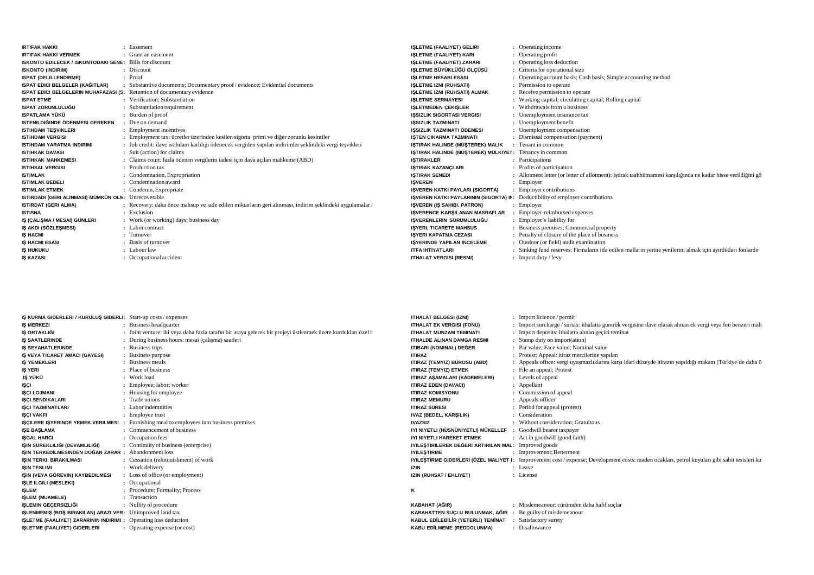| <b>IRTIFAK HAKKI</b>                                                    | : Easement                                                                                              | <b>ISLETME (FAALIYET) GELIRI</b>                       | : Operating income                                                                                            |
|-------------------------------------------------------------------------|---------------------------------------------------------------------------------------------------------|--------------------------------------------------------|---------------------------------------------------------------------------------------------------------------|
| <b>IRTIFAK HAKKI VERMEK</b>                                             | : Grant an easement                                                                                     | <b>ISLETME (FAALIYET) KARI</b>                         | : Operating profit                                                                                            |
| <b>ISKONTO EDILECEK / ISKONTODAKI SENE:</b> Bills for discount          |                                                                                                         | <b>ISLETME (FAALIYET) ZARARI</b>                       | : Operating loss deduction                                                                                    |
| <b>ISKONTO (INDIRIM)</b>                                                | : Discount                                                                                              | <b>ISLETME BÜYÜKLÜĞÜ ÖLCÜSÜ</b>                        | : Criteria for operational size                                                                               |
| <b>ISPAT (DELILLENDIRME)</b>                                            | : Proof                                                                                                 | <b>ISLETME HESABI ESASI</b>                            | : Operating account basis; Cash basis; Simple accounting method                                               |
| ISPAT EDICI BELGELER (KAĞITLAR)                                         | : Substantive documents; Documentary proof / evidence; Evidential documents                             | <b>ISLETME IZNI (RUHSATI)</b>                          | Permission to operate                                                                                         |
| ISPAT EDICI BELGELERIN MUHAFAZASI (S: Retention of documentary evidence |                                                                                                         | <b>ISLETME IZNI (RUHSATI) ALMAK</b>                    | : Receive permission to operate                                                                               |
| <b>ISPAT ETME</b>                                                       | : Verification: Substantiation                                                                          | <b>ISLETME SERMAYESI</b>                               | : Working capital; circulating capital; Rolling capital                                                       |
| <b>ISPAT ZORUNLULUĞU</b>                                                | : Substantiation requirement                                                                            | <b>ISLETMEDEN CEKISLER</b>                             | : Withdrawals from a business                                                                                 |
| <b>ISPATLAMA YÜKÜ</b>                                                   | : Burden of proof                                                                                       | <b>ISSIZLIK SIGORTASI VERGISI</b>                      | : Unemployment insurance tax                                                                                  |
| ISTENILDIĞINDE ÖDENMESI GEREKEN                                         | : Due on demand                                                                                         | <b>ISSIZLIK TAZMINATI</b>                              | : Unemployment benefit                                                                                        |
| <b>ISTIHDAM TESVIKLERI</b>                                              | : Employment incentives                                                                                 | <b>ISSIZLIK TAZMINATI ÖDEMESI</b>                      | : Unemployment compensation                                                                                   |
| <b>ISTIHDAM VERGISI</b>                                                 | : Employment tax: ücretler üzerinden kesilen sigorta primi ve diğer zorunlu kesintiler                  | <b>ISTEN CIKARMA TAZMINATI</b>                         | Dismissal compensation (payment)                                                                              |
| <b>ISTIHDAM YARATMA INDIRIMI</b>                                        | : Job credit: ilave istihdam karlılığı ödenecek vergiden yapılan indirimler şeklindeki vergi tesvikleri | ISTIRAK HALINDE (MÜSTEREK) MALIK                       | : Tenant in common                                                                                            |
| <b>ISTIHKAK DAVASI</b>                                                  | : Suit (action) for claims                                                                              | ISTIRAK HALINDE (MÜSTEREK) MÜLKIYET: Tenancy in common |                                                                                                               |
| <b>ISTIHKAK MAHKEMESI</b>                                               | : Claims court: fazla ödenen vergilerin iadesi için dava açılan mahkeme (ABD)                           | <b>ISTIRAKLER</b>                                      | : Participations                                                                                              |
| <b>ISTIHSAL VERGISI</b>                                                 | : Production tax                                                                                        | <b>ISTIRAK KAZANÇLARI</b>                              | : Profits of participation                                                                                    |
| <b>ISTIMLAK</b>                                                         | : Condemnation, Expropriation                                                                           | <b>ISTIRAK SENEDI</b>                                  | : Allotment letter (or letter of allotment): istirak taahhütnamesi karşılığında ne kadar hisse verildiğini gö |
| <b>ISTIMLAK BEDELI</b>                                                  | : Condemnation award                                                                                    | <b>ISVEREN</b>                                         | : Employer                                                                                                    |
| <b>ISTIMLAK ETMEK</b>                                                   | : Condemn, Expropriate                                                                                  | ISVEREN KATKI PAYLARI (SIGORTA)                        | <b>Employer contributions</b>                                                                                 |
| ISTIRDADI (GERI ALINMASI) MÜMKÜN OLN: Unrecoverable                     |                                                                                                         | <b>ISVEREN KATKI PAYLARININ (SIGORTA) IN:</b>          | Deductibility of employer contributions                                                                       |
| <b>ISTIRDAT (GERI ALMA)</b>                                             | : Recovery: daha önce mahsup ve iade edilen miktarların geri alınması, indirim seklindeki uygulamalar i | <b>ISVEREN (IS SAHIBI, PATRON)</b>                     | : Employer                                                                                                    |
| <b>ISTISNA</b>                                                          | : Exclusion                                                                                             | <b>ISVERENCE KARSILANAN MASRAFLAR</b>                  | Employer-reimbursed expenses                                                                                  |
| IŞ (ÇALIŞMA / MESAI) GÜNLERI                                            | : Work (or working) days; business day                                                                  | ISVERENLERIN SORUMLULUĞU                               | : Employer's liability for                                                                                    |
| IS AKDI (SÖZLESMESI)                                                    | $\therefore$ Labor contract                                                                             | <b>ISYERI, TICARETE MAHSUS</b>                         | : Business premises; Commercial property                                                                      |
| <b>IS HACMI</b>                                                         | : Turnover                                                                                              | <b>ISYERI KAPATMA CEZASI</b>                           | : Penalty of closure of the place of business                                                                 |
| <b>IS HACMI ESASI</b>                                                   | : Basis of turnover                                                                                     | <b>ISYERINDE YAPILAN INCELEME</b>                      | : Outdoor (or field) audit examination                                                                        |
| <b>IS HUKUKU</b>                                                        | : Labour law                                                                                            | <b>ITFA IHTIYATLARI</b>                                | : Sinking fund reserves: Firmaların itfa edilen malların yerine yenilerini almak için ayırdıkları fonlardır   |
| <b>IS KAZASI</b>                                                        | : Occupational accident                                                                                 | <b>ITHALAT VERGISI (RESMI)</b>                         | $:$ Import duty / levy                                                                                        |

| <b>IS KURMA GIDERLERI / KURULUS GIDERLI:</b> Start-up costs / expenses |                                                                                                              | <b>ITHALAT BELGESI (IZNI)</b>                               | : Import licience / permit                                                                                                                           |
|------------------------------------------------------------------------|--------------------------------------------------------------------------------------------------------------|-------------------------------------------------------------|------------------------------------------------------------------------------------------------------------------------------------------------------|
| <b>IS MERKEZI</b>                                                      | : Business headquarter                                                                                       | <b>ITHALAT EK VERGISI (FONU)</b>                            | : Import surcharge / surtax: ithalatta gümrük vergisine ilave olarak alınan ek vergi veya fon benzeri mali                                           |
| IŞ ORTAKLIĞI                                                           | : Joint venture: iki veya daha fazla tarafın bir araya gelerek bir projeyi üstlenmek üzere kurdukları özel t | <b>ITHALAT MUNZAM TEMINATI</b>                              | : Import deposits: ithalatta alınan geçici teminat                                                                                                   |
| <b>IS SAATLERINDE</b>                                                  | : During business hours: mesai (çalışma) saatleri                                                            | <b>ITHALDE ALINAN DAMGA RESMI</b>                           | : Stamp duty on import(ation)                                                                                                                        |
| <b>IS SEYAHATLERINDE</b>                                               | : Business trips                                                                                             | ITIBARI (NOMINAL) DEĞER                                     | : Par value; Face value; Nominal value                                                                                                               |
| IS VEYA TICARET AMACI (GAYESI)                                         | : Business purpose                                                                                           | <b>ITIRAZ</b>                                               | : Protest; Appeal: itiraz mercilerine yapılan                                                                                                        |
| <b>IS YEMEKLERI</b>                                                    | : Business meals                                                                                             | ITIRAZ (TEMYIZ) BÜROSU (ABD)                                | : Appeals office: vergi uyuşmazlıklarını karşı idari düzeyde itirazın yapıldığı makam (Türkiye'de daha ö                                             |
| IŞ YERI                                                                | : Place of business                                                                                          | <b>ITIRAZ (TEMYIZ) ETMEK</b>                                | : File an appeal; Protest                                                                                                                            |
| IŞ YÜKÜ                                                                | : Work load                                                                                                  | ITIRAZ AŞAMALARI (KADEMELERI)                               | : Levels of appeal                                                                                                                                   |
| IŞÇI                                                                   | : Employee; labor; worker                                                                                    | <b>ITIRAZ EDEN (DAVACI)</b>                                 | : Appellant                                                                                                                                          |
| <b>ISCI LOJMANI</b>                                                    | : Housing for employee                                                                                       | <b>ITIRAZ KOMISYONU</b>                                     | : Commission of appeal                                                                                                                               |
| <b>ISCI SENDIKALARI</b>                                                | : Trade unions                                                                                               | <b>ITIRAZ MEMURU</b>                                        | : Appeals officer                                                                                                                                    |
| <b>ISCI TAZMINATLARI</b>                                               | : Labor indemnities                                                                                          | <b>ITIRAZ SÜRESI</b>                                        | : Period for appeal (protest)                                                                                                                        |
| <b>ISCI VAKFI</b>                                                      | : Employee trust                                                                                             | IVAZ (BEDEL, KARŞILIK)                                      | : Consideration                                                                                                                                      |
| IŞÇILERE IŞYERINDE YEMEK VERILMESI                                     | Furnishing meal to employees into business premises                                                          | <b>IVAZSIZ</b>                                              | : Without consideration: Gratuitous                                                                                                                  |
| <b>ISE BASLAMA</b>                                                     | : Commencement of business                                                                                   | IYI NIYETLI (HÜSNÜNIYETLI) MÜKELLEF                         | : Goodwill bearer taxpayer                                                                                                                           |
| <b>ISGAL HARCI</b>                                                     | : Occupation fees                                                                                            | IYI NIYETLI HAREKET ETMEK                                   | : Act in goodwill (good faith)                                                                                                                       |
| IŞIN SÜREKLILIĞI (DEVAMLILIĞI)                                         | : Continuity of business (enterprise)                                                                        | IYILEŞTIRILEREK DEĞERI ARTIRILAN MAL: Improved goods        |                                                                                                                                                      |
| IŞIN TERKEDILMESINDEN DOĞAN ZARAR : Abandonment loss                   |                                                                                                              | <b>IYILESTIRME</b>                                          | : Improvement; Betterment                                                                                                                            |
| ISIN TERKI, BIRAKILMASI                                                | : Cessation (relinquishment) of work                                                                         |                                                             | <b>IYILESTIRME GIDERLERI (ÖZEL MALIYET I:</b> Improvement cost / expense; Development costs: maden ocakları, petrol kuyuları gibi sabit tesisleri ku |
| <b>ISIN TESLIMI</b>                                                    | : Work delivery                                                                                              | <b>IZIN</b>                                                 | : Leave                                                                                                                                              |
| IŞIN (VEYA GÖREVIN) KAYBEDILMESI                                       | : Loss of office (or employment)                                                                             | IZIN (RUHSAT / EHLIYET)                                     | : License                                                                                                                                            |
| <b>ISLE ILGILI (MESLEKI)</b>                                           | : Occupational                                                                                               |                                                             |                                                                                                                                                      |
| <b>ISLEM</b>                                                           | : Procedure; Formality; Process                                                                              | к                                                           |                                                                                                                                                      |
| <b>ISLEM (MUAMELE)</b>                                                 | : Transaction                                                                                                |                                                             |                                                                                                                                                      |
| IŞLEMIN GEÇERSIZLIĞI                                                   | : Nullity of procedure                                                                                       | KABAHAT (AĞIR)                                              | : Misdemeanour: cürümden daha hafif suclar                                                                                                           |
| ISLENMEMIS (BOS BIRAKILAN) ARAZI VER: Unimproved land tax              |                                                                                                              | KABAHATTEN SUCLU BULUNMAK, AĞIR : Be guilty of misdemeanour |                                                                                                                                                      |
| ISLETME (FAALIYET) ZARARININ INDIRIMI : Operating loss deduction       |                                                                                                              | KABUL EDİLEBİLİR (YETERLİ) TEMİNAT                          | : Satisfactory surety                                                                                                                                |
| IŞLETME (FAALIYET) GIDERLERI                                           | : Operating expense (or cost)                                                                                | <b>KABU EDİLMEME (REDDOLUNMA)</b>                           | : Disallowance                                                                                                                                       |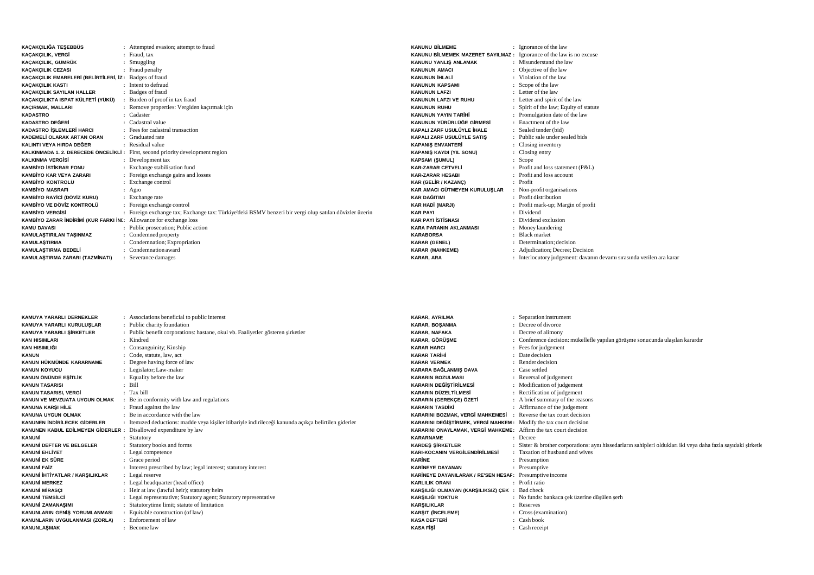| KAÇAKÇILIĞA TEŞEBBÜS                                                      | : Attempted evasion; attempt to fraud                                                                  | <b>KANUNU BİLMEME</b>                 | $:$ Igi          |
|---------------------------------------------------------------------------|--------------------------------------------------------------------------------------------------------|---------------------------------------|------------------|
| <b>KACAKCILIK, VERGİ</b>                                                  | : Fraud. tax                                                                                           | KANUNU BİLMEMEK MAZERET SAYILMAZ: Igr |                  |
| KAÇAKÇILIK, GÜMRÜK                                                        | Smuggling                                                                                              | KANUNU YANLIŞ ANLAMAK                 | : Mi             |
| <b>KAÇAKÇILIK CEZASI</b>                                                  | : Fraud penalty                                                                                        | <b>KANUNUN AMACI</b>                  | : 0 <sup>t</sup> |
| KACAKCILIK EMARELERİ (BELİRTİLERİ, İZ: Badges of fraud                    |                                                                                                        | <b>KANUNUN İHLALİ</b>                 | : Vi             |
| <b>KACAKCILIK KASTI</b>                                                   | : Intent to defraud                                                                                    | <b>KANUNUN KAPSAMI</b>                | $:$ Sc           |
| KAÇAKÇILIK SAYILAN HALLER                                                 | : Badges of fraud                                                                                      | <b>KANUNUN LAFZI</b>                  | : Le             |
| KAÇAKÇILIKTA ISPAT KÜLFETİ (YÜKÜ)                                         | : Burden of proof in tax fraud                                                                         | <b>KANUNUN LAFZI VE RUHU</b>          | : Le             |
| KACIRMAK, MALLARI                                                         | : Remove properties: Vergiden kaçırmak için                                                            | <b>KANUNUN RUHU</b>                   | $:$ Sp           |
| <b>KADASTRO</b>                                                           | Cadaster                                                                                               | <b>KANUNUN YAYIN TARİHİ</b>           | $:$ Pr           |
| <b>KADASTRO DEĞERİ</b>                                                    | Cadastral value                                                                                        | KANUNUN YÜRÜRLÜĞE GİRMESİ             | E <sub>n</sub>   |
| KADASTRO İŞLEMLERİ HARCI                                                  | : Fees for cadastral transaction                                                                       | KAPALI ZARF USULÜYLE İHALE            | : Se             |
| KADEMELİ OLARAK ARTAN ORAN                                                | : Graduated rate                                                                                       | KAPALI ZARF USULÜYLE SATIS            | : Pu             |
| KALINTI VEYA HIRDA DEĞER                                                  | : Residual value                                                                                       | <b>KAPANIS ENVANTERİ</b>              | $\cdot$ Cl       |
|                                                                           | KALKINMADA 1. 2. DERECEDE ÖNCELİKLİ: First, second priority development region                         | <b>KAPANIŞ KAYDI (YIL SONU)</b>       | $\therefore$ Cl  |
| <b>KALKINMA VERGISI</b>                                                   | : Development tax                                                                                      | <b>KAPSAM (ŞUMUL)</b>                 | $:$ Sc           |
| <b>KAMBİYO İSTİKRAR FONU</b>                                              | : Exchange stabilisation fund                                                                          | <b>KAR-ZARAR CETVELİ</b>              | $:$ Pr           |
| <b>KAMBİYO KAR VEYA ZARARI</b>                                            | : Foreign exchange gains and losses                                                                    | <b>KAR-ZARAR HESABI</b>               | $:$ Pr           |
| <b>KAMBİYO KONTROLÜ</b>                                                   | : Exchange control                                                                                     | <b>KAR (GELIR / KAZANÇ)</b>           | $:$ Pr           |
| <b>KAMBİYO MASRAFI</b>                                                    | $:$ Ag10                                                                                               | KAR AMACI GÜTMEYEN KURULUSLAR         | : N <sub>0</sub> |
| KAMBİYO RAYİCİ (DÖVİZ KURU)                                               | : Exchange rate                                                                                        | <b>KAR DAĞITIMI</b>                   | $:$ Pr           |
| KAMBİYO VE DÖVİZ KONTROLÜ                                                 | : Foreign exchange control                                                                             | <b>KAR HADİ (MARJI)</b>               | : Pn             |
| <b>KAMBİYO VERGİSİ</b>                                                    | : Foreign exchange tax; Exchange tax: Türkiye'deki BSMV benzeri bir vergi olup satılan dövizler üzerin | <b>KAR PAYI</b>                       | : Di             |
| <b>KAMBIYO ZARAR INDIRIMI (KUR FARKI INI:</b> Allowance for exchange loss |                                                                                                        | <b>KAR PAYI İSTİSNASI</b>             | : Di             |
| <b>KAMU DAVASI</b>                                                        | : Public prosecution; Public action                                                                    | <b>KARA PARANIN AKLANMASI</b>         | :M <sub>0</sub>  |
| KAMULAŞTIRILAN TAŞINMAZ                                                   | : Condemned property                                                                                   | <b>KARABORSA</b>                      | $:$ Bl           |
| <b>KAMULASTIRMA</b>                                                       | Condemnation; Expropriation                                                                            | <b>KARAR (GENEL)</b>                  | : De             |
| KAMULASTIRMA BEDELİ                                                       | : Condemnation award                                                                                   | <b>KARAR (MAHKEME)</b>                | : Ac             |
| KAMULAŞTIRMA ZARARI (TAZMİNATI)                                           | : Severance damages                                                                                    | KARAR, ARA                            | $:$ Int          |

|                | ÷ | Ignorance of the law                                                |
|----------------|---|---------------------------------------------------------------------|
|                |   | <b>IMAZERET SAYILMAZ</b> : Ignorance of the law is no excuse        |
| <b>ILAMAK</b>  |   | : Misunderstand the law                                             |
|                |   | Objective of the law                                                |
|                |   | : Violation of the law                                              |
|                |   | Scope of the law                                                    |
|                |   | : Letter of the law                                                 |
| <b>RUHU</b>    |   | : Letter and spirit of the law                                      |
|                |   | Spirit of the law; Equity of statute                                |
| <b>к</b> іні   |   | Promulgation date of the law                                        |
| JĞE GİRMESİ    |   | : Enactment of the law                                              |
| ÜYLE İHALE     |   | : Sealed tender (bid)                                               |
| ÜYLE SATIŞ     |   | : Public sale under sealed bids                                     |
| ₹İ             |   | : Closing inventory                                                 |
| . SONU)        |   | : Closing entry                                                     |
|                |   | Scope                                                               |
| Lİ             |   | : Profit and loss statement (P&L)                                   |
|                |   | Profit and loss account                                             |
| IC)            |   | Profit                                                              |
| YEN KURULUŞLAR |   | : Non-profit organisations                                          |
|                |   | Profit distribution                                                 |
|                |   | Profit mark-up; Margin of profit                                    |
|                |   | Dividend                                                            |
|                |   | : Dividend exclusion                                                |
| <b>ANMASI</b>  | ÷ | Money laundering                                                    |
|                |   | : Black market                                                      |
|                |   | : Determination: decision                                           |
|                |   | Adjudication; Decree; Decision                                      |
|                |   | Interlocutory judgement: davanın devamı sırasında verilen ara karar |

| KAMUYA YARARLI DERNEKLER                                                | : Associations beneficial to public interest                                                         | <b>KARAR, AYRILMA</b>                                             | : Separation instrument                                                                                       |
|-------------------------------------------------------------------------|------------------------------------------------------------------------------------------------------|-------------------------------------------------------------------|---------------------------------------------------------------------------------------------------------------|
| KAMUYA YARARLI KURULUSLAR                                               | : Public charity foundation                                                                          | <b>KARAR, BOSANMA</b>                                             | : Decree of divorce                                                                                           |
| KAMUYA YARARLI SİRKETLER                                                | : Public benefit corporations: hastane, okul vb. Faaliyetler gösteren sirketler                      | <b>KARAR, NAFAKA</b>                                              | : Decree of alimony                                                                                           |
| KAN HISIMLARI                                                           | : Kindred                                                                                            | <b>KARAR, GÖRÜSME</b>                                             | : Conference decision: mükellefle yapılan görüşme sonucunda ulaşılan karardır                                 |
| KAN HISIMLIĞI                                                           | Consanguinity; Kinship                                                                               | <b>KARAR HARCI</b>                                                | : Fees for judgement                                                                                          |
| <b>KANUN</b>                                                            | : Code, statute, law, act                                                                            | <b>KARAR TARİHİ</b>                                               | : Date decision                                                                                               |
| KANUN HÜKMÜNDE KARARNAME                                                | : Degree having force of law                                                                         | <b>KARAR VERMEK</b>                                               | : Render decision                                                                                             |
| <b>KANUN KOYUCU</b>                                                     | : Legislator; Law-maker                                                                              | <b>KARARA BAĞLANMIS DAVA</b>                                      | : Case settled                                                                                                |
| KANUN ÖNÜNDE ESİTLİK                                                    | : Equality before the law                                                                            | <b>KARARIN BOZULMASI</b>                                          | : Reversal of judgement                                                                                       |
| <b>KANUN TASARISI</b>                                                   | $:$ Bill                                                                                             | <b>KARARIN DEĞİSTİRİLMESİ</b>                                     | : Modification of judgement                                                                                   |
| KANUN TASARISI. VERGİ                                                   | : Tax bill                                                                                           | <b>KARARIN DÜZELTİLMESİ</b>                                       | : Rectification of judgement                                                                                  |
| KANUN VE MEVZUATA UYGUN OLMAK                                           | : Be in conformity with law and regulations                                                          | KARARIN (GEREKÇE) ÖZETİ                                           | : A brief summary of the reasons                                                                              |
| KANUNA KARSI HİLE                                                       | : Fraud against the law                                                                              | <b>KARARIN TASDIKI</b>                                            | : Affirmance of the judgement                                                                                 |
| KANUNA UYGUN OLMAK                                                      | : Be in accordance with the law                                                                      | KARARINI BOZMAK. VERGİ MAHKEMESİ                                  | : Reverse the tax court decision                                                                              |
| KANUNEN İNDİRİLECEK GİDERLER                                            | : Itemized deductions: madde veya kişiler itibariyle indirileceği kanunda açıkça belirtilen giderler | KARARINI DEĞİŞTİRMEK, VERGİ MAHKEM: Modify the tax court decision |                                                                                                               |
| <b>KANUNEN KABUL EDİLMEYEN GİDERLER :</b> Disallowed expenditure by law |                                                                                                      | KARARINI ONAYLAMAK. VERGI MAHKEME: Affirm the tax court decision  |                                                                                                               |
| KANUNİ                                                                  | : Statutory                                                                                          | <b>KARARNAME</b>                                                  | : Decree                                                                                                      |
| KANUNİ DEFTER VE BELGELER                                               | : Statutory books and forms                                                                          | <b>KARDES SİRKETLER</b>                                           | : Sister & brother corporations: aynı hissedarların sahipleri oldukları iki veya daha fazla sayıdaki şirketle |
| KANUNİ EHLİYET                                                          | : Legal competence                                                                                   | <b>KARI-KOCANIN VERGİLENDİRİLMESİ</b>                             | : Taxation of husband and wives                                                                               |
| KANUNİ EK SÜRE                                                          | : Grace period                                                                                       | <b>KARINE</b>                                                     | : Presumption                                                                                                 |
| KANUNİ FAİZ                                                             | : Interest prescribed by law; legal interest; statutory interest                                     | <b>KARİNEYE DAYANAN</b>                                           | : Presumptive                                                                                                 |
| KANUNİ İHTİYATLAR / KARSILIKLAR                                         | : Legal reserve                                                                                      | KARİNEYE DAYANILARAK / RE'SEN HESAF: Presumptive income           |                                                                                                               |
| KANUNİ MERKEZ                                                           | : Legal headquarter (head office)                                                                    | <b>KARLILIK ORANI</b>                                             | : Profit ratio                                                                                                |
| KANUNİ MİRASCI                                                          | : Heir at law (lawful heir); statutory heirs                                                         | KARŞILIĞI OLMAYAN (KARŞILIKSIZ) ÇEK : Bad check                   |                                                                                                               |
| KANUNİ TEMSİLCİ                                                         | : Legal representative; Statutory agent; Statutory representative                                    | <b>KARSILIĞI YOKTUR</b>                                           | : No funds: bankaca cek üzerine düşülen serh                                                                  |
| KANUNİ ZAMANASIMI                                                       | : Statutorytime limit; statute of limitation                                                         | <b>KARSILIKLAR</b>                                                | : Reserves                                                                                                    |
| KANUNLARIN GENİS YORUMLANMASI                                           | Equitable construction (of law)                                                                      | <b>KARSIT (INCELEME)</b>                                          | : Cross (examination)                                                                                         |
| KANUNLARIN UYGULANMASI (ZORLA)                                          | Enforcement of law                                                                                   | <b>KASA DEFTERI</b>                                               | : Cash book                                                                                                   |
| KANUNLAŞMAK                                                             | : Become law                                                                                         | <b>KASA FISI</b>                                                  | : Cash receipt                                                                                                |
|                                                                         |                                                                                                      |                                                                   |                                                                                                               |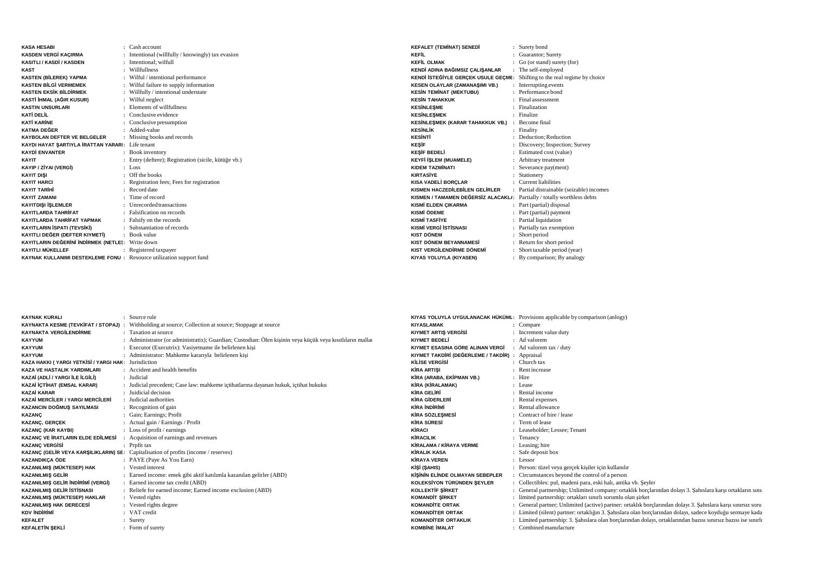| <b>KASA HESARI</b>                                                  | $\therefore$ Cash account                          |
|---------------------------------------------------------------------|----------------------------------------------------|
| KASDEN VERGİ KAÇIRMA                                                | Intentional (willfully / knowingly) tax evasion    |
| KASITLI / KASDİ / KASDEN                                            | Intentional: wilfull                               |
| <b>KAST</b>                                                         | Willfullness                                       |
| <b>KASTEN (BİLEREK) YAPMA</b>                                       | Wilful / intentional performance                   |
| <b>KASTEN BİLGİ VERMEMEK</b>                                        | Wilful failure to supply information               |
| <b>KASTEN EKSİK BİLDİRMEK</b><br>÷                                  | Willfully / intentional understate                 |
| KASTİ İHMAL (AĞIR KUSUR)<br>÷                                       | Wilful neglect                                     |
| <b>KASTIN UNSURLARI</b><br>٠                                        | Elements of willfullness                           |
| KATİ DELİL                                                          | : Conclusive evidence                              |
| <b>KATİ KARİNE</b>                                                  | Conclusive presumption                             |
| KATMA DEĞER                                                         | Added-value                                        |
| KAYBOLAN DEFTER VE BELGELER                                         | Missing books and records                          |
| KAYDI HAYAT ŞARTIYLA İRATTAN YARARI: Life tenant                    |                                                    |
| <b>KAYDİ ENVANTER</b>                                               | Book inventory                                     |
| <b>KAYIT</b>                                                        | Entry (deftere); Registration (sicile, kütüğe vb.) |
| KAYIP / ZİYAI (VERGİ)                                               | Loss                                               |
| <b>KAYIT DISI</b>                                                   | : Off the books                                    |
| <b>KAYIT HARCI</b>                                                  | Registration fees; Fees for registration           |
| <b>KAYIT TARİHİ</b>                                                 | Record date                                        |
| <b>KAYIT ZAMANI</b>                                                 | : Time of record                                   |
| <b>KAYITDIŞI İŞLEMLER</b>                                           | : Unrecorded transactions                          |
| <b>KAYITLARDA TAHRİFAT</b>                                          | : Falsification on records                         |
| KAYITLARDA TAHRİFAT YAPMAK<br>÷                                     | Falsify on the records                             |
| KAYITLARIN İSPATI (TEVSİKİ)                                         | : Substantiation of records                        |
| KAYITLI DEĞER (DEFTER KIYMETİ)                                      | : Book value                                       |
| KAYITLARIN DEĞERİNİ İNDİRMEK (NETLES: Write down                    |                                                    |
| KAYITLI MÜKELLEF                                                    | : Registered taxpayer                              |
| KAYNAK KULLANIMI DESTEKLEME FONU: Resource utilization support fund |                                                    |

| <b>KEFALET (TEMİNAT) SENEDİ</b>       | : Surety bond                           |
|---------------------------------------|-----------------------------------------|
| KFFİI                                 | Guarantor; Surety                       |
| <b>KEFİL OLMAK</b>                    | Go (or stand) surety (for)              |
| KENDİ ADINA BAĞIMSIZ ÇALIŞANLAR<br>÷  | The self-employed                       |
| KENDİ İSTEĞİYLE GERÇEK USULE GEÇME:   | Shifting to the real regime by choice   |
| <b>KESEN OLAYLAR (ZAMANAŞIMI VB.)</b> | Interrupting events                     |
| <b>KESİN TEMİNAT (MEKTUBU)</b>        | Performance bond                        |
| <b>KESİN TAHAKKUK</b>                 | Final assessment                        |
| <b>KESİNLEŞME</b>                     | : Finalization                          |
| <b>KESİNLESMEK</b>                    | Finalize                                |
| KESİNLEŞMEK (KARAR TAHAKKUK VB.)      | : Become final                          |
| <b>KESİNLİK</b>                       | : Finality                              |
| <b>KESİNTİ</b>                        | : Deduction; Reduction                  |
| <b>KESİF</b>                          | : Discovery; Inspection; Survey         |
| <b>KESİF BEDELİ</b>                   | : Estimated cost (value)                |
| <b>KEYFİ İŞLEM (MUAMELE)</b>          | : Arbitrary treatment                   |
| KIDEM TAZMİNATI<br>÷                  | Severance pay(ment)                     |
| <b>KIRTASİYE</b>                      | Stationery                              |
| KISA VADELİ BORÇLAR                   | Current liabilities                     |
| KISMEN HACZEDİLEBİLEN GELİRLER<br>÷   | Partial distrainable (seizable) incomes |
| KISMEN / TAMAMEN DEĞERSİZ ALACAKLI:   | Partially / totally worthless debts     |
| <b>KISMİ ELDEN ÇIKARMA</b>            | Part (partial) disposal                 |
| KISMİ ÖDEME                           | : Part (partial) payment                |
| KISMİ TASFİYF                         | : Partial liquidation                   |
| <b>KISMİ VERGİ İSTİSNASI</b><br>÷     | Partially tax exemption                 |
| <b>KIST DÖNEM</b>                     | Short period                            |
| KIST DÖNEM BEYANNAMESİ                | : Return for short period               |
| KIST VERGİLENDİRME DÖNEMİ<br>÷.       | Short taxable period (year)             |
| KIYAS YOLUYLA (KIYASEN)               | : By comparison; By analogy             |

| <b>KAYNAK KURALI</b>                                | : Source rule                                                                                             | KIYAS YOLUYLA UYGULANACA    |
|-----------------------------------------------------|-----------------------------------------------------------------------------------------------------------|-----------------------------|
|                                                     | KAYNAKTA KESME (TEVKİFAT / STOPAJ) : Withholding at source; Collection at source; Stoppage at source      | <b>KIYASLAMAK</b>           |
| <b>KAYNAKTA VERGİLENDİRME</b>                       | : Taxation at source                                                                                      | <b>KIYMET ARTIS VERGISI</b> |
| <b>KAYYUM</b>                                       | : Administrator (or administratix); Guardian; Custodian: Ölen kişinin veya küçük veya kısıtlıların mallar | <b>KIYMET BEDELİ</b>        |
| <b>KAYYUM</b>                                       | : Executor (Executrix): Vasiyetname ile belirlenen kişi                                                   | KIYMET ESASINA GÖRE ALINAI  |
| <b>KAYYUM</b>                                       | : Administrator: Mahkeme kararıyla belirlenen kişi                                                        | KIYMET TAKDİRİ (DEĞERLEME   |
| KAZA HAKKI (YARGI YETKİSİ / YARGI HAK: Jurisdiction |                                                                                                           | KİLİSE VERGİSİ              |
| <b>KAZA VE HASTALIK YARDIMLARI</b>                  | : Accident and health benefits                                                                            | <b>KİRA ARTISI</b>          |
| KAZAİ (ADLİ / YARGI İLE İLGİLİ)                     | : Judicial                                                                                                | KİRA (ARABA, EKİPMAN VB.)   |
| KAZAİ İÇTİHAT (EMSAL KARAR)                         | : Judicial precedent; Case law: mahkeme ictihatlarına dayanan hukuk, ictihat hukuku                       | KİRA (KİRALAMAK)            |
| <b>KAZAİ KARAR</b>                                  | : Juidicial decision                                                                                      | <b>KİRA GELİRİ</b>          |
| KAZAİ MERCİLER / YARGI MERCİLERİ                    | : Judicial authorities                                                                                    | <b>KİRA GİDERLERİ</b>       |
| KAZANCIN DOĞMUŞ SAYILMASI                           | : Recognition of gain                                                                                     | <b>KİRA İNDİRİMİ</b>        |
| <b>KAZANC</b>                                       | : Gain; Earnings; Profit                                                                                  | <b>KİRA SÖZLEŞMESİ</b>      |
| <b>KAZANÇ, GERÇEK</b>                               | : Actual gain / Earnings / Profit                                                                         | <b>KİRA SÜRESİ</b>          |
| <b>KAZANÇ (KAR KAYBI)</b>                           | : Loss of profit / earnings                                                                               | KİRACI                      |
| KAZANÇ VE İRATLARIN ELDE EDİLMESİ                   | : Acquisition of earnings and revenues                                                                    | KİRACILIK                   |
| <b>KAZANÇ VERGİSİ</b>                               | : Prpfit tax                                                                                              | KİRALAMA / KİRAYA VERME     |
|                                                     | KAZANÇ (GELİR VEYA KARŞILIKLARIN) SE: Capitalisation of profits (income / reserves)                       | <b>KİRALIK KASA</b>         |
| <b>KAZANDIKÇA ÖDE</b>                               | : PAYE (Paye As You Earn)                                                                                 | <b>KİRAYA VEREN</b>         |
| KAZANILMIŞ (MÜKTESEP) HAK                           | : Vested interest                                                                                         | KİŞİ (ŞAHIS)                |
| <b>KAZANILMIS GELİR</b>                             | : Earned income: emek gibi aktif katılımla kazanılan gelirler (ABD)                                       | KİŞİNİN ELİNDE OLMAYAN SEB  |
| KAZANILMIŞ GELİR İNDİRİMİ (VERGİ)                   | : Earned income tax credit (ABD)                                                                          | KOLEKSİYON TÜRÜNDEN ŞEYL    |
| KAZANILMIŞ GELİR İSTİSNASI                          | : Reliefe for earned income; Earned income exclusion (ABD)                                                | <b>KOLLEKTİF ŞİRKET</b>     |
| KAZANILMIŞ (MÜKTESEP) HAKLAR                        | : Vested rights                                                                                           | <b>KOMANDIT SIRKET</b>      |
| <b>KAZANILMIŞ HAK DERECESİ</b>                      | : Vested rights degree                                                                                    | <b>KOMANDITE ORTAK</b>      |
| KDV İNDİRİMİ                                        | : VAT credit                                                                                              | <b>KOMANDITER ORTAK</b>     |
| <b>KEFALET</b>                                      | : Surety                                                                                                  | <b>KOMANDITER ORTAKLIK</b>  |
| <b>KEFALETİN ŞEKLİ</b>                              | : Form of surety                                                                                          | <b>KOMBINE IMALAT</b>       |

|                                                 | KIYAS YOLUYLA UYGULANACAK HÜKÜML: Provisions applicable by comparison (anlogy)                                 |
|-------------------------------------------------|----------------------------------------------------------------------------------------------------------------|
| <b>KIYASLAMAK</b>                               | : Compare                                                                                                      |
| <b>KIYMET ARTIS VERGISI</b>                     | : Increment value duty                                                                                         |
| <b>KIYMET BEDELİ</b>                            | : Ad valorem                                                                                                   |
| KIYMET ESASINA GÖRE ALINAN VERGİ                | : Ad valorem tax / duty                                                                                        |
| KIYMET TAKDİRİ (DEĞERLEME / TAKDİR) : Appraisal |                                                                                                                |
| KİLİSE VERGİSİ                                  | $\therefore$ Church tax                                                                                        |
| <b>KİRA ARTISI</b>                              | : Rent increase                                                                                                |
| KİRA (ARABA, EKİPMAN VB.)                       | : Hire                                                                                                         |
| KİRA (KİRALAMAK)                                | : Lease                                                                                                        |
| <b>KİRA GELİRİ</b>                              | : Rental income                                                                                                |
| KİRA GİDERLERİ                                  | : Rental expenses                                                                                              |
| <b>KİRA İNDİRİMİ</b>                            | : Rental allowance                                                                                             |
| <b>KİRA SÖZLESMESİ</b>                          | : Contract of hire / lease                                                                                     |
| <b>KİRA SÜRESİ</b>                              | : Term of lease                                                                                                |
| KİRACI                                          | : Leaseholder; Lessee; Tenant                                                                                  |
| <b>KİRACILIK</b>                                | : Tenancy                                                                                                      |
| <b>KİRALAMA / KİRAYA VERME</b>                  | : Leasing; hire                                                                                                |
| <b>KİRALIK KASA</b>                             | : Safe deposit box                                                                                             |
| <b>KİRAYA VEREN</b>                             | $:$ Lessor                                                                                                     |
| KİŞİ (ŞAHIS)                                    | : Person: tüzel veya gerçek kişiler için kullanılır                                                            |
| KİSİNİN ELİNDE OLMAYAN SEBEPLER                 | : Circumstances beyond the control of a person                                                                 |
| KOLEKSİYON TÜRÜNDEN ŞEYLER                      | : Collectibles: pul, madeni para, eski halı, antika vb. Şeyler                                                 |
| <b>KOLLEKTİF ŞİRKET</b>                         | : General partnership; Unlimited company: ortaklık borçlarından dolayı 3. Şahıslara karşı ortakların sını      |
| <b>KOMANDIT SIRKET</b>                          | : limited partnership: ortakları sınırlı sorumlu olan şirket                                                   |
| <b>KOMANDITE ORTAK</b>                          | : General partner; Unlimited (active) partner: ortaklık borclarından dolayı 3. Sahıslara karşı sınırsız soru   |
| <b>KOMANDITER ORTAK</b>                         | : Limited (silent) partner: ortaklığın 3. Şahıslara olan borçlarından dolayı, sadece koyduğu sermaye kada      |
| <b>KOMANDITER ORTAKLIK</b>                      | : Limited partnership: 3. Sahıslara olan borçlarından dolayı, ortaklarından bazısı sınırsız bazısı ise sınırlı |
| <b>KOMBINE IMALAT</b>                           | : Combined manufacture                                                                                         |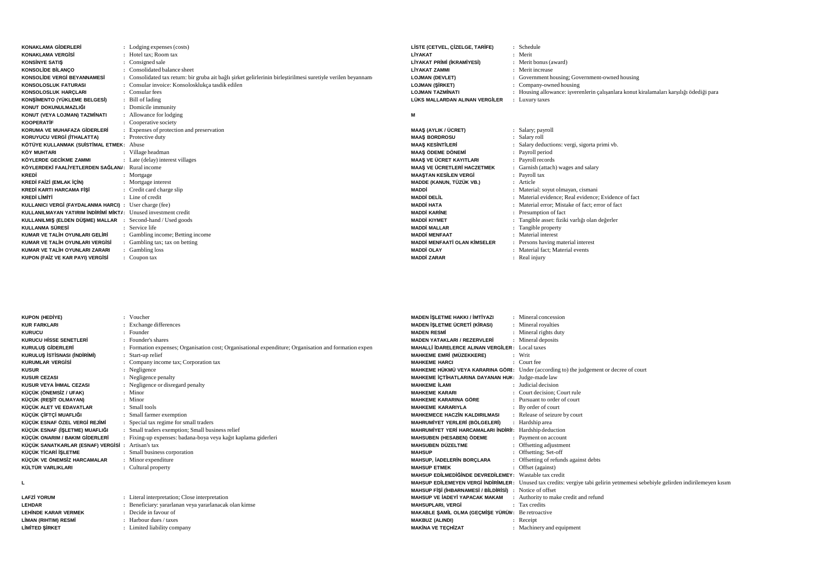| <b>KONAKLAMA GİDERLERİ</b>                                     | : Lodging expenses (costs)                                                                                    |
|----------------------------------------------------------------|---------------------------------------------------------------------------------------------------------------|
| <b>KONAKLAMA VERGISİ</b>                                       | : Hotel tax: Room tax                                                                                         |
| <b>KONSINYE SATIS</b>                                          | Consigned sale                                                                                                |
| <b>KONSOLIDE BILANCO</b>                                       | : Consolidated balance sheet                                                                                  |
| KONSOLİDE VERGİ BEYANNAMESİ                                    | : Consolidated tax return: bir gruba ait bağlı sirket gelirlerinin birleştirilmesi suretiyle verilen beyannam |
| <b>KONSOLOSLUK FATURASI</b>                                    | : Consular invoice: Konsolosklukça tasdik edilen                                                              |
| KONSOLOSLUK HARCLARI                                           | : Consular fees                                                                                               |
| KONSİMENTO (YÜKLEME BELGESİ)                                   | : Bill of lading                                                                                              |
| KONUT DOKUNULMAZLIĞI                                           | : Domicile immunity                                                                                           |
| KONUT (VEYA LOJMAN) TAZMİNATI                                  | : Allowance for lodging                                                                                       |
| <b>KOOPERATIF</b>                                              | : Cooperative society                                                                                         |
| KORUMA VE MUHAFAZA GİDERLERİ                                   | : Expenses of protection and preservation                                                                     |
| KORUYUCU VERGİ (İTHALATTA)                                     | : Protective duty                                                                                             |
| KÖTÜYE KULLANMAK (SUİSTİMAL ETMEK: Abuse                       |                                                                                                               |
| <b>KÖY MUHTARI</b>                                             | : Village headman                                                                                             |
| KÖYLERDE GECİKME ZAMMI                                         | : Late (delay) interest villages                                                                              |
| KÖYLERDEKİ FAALİYETLERDEN SAĞLAN/: Rural income                |                                                                                                               |
| KREDİ                                                          | : Mortgage                                                                                                    |
| KREDİ FAİZİ (EMLAK İÇİN)                                       | : Mortgage interest                                                                                           |
| KREDİ KARTI HARCAMA FİŞİ                                       | : Credit card charge slip                                                                                     |
| <b>KREDİ LİMİTİ</b>                                            | : Line of credit                                                                                              |
| KULLANICI VERGİ (FAYDALANMA HARCI) : User charge (fee)         |                                                                                                               |
| KULLANILMAYAN YATIRIM İNDİRİMİ MİKTI: Unused investment credit |                                                                                                               |
| KULLANILMIŞ (ELDEN DÜŞME) MALLAR : Second-hand / Used goods    |                                                                                                               |
| KULLANMA SÜRESİ                                                | : Service life                                                                                                |
| KUMAR VE TALİH OYUNLARI GELİRİ                                 | : Gambling income; Betting income                                                                             |
| KUMAR VE TALİH OYUNLARI VERGİSİ                                | : Gambling tax; tax on betting                                                                                |
| KUMAR VE TALİH OYUNLARI ZARARI                                 | : Gambling loss                                                                                               |
| KUPON (FAİZ VE KAR PAYI) VERGİSİ                               | : Coupon tax                                                                                                  |

| LISTE (CETVEL, CIZELGE, TARIFE)<br>LİYAKAT<br>LİYAKAT PRİMİ (İKRAMİYESİ)<br>LİYAKAT ZAMMI<br><b>LOJMAN (DEVLET)</b><br><b>LOJMAN (SİRKET)</b><br><b>LOJMAN TAZMİNATI</b><br>LÜKS MALLARDAN ALINAN VERGİLER | : Schedule<br>: Merit<br>: Merit bonus (award)<br>Merit increase<br>۰.<br>: Government housing; Government-owned housing<br>: Company-owned housing<br>: Housing allowance: isverenlerin çalışanlara konut kiralamaları karşılığı ödediği para<br>: Luxury taxes |
|------------------------------------------------------------------------------------------------------------------------------------------------------------------------------------------------------------|------------------------------------------------------------------------------------------------------------------------------------------------------------------------------------------------------------------------------------------------------------------|
| М                                                                                                                                                                                                          |                                                                                                                                                                                                                                                                  |

## **M**

**MADEN** ĐŞ**LETME HAKKI /** Đ**MT**Đ**YAZI :**

| <b>MAAŞ (AYLIK / ÜCRET)</b>         | : Salary; payroll                                       |
|-------------------------------------|---------------------------------------------------------|
| <b>MAAS BORDROSU</b>                | Salary roll<br>÷                                        |
| <b>MAAS KESİNTİLERİ</b>             | Salary deductions: vergi, sigorta primi vb.             |
| <b>MAAŞ ÖDEME DÖNEMİ</b>            | Payroll period                                          |
| <b>MAAS VE ÜCRET KAYITLARI</b>      | : Payroll records                                       |
| <b>MAAS VE ÜCRETLERİ HACZETMEK</b>  | : Garnish (attach) wages and salary                     |
| <b>MAASTAN KESİLEN VERGİ</b>        | : Payroll tax                                           |
| MADDE (KANUN, TÜZÜK VB.)            | : Article                                               |
| MADDİ                               | Material: soyut olmayan, cismani                        |
| <b>MADDİ DELİL</b>                  | Material evidence; Real evidence; Evidence of fact<br>÷ |
| <b>MADDİ HATA</b>                   | Material error; Mistake of fact; error of fact          |
| <b>MADDİ KARİNE</b>                 | Presumption of fact                                     |
| <b>MADDİ KIYMET</b>                 | Tangible asset: fiziki varlığı olan değerler            |
| <b>MADDİ MALLAR</b>                 | Tangible property                                       |
| <b>MADDİ MENFAAT</b>                | Material interest<br>٠                                  |
| <b>MADDİ MENFAATİ OLAN KİMSELER</b> | : Persons having material interest                      |
| <b>MADDİ OLAY</b>                   | Material fact; Material events                          |
| <b>MADDİ ZARAR</b>                  | Real injury                                             |

Mineral concession

| <b>KUPON (HEDİYE)</b>                             | : Voucher                                                                                             |
|---------------------------------------------------|-------------------------------------------------------------------------------------------------------|
| <b>KUR FARKLARI</b>                               | : Exchange differences                                                                                |
| <b>KURUCU</b>                                     | : Founder                                                                                             |
| <b>KURUCU HISSE SENETLERI</b>                     | : Founder's shares                                                                                    |
| <b>KURULUS GİDERLERİ</b>                          | : Formation expenses; Organisation cost; Organisational expenditure; Organisation and formation expen |
| KURULUS İSTİSNASI (İNDİRİMİ)                      | : Start-up relief                                                                                     |
| <b>KURUMLAR VERGISI</b>                           | : Company income tax; Corporation tax                                                                 |
| <b>KUSUR</b>                                      | : Negligence                                                                                          |
| <b>KUSUR CEZASI</b>                               | : Negligence penalty                                                                                  |
| <b>KUSUR VEYA İHMAL CEZASI</b>                    | : Negligence or disregard penalty                                                                     |
| KÜÇÜK (ÖNEMSİZ / UFAK)                            | $:$ Minor                                                                                             |
| KÜÇÜK (REŞİT OLMAYAN)                             | $:$ Minor                                                                                             |
| KÜÇÜK ALET VE EDAVATLAR                           | : Small tools                                                                                         |
| KÜÇÜK ÇİFTÇİ MUAFLIĞI                             | : Small farmer exemption                                                                              |
| KÜÇÜK ESNAF ÖZEL VERGİ REJİMİ                     | : Special tax regime for small traders                                                                |
| KÜÇÜK ESNAF (İŞLETME) MUAFLIĞI                    | : Small traders exemption; Small business relief                                                      |
| KÜÇÜK ONARIM / BAKIM GİDERLERİ                    | : Fixing-up expenses: badana-boya veya kağıt kaplama giderleri                                        |
| KÜÇÜK SANATKARLAR (ESNAF) VERGİSİ : Artisan's tax |                                                                                                       |
| KÜÇÜK TİCARİ İŞLETME                              | : Small business corporation                                                                          |
| KÜÇÜK VE ÖNEMSİZ HARCAMALAR                       | : Minor expenditure                                                                                   |
| KÜLTÜR VARLIKLARI                                 | : Cultural property                                                                                   |
|                                                   |                                                                                                       |

**L**

**LAFZ**Đ **YORUM :**

LEHİNDE KARAR VERMEK

**:**

**LİMAN (RIHTIM) RESMİ** 

**<sup>L</sup>**Đ**M**Đ**TED** ŞĐ**RKET :**

**LEHDAR**

 Literal interpretation; Close interpretation **:** Beneficiary: yararlanan veya yararlanacak olan kimse Decide in favour of Harbour dues / taxesLimited liability company

| MADEN İŞLETME ÜCRETİ (KİRASI)                                   | : Mineral royalties                                                                                                           |
|-----------------------------------------------------------------|-------------------------------------------------------------------------------------------------------------------------------|
| <b>MADEN RESMİ</b>                                              | : Mineral rights duty                                                                                                         |
| <b>MADEN YATAKLARI / REZERVLERİ</b>                             | : Mineral deposits                                                                                                            |
| <b>MAHALLİ İDARELERCE ALINAN VERGİLER: Local taxes</b>          |                                                                                                                               |
| MAHKEME EMRİ (MÜZEKKERE)                                        | : Writ                                                                                                                        |
| <b>MAHKEME HARCI</b>                                            | $\cdot$ Court fee                                                                                                             |
|                                                                 | MAHKEME HÜKMÜ VEYA KARARINA GÖRI: Under (according to) the judgement or decree of court                                       |
| MAHKEME İÇTİHATLARINA DAYANAN HUK: Judge-made law               |                                                                                                                               |
| <b>MAHKEME II AMI</b>                                           | : Judicial decision                                                                                                           |
| <b>MAHKEME KARARI</b>                                           | : Court decision: Court rule                                                                                                  |
| MAHKEME KARARINA GÖRE                                           | : Pursuant to order of court                                                                                                  |
| <b>MAHKEME KARARIYLA</b>                                        | : By order of court                                                                                                           |
| <b>MAHKEMECE HACZÍN KALDIRILMASI</b>                            | : Release of seizure by court                                                                                                 |
| MAHRUMİYET YERLERİ (BÖLGELERİ)                                  | : Hardship area                                                                                                               |
| MAHRUMİYET YERİ HARCAMALARI İNDİRİI: Hardship deduction         |                                                                                                                               |
| MAHSUBEN (HESABEN) ÖDEME                                        | : Payment on account                                                                                                          |
| <b>MAHSUBEN DÜZELTME</b>                                        | : Offsetting adjustment                                                                                                       |
| <b>MAHSUP</b>                                                   | : Offsetting; Set-off                                                                                                         |
| <b>MAHSUP, İADELERİN BORÇLARA</b>                               | : Offsetting of refunds against debts                                                                                         |
| <b>MAHSUP ETMEK</b>                                             | : Offset (against)                                                                                                            |
| MAHSUP EDİLMEDİĞİNDE DEVREDİLEMEY: Wastable tax credit          |                                                                                                                               |
|                                                                 | MAHSUP EDİLEMEYEN VERGİ İNDİRİMLER: Unused tax credits: vergiye tabi gelirin yetmemesi sebebiyle gelirden indirilemeyen kısım |
| <b>MAHSUP FISI (IHBARNAMESI / BILDIRISI) :</b> Notice of offset |                                                                                                                               |
| MAHSUP VE İADEYİ YAPACAK MAKAM                                  | : Authority to make credit and refund                                                                                         |
| <b>MAHSUPLARI, VERGİ</b>                                        | : Tax credits                                                                                                                 |
| MAKABLE SAMİL OLMA (GEÇMİŞE YÜRÜN: Be retroactive               |                                                                                                                               |
| <b>MAKBUZ (ALINDI)</b>                                          | : Receipt                                                                                                                     |
| <b>MAKİNA VE TEÇHİZAT</b>                                       | : Machinery and equipment                                                                                                     |
|                                                                 |                                                                                                                               |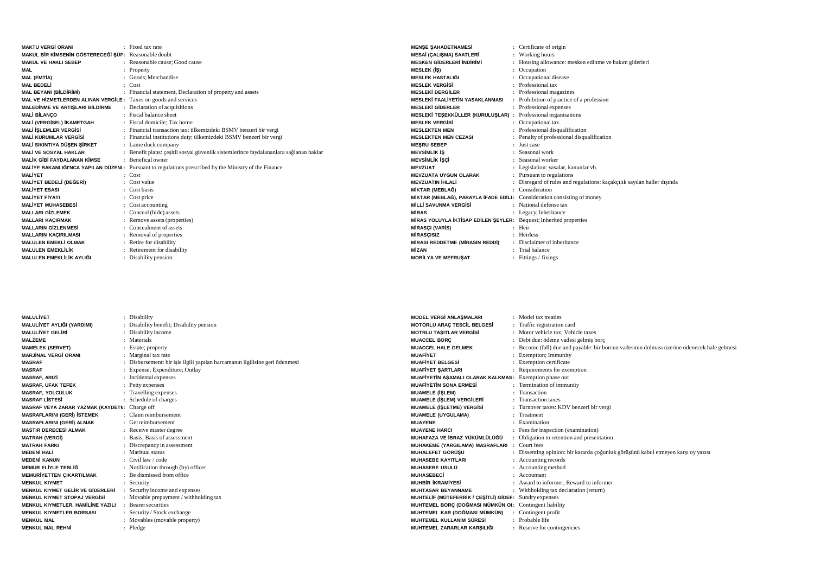| <b>MAKTU VERGİ ORANI</b>                                        | : Fixed tax rate                                                                      |
|-----------------------------------------------------------------|---------------------------------------------------------------------------------------|
| MAKUL BİR KİMSENİN GÖSTERECEĞİ ŞÜF: Reasonable doubt            |                                                                                       |
| <b>MAKUL VE HAKLI SEBEP</b>                                     | : Reasonable cause; Good cause                                                        |
| MAL                                                             | Property                                                                              |
| <b>MAL (EMTIA)</b>                                              | Goods; Merchandise                                                                    |
| <b>MAL BEDELİ</b>                                               | $\therefore$ Cost                                                                     |
| <b>MAL BEYANI (BİLDİRİMİ)</b>                                   | : Financial statement, Declaration of property and assets                             |
| MAL VE HIZMETLERDEN ALINAN VERGILE: Taxes on goods and services |                                                                                       |
| MALEDİNME VE ARTIŞLARI BİLDİRME                                 | : Declaration of acquisitions                                                         |
| <b>MALİ BİLANCO</b>                                             | : Fiscal balance sheet                                                                |
| MALİ (VERGİSEL) İKAMETGAH                                       | : Fiscal domicile: Tax home                                                           |
| <b>MALİ İSLEMLER VERGİSİ</b>                                    | : Financial transaction tax: ülkemizdeki BSMV benzeri bir vergi                       |
| <b>MALİ KURUMLAR VERGİSİ</b>                                    | : Financial institutions duty: ülkemizdeki BSMV benzeri bir vergi                     |
| MALİ SIKINTIYA DÜSEN SİRKET                                     | : Lame duck company                                                                   |
| <b>MALİ VE SOSYAL HAKLAR</b>                                    | : Benefit plans: cesitli sosyal güvenlik sistemlerince faydalananlara sağlanan haklar |
| <b>MALİK GİBİ FAYDALANAN KİMSE</b>                              | $\cdot$ Benefical owner                                                               |
| MALİYE BAKANLIĞI'NCA YAPILAN DÜZENI :                           | Pursuant to regulations prescribed by the Ministry of the Finance                     |
| <b>MALİYET</b>                                                  | $\cdot$ Cost                                                                          |
| MALİYET BEDELİ (DEĞERİ)                                         | $\therefore$ Cost value                                                               |
| <b>MAI İYFT FSASI</b>                                           | Cost basis                                                                            |
| <b>MAI İYET FİYATI</b>                                          | Cost price                                                                            |
| <b>MALIYET MUHASEBESİ</b>                                       | : Cost accounting                                                                     |
| <b>MALLARI GİZLEMEK</b>                                         | : Conceal (hide) assets                                                               |
| <b>MALLARI KAÇIRMAK</b>                                         | : Remove assets (properties)                                                          |
| <b>MALLARIN GİZLENMESİ</b>                                      | : Concealment of assets                                                               |
| <b>MALLARIN KAÇIRILMASI</b>                                     | : Removal of properties                                                               |
| <b>MALULEN EMEKLİ OLMAK</b>                                     | : Retire for disability                                                               |
| <b>MALULEN EMEKLİLİK</b>                                        | Retirement for disability                                                             |
| MALULEN EMEKLİLİK AYLIĞI                                        | : Disability pension                                                                  |

| <b>MENSE SAHADETNAMESİ</b>                                              | : Certificate of origin                                               |
|-------------------------------------------------------------------------|-----------------------------------------------------------------------|
| <b>MESAİ (CALISMA) SAATLERİ</b>                                         | : Working hours                                                       |
| <b>MESKEN GİDERLERİ İNDİRİMİ</b>                                        | Housing allowance: mesken edinme ve bakım giderleri                   |
| <b>MESLEK (IS)</b>                                                      | Occupation                                                            |
| <b>MESLEK HASTALIĞI</b>                                                 | Occupational disease                                                  |
| <b>MESLEK VERGISI</b>                                                   | Professional tax                                                      |
| <b>MESLEKİ DERGİLER</b>                                                 | Professional magazines                                                |
| <b>MESLEKİ FAALİYETİN YASAKLANMASI</b>                                  | : Prohibition of practice of a profession                             |
| <b>MESLEKİ GİDERLER</b>                                                 | : Professional expenses                                               |
| MESLEKİ TEŞEKKÜLLER (KURULUŞLAR) : Professional organisations           |                                                                       |
| <b>MESLEK VERGISI</b>                                                   | : Occupational tax                                                    |
| <b>MESLEKTEN MEN</b>                                                    | Professional disqualification                                         |
| <b>MESLEKTEN MEN CEZASI</b>                                             | Penalty of professional disqualification                              |
| <b>MESRU SEBEP</b>                                                      | <b>Inst</b> case                                                      |
| <b>MEVSİMLİK İŞ</b>                                                     | Seasonal work                                                         |
| <b>MEVSİMLİK İSCİ</b>                                                   | : Seasonal worker                                                     |
| <b>MEVZUAT</b>                                                          | Legislation: yasalar, kanunlar vb.                                    |
| <b>MEVZUATA UYGUN OLARAK</b>                                            | : Pursuant to regulations                                             |
| <b>MEVZUATIN İHLALİ</b>                                                 | Disregard of rules and regulations: kaçakçılık sayılan haller dışında |
| MİKTAR (MEBLAĞ)                                                         | Consideration                                                         |
| MİKTAR (MEBLAĞ), PARAYLA İFADE EDİLI: Consideration consisting of money |                                                                       |
| <b>MİLLİ SAVUNMA VERGİSİ</b>                                            | : National defense tax                                                |
| <b>MIRAS</b>                                                            | : Legacy; Inheritance                                                 |
| MIRAS YOLUYLA İKTİSAP EDİLEN ŞEYLER: Bequest; Inherited properties      |                                                                       |
| <b>MIRASCI (VARIS)</b>                                                  | : Heir                                                                |
| <b>MIRASCISIZ</b>                                                       | : Heirless                                                            |
| MİRASI REDDETME (MİRASIN REDDİ)                                         | Disclaimer of inheritance                                             |
| <b>MİZAN</b>                                                            | : Trial balance                                                       |
| <b>MOBİLYA VE MEFRUŞAT</b>                                              | : Fittings / fixings                                                  |

| <b>MALULIYET</b>                              | : Disability                                                              | <b>MODEL VERGI ANLASMALARI</b>                         | : Model tax treaties                                                                        |
|-----------------------------------------------|---------------------------------------------------------------------------|--------------------------------------------------------|---------------------------------------------------------------------------------------------|
| MALULİYET AYLIĞI (YARDIMI)                    | : Disability benefit; Disability pension                                  | <b>MOTORLU ARAÇ TESCİL BELGESİ</b>                     | : Traffic registration card                                                                 |
| <b>MALULIYET GELIRI</b>                       | : Disability income                                                       | <b>MOTRLU TASITLAR VERGISI</b>                         | : Motor vehicle tax: Vehicle taxes                                                          |
| <b>MALZEME</b>                                | : Materials                                                               | <b>MUACCEL BORC</b>                                    | : Debt due: ödeme vadesi gelmiş borç                                                        |
| <b>MAMELEK (SERVET)</b>                       | : Estate; property                                                        | <b>MUACCEL HALE GELMEK</b>                             | : Become (fall) due and payable: bir borcun vadesinin dolması üzerine ödenecek hale gelmesi |
| <b>MARJİNAL VERGİ ORANI</b>                   | : Marginal tax rate                                                       | <b>MUAFIYET</b>                                        | : Exemption; Immunity                                                                       |
| <b>MASRAF</b>                                 | Disbursement: bir işle ilgili yapılan harcamanın ilgilisine geri ödenmesi | <b>MUAFIYET BELGESI</b>                                | : Exemption certificate                                                                     |
| <b>MASRAF</b>                                 | : Expense; Expenditure; Outlay                                            | <b>MUAFIYET SARTLARI</b>                               | : Requirements for exemption                                                                |
| <b>MASRAF, ARIZİ</b>                          | Incidental expenses                                                       | MUAFIYETIN ASAMALI OLARAK KALKMAS: Exemption phase out |                                                                                             |
| <b>MASRAF. UFAK TEFEK</b>                     | : Petty expenses                                                          | <b>MUAFIYETIN SONA ERMESI</b>                          | : Termination of immunity                                                                   |
| <b>MASRAF, YOLCULUK</b>                       | : Travelling expenses                                                     | <b>MUAMELE (İSLEM)</b>                                 | : Transaction                                                                               |
| <b>MASRAF LISTESI</b>                         | : Schedule of charges                                                     | <b>MUAMELE (İŞLEM) VERGİLERİ</b>                       | : Transaction taxes                                                                         |
| MASRAF VEYA ZARAR YAZMAK (KAYDETI: Charge off |                                                                           | <b>MUAMELE (İŞLETME) VERGİSİ</b>                       | : Turnover taxes: KDV benzeri bir vergi                                                     |
| <b>MASRAFLARINI (GERI) İSTEMEK</b>            | : Claim reimbursement                                                     | <b>MUAMELE (UYGULAMA)</b>                              | : Treatment                                                                                 |
| <b>MASRAFLARINI (GERİ) ALMAK</b>              | : Get reimbursement                                                       | <b>MUAYENE</b>                                         | : Examination                                                                               |
| <b>MASTIR DERECESİ ALMAK</b>                  | : Receive master degree                                                   | <b>MUAYENE HARCI</b>                                   | : Fees for inspection (examination)                                                         |
| <b>MATRAH (VERGI)</b>                         | Basis: Basis of assessment                                                | MUHAFAZA VE İBRAZ YÜKÜMLÜLÜĞÜ                          | : Obligation to retention and presentation                                                  |
| <b>MATRAH FARKI</b>                           | : Discrepancy in assessment                                               | MUHAKEME (YARGILAMA) MASRAFLARI                        | : Court fees                                                                                |
| <b>MEDENİ HALİ</b>                            | : Maritual status                                                         | MUHALEFET GÖRÜSÜ                                       | : Dissenting opinion: bir kararda çoğunluk görüşünü kabul etmeyen karşı oy yazısı           |
| <b>MEDENİ KANUN</b>                           | $\therefore$ Civil law / code                                             | <b>MUHASEBE KAYITLARI</b>                              | : Accounting records                                                                        |
| <b>MEMUR ELİYLE TEBLİĞ</b>                    | : Notification through (by) officer                                       | <b>MUHASEBE USULÜ</b>                                  | : Accounting method                                                                         |
| <b>MEMURİYETTEN ÇIKARTILMAK</b>               | : Be dismissed from office                                                | <b>MUHASEBECİ</b>                                      | : Accountant                                                                                |
| <b>MENKUL KIYMET</b>                          | : Security                                                                | <b>MUHBİR İKRAMİYESİ</b>                               | : Award to informer: Reward to informer                                                     |
| MENKUL KIYMET GELIR VE GİDERLERİ              | : Security income and expenses                                            | <b>MUHTASAR BEYANNAME</b>                              | : Withholding tax declaration (return)                                                      |
| <b>MENKUL KIYMET STOPAJ VERGISI</b>           | : Movable prepayment / withholding tax                                    | MUHTELİF (MÜTEFERRİK / ÇEŞİTLİ) GİDER: Sundry expenses |                                                                                             |
| MENKUL KIYMETLER. HAMİLİNE YAZILI             | Bearer securities                                                         | MUHTEMEL BORC (DOĞMASI MÜMKÜN OI: Contingent liability |                                                                                             |
| <b>MENKUL KIYMETLER BORSASI</b>               | : Security / Stock exchange                                               | MUHTEMEL KAR (DOĞMASI MÜMKÜN)                          | : Contingent profit                                                                         |
| <b>MENKUL MAL</b>                             | : Movables (movable property)                                             | MUHTEMEL KULLANIM SÜRESİ                               | : Probable life                                                                             |
| <b>MENKUL MAL REHNİ</b>                       | : Pledge                                                                  | MUHTEMEL ZARARLAR KARSILIĞI                            | : Reserve for contingencies                                                                 |
|                                               |                                                                           |                                                        |                                                                                             |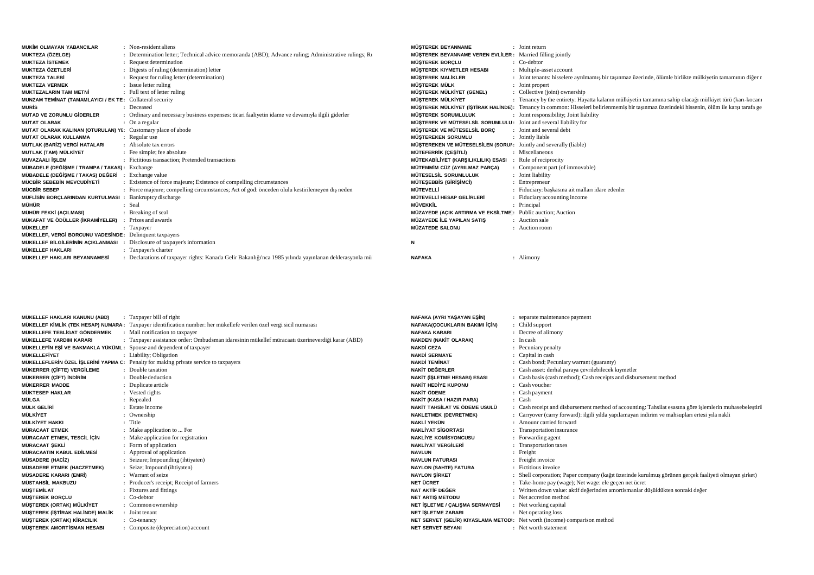| <b>MUKİM OLMAYAN YABANCILAR</b>                              | : Non-resident aliens                                                                                  | <b>MÜSTEREK BEYANNAME</b>                                         | : Joint return                                                                                                                             |
|--------------------------------------------------------------|--------------------------------------------------------------------------------------------------------|-------------------------------------------------------------------|--------------------------------------------------------------------------------------------------------------------------------------------|
| MUKTEZA (ÖZELGE)                                             | : Determination letter; Technical advice memoranda (ABD); Advance ruling; Administrative rulings; Ru   | <b>MÜSTEREK BEYANNAME VEREN EVLİLER:</b> Married filling jointly  |                                                                                                                                            |
| <b>MUKTEZA İSTEMEK</b>                                       | : Request determination                                                                                | <b>MÜSTEREK BORCLU</b>                                            | $\therefore$ Co-debtor                                                                                                                     |
| <b>MUKTEZA ÖZETLERİ</b>                                      | : Digests of ruling (determination) letter                                                             | MÜSTEREK KIYMETLER HESABI                                         | : Multiple-asset account                                                                                                                   |
| <b>MUKTEZA TALEBİ</b>                                        | : Request for ruling letter (determination)                                                            | <b>MÜSTEREK MALİKLER</b>                                          | : Joint tenants: hisselere ayrılmamış bir taşınmaz üzerinde, ölümle birlikte mülkiyetin tamamının diğer r                                  |
| <b>MUKTEZA VERMEK</b>                                        | : Issue letter ruling                                                                                  | <b>MÜSTEREK MÜLK</b>                                              | : Joint propert                                                                                                                            |
| <b>MUKTEZALARIN TAM METNİ</b>                                | : Full text of letter ruling                                                                           | MÜSTEREK MÜLKİYET (GENEL)                                         | : Collective (joint) ownership                                                                                                             |
| MUNZAM TEMİNAT (TAMAMLAYICI / EK TE: Collateral security     |                                                                                                        | MÜSTEREK MÜLKİYET                                                 | : Tenancy by the entirety: Hayatta kalanın mülkiyetin tamamına sahip olacağı mülkiyet türü (karı-kocanı                                    |
| <b>MURIS</b>                                                 | : Deceased                                                                                             |                                                                   | MÜSTEREK MÜLKİYET (İSTİRAK HALİNDE): Tenancy in common: Hisseleri belirlenmemiş bir taşınmaz üzerindeki hissenin, ölüm ile karşı tarafa ge |
| <b>MUTAD VE ZORUNLU GİDERLER</b>                             | : Ordinary and necessary business expenses: ticari faaliyetin idame ve devamiyla ilgili giderler       | <b>MÜSTEREK SORUMLULUK</b>                                        | : Joint responsibility; Joint liability                                                                                                    |
| <b>MUTAT OLARAK</b>                                          | $\therefore$ On a regular                                                                              | MÜSTEREK VE MÜTESELSİL SORUMLULU: Joint and several liability for |                                                                                                                                            |
| MUTAT OLARAK KALINAN (OTURULAN) YI: Customary place of abode |                                                                                                        | MÜSTEREK VE MÜTESELSİL BORÇ                                       | : Joint and several debt                                                                                                                   |
| <b>MUTAT OLARAK KULLANMA</b>                                 | : Regular use                                                                                          | <b>MÜSTEREKEN SORUMLU</b>                                         | : Jointly liable                                                                                                                           |
| MUTLAK (BARİZ) VERGİ HATALARI                                | : Absolute tax errors                                                                                  | MÜSTEREKEN VE MÜTESELSİLEN (SORUM: Jointly and severally (liable) |                                                                                                                                            |
| MUTLAK (TAM) MÜLKİYET                                        | : Fee simple; fee absolute                                                                             | MÜTEFERRİK (ÇEŞİTLİ)                                              | : Miscellaneous                                                                                                                            |
| <b>MUVAZAALI İSLEM</b>                                       | : Fictitious transaction: Pretended transactions                                                       | MÜTEKABİLİYET (KARSILIKLILIK) ESASI                               | Rule of reciprocity                                                                                                                        |
| MÜBADELE (DEĞİŞME / TRAMPA / TAKAS): Exchange                |                                                                                                        | MÜTEMMİM CÜZ (AYRILMAZ PARCA)                                     | : Component part (of immovable)                                                                                                            |
| MÜBADELE (DEĞİSME / TAKAS) DEĞERİ                            | Exchange value                                                                                         | MÜTESELSİL SORUMLULUK                                             | : Joint liability                                                                                                                          |
| MÜCBİR SEBEBİN MEVCUDİYETİ                                   | : Existence of force majeure; Existence of compelling circumstances                                    | <b>MÜTESEBBIS (GIRISIMCI)</b>                                     | : Entrepreneur                                                                                                                             |
| MÜCBİR SEBEP                                                 | : Force majeure; compelling circumstances; Act of god: önceden olulu kestirilemeyen dis neden          | MÜTEVELLİ                                                         | : Fiduciary: baskasına ait malları idare edenler                                                                                           |
| MÜFLİSİN BORÇLARINDAN KURTULMASI                             | : Bankruptcy discharge                                                                                 | MÜTEVELLİ HESAP GELİRLERİ                                         | : Fiduciary accounting income                                                                                                              |
| MÜHÜR                                                        | : Seal                                                                                                 | <b>MÜVEKKİL</b>                                                   | : Principal                                                                                                                                |
| MÜHÜR FEKKİ (AÇILMASI)                                       | : Breaking of seal                                                                                     | MÜZAYEDE (AÇIK ARTIRMA VE EKSİLTME): Public auction; Auction      |                                                                                                                                            |
| MÜKAFAT VE ÖDÜLLER (İKRAMİYELER)                             | Prizes and awards                                                                                      | MÜZAYEDE İLE YAPILAN SATIS                                        | : Auction sale                                                                                                                             |
| <b>MÜKELLEF</b>                                              | : Taxpayer                                                                                             | <b>MÜZATEDE SALONU</b>                                            | : Auction room                                                                                                                             |
| MÜKELLEF, VERGİ BORCUNU VADESİNDE: Delinquent taxpayers      |                                                                                                        |                                                                   |                                                                                                                                            |
| MÜKELLEF BİLGİLERİNİN ACIKLANMASI                            | Disclosure of taxpayer's information                                                                   | N                                                                 |                                                                                                                                            |
| <b>MÜKELLEF HAKLARI</b>                                      | : Taxpayer's charter                                                                                   |                                                                   |                                                                                                                                            |
| MÜKELLEF HAKLARI BEYANNAMESİ                                 | : Declarations of taxpayer rights: Kanada Gelir Bakanlığı'nca 1985 yılında yayınlanan deklerasyonla mü | <b>NAFAKA</b>                                                     | : Alimony                                                                                                                                  |
|                                                              |                                                                                                        |                                                                   |                                                                                                                                            |

| MÜKELLEF HAKLARI KANUNU (ABD)                                       | Taxpayer bill of right                                                                                              | NAFAKA (AYRI YAŞAYAN EŞİN)            | : separate maintenance payment                                                                          |
|---------------------------------------------------------------------|---------------------------------------------------------------------------------------------------------------------|---------------------------------------|---------------------------------------------------------------------------------------------------------|
|                                                                     | MÜKELLEF KİMLİK (TEK HESAP) NUMARA: Taxpayer identification number: her mükellefe verilen özel vergi sicil numarası | <b>NAFAKA(COCUKLARIN BAKIMI İÇİN)</b> | : Child support                                                                                         |
| MÜKELLEFE TEBLİGAT GÖNDERMEK                                        | : Mail notification to taxpayer                                                                                     | <b>NAFAKA KARARI</b>                  | : Decree of alimony                                                                                     |
| MÜKELLEFE YARDIM KARARI                                             | : Taxpayer assistance order: Ombudsman idaresinin mükellef müracaatı üzerineverdiği karar (ABD)                     | <b>NAKDEN (NAKİT OLARAK)</b>          | : In cash                                                                                               |
| MÜKELLEFİN EŞİ VE BAKMAKLA YÜKÜML: Spouse and dependent of taxpayer |                                                                                                                     | <b>NAKDİ CEZA</b>                     | : Pecuniary penalty                                                                                     |
| <b>MÜKELLEFİYET</b>                                                 | : Liability; Obligation                                                                                             | <b>NAKDİ SERMAYE</b>                  | : Capital in cash                                                                                       |
|                                                                     | MÜKELLEFLERIN ÖZEL İŞLERINİ YAPMA C: Penalty for making private service to taxpayers                                | <b>NAKDİ TEMİNAT</b>                  | : Cash bond; Pecuniary warrant (guaranty)                                                               |
| MÜKERRER (ÇİFTE) VERGİLEME                                          | : Double taxation                                                                                                   | NAKİT DEĞERLER                        | : Cash asset: derhal paraya cevrilebilecek kıymetler                                                    |
| MÜKERRER (ÇİFT) İNDİRİM                                             | : Double deduction                                                                                                  | <b>NAKİT (İSLETME HESABI) ESASI</b>   | : Cash basis (cash method); Cash receipts and disbursement method                                       |
| MÜKERRER MADDE                                                      | : Duplicate article                                                                                                 | <b>NAKİT HEDİYE KUPONU</b>            | : Cash voucher                                                                                          |
| <b>MÜKTESEP HAKLAR</b>                                              | : Vested rights                                                                                                     | NAKİT ÖDEME                           | : Cash payment                                                                                          |
| MÜLGA                                                               | : Repealed                                                                                                          | NAKİT (KASA / HAZIR PARA)             | : Cash                                                                                                  |
| MÜLK GELİRİ                                                         | : Estate income                                                                                                     | NAKİT TAHSİLAT VE ÖDEME USULÜ         | : Cash receipt and disbursement method of accounting: Tahsilat esasina göre islemlerin muhasebelestiril |
| <b>MÜLKİYET</b>                                                     | : Ownership                                                                                                         | <b>NAKLETMEK (DEVRETMEK)</b>          | : Carryover (carry forward): ilgili yılda yapılamayan indirim ve mahsupları ertesi yıla nakli           |
| MÜLKİYET HAKKI                                                      | : Title                                                                                                             | NAKLİ YEKÜN                           | : Amounr carried forward                                                                                |
| <b>MÜRACAAT ETMEK</b>                                               | : Make application to  For                                                                                          | <b>NAKLİYAT SİGORTASI</b>             | : Transportation insurance                                                                              |
| MÜRACAAT ETMEK, TESCİL İÇİN                                         | : Make application for registration                                                                                 | <b>NAKLİYE KOMİSYONCUSU</b>           | : Forwarding agent                                                                                      |
| <b>MÜRACAAT SEKLİ</b>                                               | : Form of application                                                                                               | <b>NAKLİYAT VERGİLERİ</b>             | : Transportation taxes                                                                                  |
| MÜRACAATIN KABUL EDİLMESİ                                           | : Approval of application                                                                                           | <b>NAVLUN</b>                         | : Freight                                                                                               |
| <b>MÜSADERE (HACİZ)</b>                                             | : Seizure; Impounding (ihtiyaten)                                                                                   | <b>NAVLUN FATURASI</b>                | : Freight invoice                                                                                       |
| <b>MÜSADERE ETMEK (HACZETMEK)</b>                                   | : Seize; Impound (ihtiyaten)                                                                                        | <b>NAYLON (SAHTE) FATURA</b>          | : Fictitious invoice                                                                                    |
| <b>MÜSADERE KARARI (EMRİ)</b>                                       | : Warrant of seize                                                                                                  | <b>NAYLON SIRKET</b>                  | : Shell corporation; Paper company (kağıt üzerinde kurulmuş görünen gerçek faaliyeti olmayan şirket)    |
| MÜSTAHSİL MAKBUZU                                                   | : Producer's receipt; Receipt of farmers                                                                            | NET ÜCRET                             | : Take-home pay (wage); Net wage: ele geçen net ücret                                                   |
| MÜŞTEMİLAT                                                          | : Fixtures and fittings                                                                                             | NAT AKTİF DEĞER                       | : Written down value: aktif değerinden amortismanlar düşüldükten sonraki değer                          |
| <b>MÜŞTEREK BORÇLU</b>                                              | : Co-debtor                                                                                                         | <b>NET ARTIS METODU</b>               | : Net accretion method                                                                                  |
| MÜŞTEREK (ORTAK) MÜLKİYET                                           | : Common ownership                                                                                                  | NET İSLETME / ÇALIŞMA SERMAYESİ       | : Net working capital                                                                                   |
| MÜŞTEREK (İŞTİRAK HALİNDE) MALİK                                    | : Joint tenant                                                                                                      | <b>NET ISLETME ZARARI</b>             | : Net operating loss                                                                                    |
| MÜSTEREK (ORTAK) KİRACILIK                                          | $\therefore$ Co-tenancy                                                                                             |                                       | NET SERVET (GELIR) KIYASLAMA METODI: Net worth (income) comparison method                               |
| <b>MÜSTEREK AMORTİSMAN HESABI</b>                                   | : Composite (depreciation) account                                                                                  | <b>NET SERVET BEYANI</b>              | : Net worth statement                                                                                   |
|                                                                     |                                                                                                                     |                                       |                                                                                                         |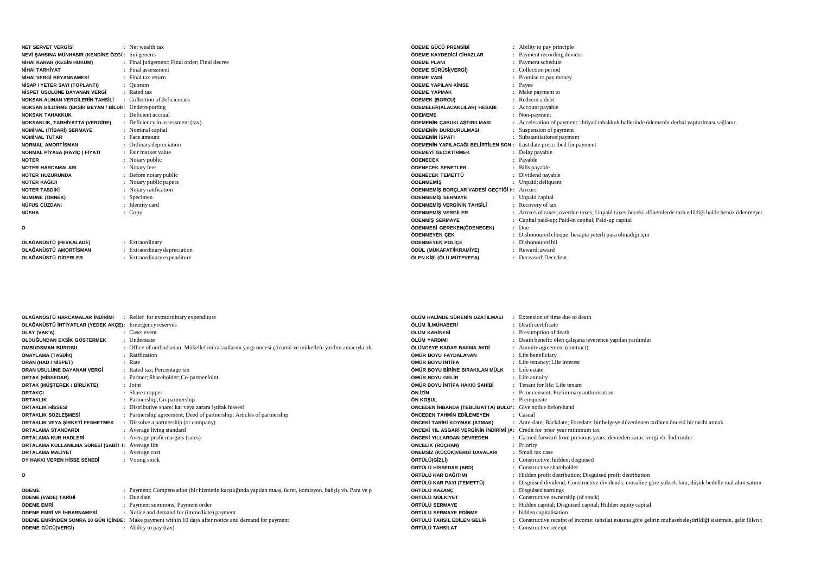| <b>NET SERVET VERGISI</b>                             | : Net wealth tax                           |
|-------------------------------------------------------|--------------------------------------------|
| NEVİ ŞAHSINA MÜNHASIR (KENDİNE ÖZGİ:                  | Sui generis                                |
| NİHAİ KARAR (KESİN HÜKÜM)<br>÷.                       | Final judgement; Final order; Final decree |
| NİHAİ TARHİYAT                                        | Final assessment                           |
| <b>NÍHAÍ VERGÍ REYANNAMESÍ</b><br>$\sim$              | Final tax return                           |
| NISAP / YETER SAYI (TOPLANTI)<br>÷.                   | Ouorum                                     |
| NİSPET USULÜNE DAYANAN VERGİ<br>$\sim$                | Rated tax                                  |
| <b>NOKSAN ALINAN VERGİLERİN TAHSİLİ</b><br>$\sim$     | Collection of deficiencies                 |
| NOKSAN BİLDİRME (EKSİK BEYAN / BİLDİI: Underreporting |                                            |
| <b>NOKSAN TAHAKKUK</b>                                | Deficient accrual                          |
| NOKSANLIK, TARHİYATTA (VERGİDE)                       | Deficiency in assessment (tax)             |
| NOMINAL (ITIBARI) SERMAYE<br>÷                        | Nominal capital                            |
| <b>NOMINAL TUTAR</b>                                  | Face amount                                |
| <b>NORMAL AMORTISMAN</b>                              | Ordinary depreciation                      |
| NORMAL PİYASA (RAYİÇ) FİYATI                          | Fair market value                          |
| <b>NOTER</b>                                          | Notary public                              |
| <b>NOTER HARCAMALARI</b>                              | Notary fees                                |
| <b>NOTER HUZURUNDA</b>                                | Before notary public                       |
| NOTER KAĞIDI                                          | Notary public papers                       |
| <b>NOTER TASDIKI</b>                                  | Notary ratification                        |
| NUMUNE (ÖRNEK)                                        | Specimen                                   |
| NÜFUS CÜZDANI                                         | Identity card                              |
| NÜSHA<br>۰.                                           | Copy                                       |
| ٥                                                     |                                            |
|                                                       |                                            |
| OLAĞANÜSTÜ (FEVKALADE)                                | : Extraordinary                            |

Extraordinary depreciation

Extraordinary expenditure

| ÖDEME GÜCÜ PRENSİBİ                                                   | : Ability to pay principle                                                                             |
|-----------------------------------------------------------------------|--------------------------------------------------------------------------------------------------------|
| ÖDEME KAYDEDİCİ CİHAZLAR                                              | : Payment recording devices                                                                            |
| ÖDEME PLANI                                                           | : Payment schedule                                                                                     |
| ÖDEME SÜRÜSİ(VERGİ)                                                   | : Collection period                                                                                    |
| ÖDEME VADİ                                                            | : Promise to pay money                                                                                 |
| ÖDEME YAPILAN KİMSE                                                   | : Payee                                                                                                |
| ÖDEME YAPMAK                                                          | : Make payment to                                                                                      |
| ÖDEMEK (BORCU)                                                        | : Redeem a debt                                                                                        |
| ÖDEMELER(ALACAKLILAR) HESABI                                          | : Account payable                                                                                      |
| ÖDEMEME                                                               | : Non-payment                                                                                          |
| ÖDEMENİN ÇABUKLAŞTIRILMASI                                            | : Acceleration of payment: ihtiyati tahakkuk hallerinde ödemenin derhal yaptırılması sağlanır.         |
| ÖDEMENİN DURDURULMASI                                                 | : Suspension of payment                                                                                |
| ÖDEMENİN İSPATI                                                       | : Substantiation of payment                                                                            |
| ÖDEMENİN YAPILACAĞI BELİRTİLEN SON : Last date prescribed for payment |                                                                                                        |
| ÖDEMEYİ GECİKTİRMEK                                                   | : Delay payable                                                                                        |
| <b>ÖDENECEK</b>                                                       | : Payable                                                                                              |
| ÖDENECEK SENETLER                                                     | : Bills payable                                                                                        |
| ÖDENECEK TEMETTÜ                                                      | : Dividend payable                                                                                     |
| ÖDENMEMİS                                                             | : Unpaid; deliquent                                                                                    |
| ÖDENMEMİŞ BORÇLAR VADESİ GEÇTİĞİ I: Arrears                           |                                                                                                        |
| ÖDENMEMIS SERMAYE                                                     | : Unpaid capital                                                                                       |
| ÖDENMEMİS VERGİNİN TAHSİLİ                                            | : Recovery of tax                                                                                      |
| ÖDENMEMİS VERGİLER                                                    | : Arrears of taxes; overdue taxes; Unpaid taxes; önceki dönemlerde tarh edildiği halde henüz ödenmeyer |
| ÖDENMİS SERMAYE                                                       | : Capital paid-up; Paid-in capital; Paid-up capital                                                    |
| ÖDENMESİ GEREKEN(ÖDENECEK)                                            | $:$ Due                                                                                                |
| ÖDENMEYEN ÇEK                                                         | : Dishonoured cheque: hesapta yeterli para olmadığı için                                               |
| ÖDENMEYEN POLİCE                                                      | : Dishonoured bil                                                                                      |
| ÖDÜL (MÜKAFAT/İKRAMİYE)                                               | : Reward: award                                                                                        |
| ÖLEN KİŞİ (ÖLÜ,MÜTEVEFA)                                              | : Deceased: Decedent                                                                                   |
|                                                                       |                                                                                                        |

| OLAĞANÜSTÜ HARCAMALAR İNDİRİMİ                         | : Relief for extraordinary expenditure                                                              | ÖLÜM HALİNDE SÜRENİN UZATILMASI                                           | Extension of time due to death                               |
|--------------------------------------------------------|-----------------------------------------------------------------------------------------------------|---------------------------------------------------------------------------|--------------------------------------------------------------|
| OLAĞANÜSTÜ İHTİYATLAR (YEDEK AKÇE): Emergency reserves |                                                                                                     | ÖLÜM İLMÜHABERİ                                                           | : Death certificate                                          |
| OLAY (VAK'A)                                           | : Case: event                                                                                       | ÖLÜM KARİNESİ                                                             | : Presumption of death                                       |
| OLDUĞUNDAN EKSİK GÖSTERMEK                             | : Understate                                                                                        | ÖLÜM YARDIMI                                                              | : Death benefit: ölen çalışana işverence yapılan yardımlar   |
| OMBUDSMAN BÜROSU                                       | : Office of ombudsman: Mükellef müracaatlarını yargı öncesi çözümü ve mükellefe yardım amacıyla olu | ÖLÜNCEYE KADAR BAKMA AKDİ                                                 | : Annuity agreement (contract)                               |
| <b>ONAYLAMA (TASDİK)</b>                               | : Ratification                                                                                      | ÖMÜR BOYU FAYDALANAN                                                      | : Life beneficiary                                           |
| ORAN (HAD / NISPET)                                    | : Rate                                                                                              | ÖMÜR BOYU İNTİFA                                                          | : Life tenancy; Life interest                                |
| ORAN USULÜNE DAYANAN VERGİ                             | : Rated tax; Percentage tax                                                                         | ÖMÜR BOYU BİRİNE BIRAKILAN MÜLK                                           | : Life estate                                                |
| <b>ORTAK (HİSSEDAR)</b>                                | : Partner; Shareholder; Co-partnerJoint                                                             | ÖMÜR BOYU GELİR                                                           | : Life annuity                                               |
| ORTAK (MÜŞTEREK / BİRLİKTE)                            | : Joint                                                                                             | ÖMÜR BOYU İNTİFA HAKKI SAHİBİ                                             | : Tenant for life; Life tenant                               |
| <b>ORTAKCI</b>                                         | : Share cropper                                                                                     | ÖN İZİN                                                                   | : Prior consent; Preliminary authorisation                   |
| <b>ORTAKLIK</b>                                        | : Partnership; Co-partnership                                                                       | ÖN KOŞUL                                                                  | : Prerequisite                                               |
| <b>ORTAKLIK HISSESİ</b>                                | : Distributive share: kar veya zarara istirak hissesi                                               | ÖNCEDEN İHBARDA (TEBLİGATTA) BULUI: Give notice beforehand                |                                                              |
| ORTAKLIK SÖZLEŞMESİ                                    | : Partnership agreement; Deed of partnership; Articles of partnership                               | ÖNCEDEN TAHMİN EDİLEMEYEN                                                 | : Casual                                                     |
| ORTAKLIK VEYA ŞİRKETİ FESHETMEK                        | : Dissolve a partnership (or company)                                                               | ÖNCEKİ TARİHİ KOYMAK (ATMAK)                                              | : Ante-date; Backdate; Foredate: bir belgeye düzenlenen      |
| <b>ORTALAMA STANDARDI</b>                              | : Average living standard                                                                           | ÖNCEKİ YIL ASGARİ VERGİNİN İNDİRİMİ (A: Credit for prior year minimum tax |                                                              |
| ORTALAMA KUR HADLERİ                                   | : Average profit margins (rates)                                                                    | ÖNCEKİ YILLARDAN DEVREDEN                                                 | : Carried forward from previous years: devreden zarar, ve    |
| ORTALAMA KULLANILMA SÜRESİ (SABİT I: Average life      |                                                                                                     | ÖNCELİK (RÜÇHAN)                                                          | : Priority                                                   |
| <b>ORTALAMA MALIYET</b>                                | : Average cost                                                                                      | ÖNEMSİZ (KÜÇÜK)VERGİ DAVALARI                                             | : Small tax case                                             |
| OY HAKKI VEREN HİSSE SENEDİ                            | : Voting stock                                                                                      | ÖRTÜLÜ(GİZLİ)                                                             | : Constructive; hidden; disguised                            |
|                                                        |                                                                                                     | ÖRTÜLÜ HİSSEDAR (ABD)                                                     | : Constructive shareholder                                   |
| $\sim$                                                 |                                                                                                     | ÖDTÜLÜ KAD DAĞITIML                                                       | . Hidden profit distribution: Discuised profit distribution. |

 $beforehand$ Backdate; Foredate: bir belgeye düzenlenen tarihten önceki bir tarihi atmak **:** Credit for prior year minimum tax: Carried forward from previous years: devreden zarar, vergi vb. İndirimler ase Constructive; hidden; disguised $ve$  shareholder Hidden profit distribution; Disguised profit distribution**ÖRTÜLÜ KAR DA**Ğ**ITIMI :**. Disguised dividend; Constructive dividends: emsaline göre yüksek kira, düşük bedelle mal alım satımı, **ÖRTÜLÜ KAR PAYI (TEMETTÜ) :ÖRTÜLÜ KAZANÇ :** Disguised earnings Constructive ownership (of stock)ÖRTÜLÜ MÜLKİYET Hidden capital; Disguised capital; Hidden equity capital**ÖRTÜLÜ SERMAYE :ÖRTÜLÜ SERMAYE ED**Đ**NME :**: hidden capitalisation Constructive receipt of income: tahsilat esasına göre gelirin muhasebeleştirildiği sistemde, gelir fiilen t  $\ddot{o}$ RTÜLÜ TAHSİL EDİLEN GELİR **ÖRTÜLÜ TAHS**Đ**LAT :**: Constructive receipt

## **Ö**

**OLA**Ğ**ANÜSTÜ AMORT**Đ**SMAN :**

**OLA**Ğ**ANÜSTÜ G**Đ**DERLER :**

| <b>ÖDEME</b>              | : Payment; Compensation (bir hizmetin karşılığında yapılan maaş, ücret, komisyon, bahşiş vb. Para ve p |
|---------------------------|--------------------------------------------------------------------------------------------------------|
| ÖDEME (VADE) TARİHİ       | : Due date                                                                                             |
| ÖDEME EMRİ                | : Payment summons; Payment order                                                                       |
| ÖDEME EMRİ VE İHBARNAMESİ | : Notice and demand for (immediate) payment                                                            |
|                           | ÖDEME EMRINDEN SONRA 10 GÜN İÇİNDE: Make payment within 10 days after notice and demand for payment    |
| ÖDEME GÜCÜ(VERGİ)         | $:$ Ability to pay (tax)                                                                               |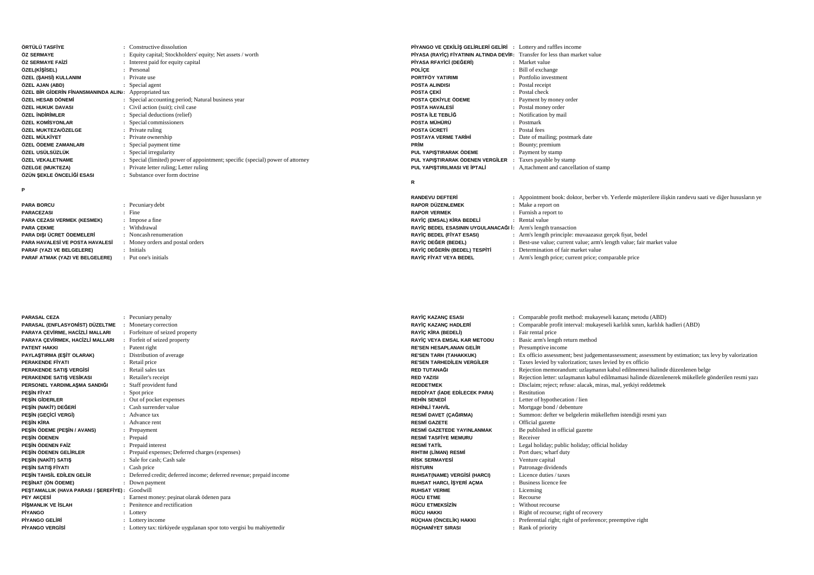| ÖRTÜLÜ TASFİYE                                         | Constructive dissolution                                                       | PIYANGO VE CEKİLİŞ GELİRLERİ GELİRİ : Lottery and raffles income            |                                                                                                          |
|--------------------------------------------------------|--------------------------------------------------------------------------------|-----------------------------------------------------------------------------|----------------------------------------------------------------------------------------------------------|
| ÖZ SERMAYE                                             | Equity capital; Stockholders' equity; Net assets / worth                       | PIYASA (RAYIC) FIYATININ ALTINDA DEVIR: Transfer for less than market value |                                                                                                          |
| ÖZ SERMAYE FAİZİ                                       | : Interest paid for equity capital                                             | PİYASA RFAYİCİ (DEĞERİ)                                                     | : Market value                                                                                           |
| ÖZEL(KİŞİSEL)                                          | Personal                                                                       | POLİCE                                                                      | : Bill of exchange                                                                                       |
| ÖZEL (ŞAHSİ) KULLANIM                                  | Private use                                                                    | PORTFÖY YATIRIMI                                                            | : Portfolio investment                                                                                   |
| ÖZEL AJAN (ABD)                                        | : Special agent                                                                | <b>POSTA ALINDISI</b>                                                       | : Postal receipt                                                                                         |
| ÖZEL BİR GİDERİN FİNANSMANINDA ALINI: Appropriated tax |                                                                                | <b>POSTA CEKİ</b>                                                           | : Postal check                                                                                           |
| ÖZEL HESAB DÖNEMİ                                      | : Special accounting period; Natural business year                             | POSTA CEKİYLE ÖDEME                                                         | : Payment by money order                                                                                 |
| ÖZEL HUKUK DAVASI                                      | : Civil action (suit); civil case                                              | <b>POSTA HAVALES</b>                                                        | : Postal money order                                                                                     |
| ÖZEL İNDİRİMLER                                        | : Special deductions (relief)                                                  | POSTA İLE TEBLİĞ                                                            | : Notification by mail                                                                                   |
| ÖZEL KOMİSYONLAR                                       | Special commissioners                                                          | POSTA MÜHÜRÜ                                                                | : Postmark                                                                                               |
| ÖZEL MUKTEZA/ÖZELGE                                    | Private ruling                                                                 | POSTA ÜCRETİ                                                                | : Postal fees                                                                                            |
| ÖZEL MÜLKİYET                                          | Private ownership                                                              | <b>POSTAYA VERME TARIHI</b>                                                 | : Date of mailing; postmark date                                                                         |
| ÖZEL ÖDEME ZAMANLARI                                   | : Special payment time                                                         | <b>PRİM</b>                                                                 | : Bounty; premium                                                                                        |
| ÖZEL USÜLSÜZLÜK                                        | : Special irregularity                                                         | PUL YAPIŞTIRARAK ÖDEME                                                      | : Payment by stamp                                                                                       |
| ÖZEL VEKALETNAME                                       | : Special (limited) power of appointment; specific (special) power of attorney | PUL YAPISTIRARAK ÖDENEN VERGİLER                                            | Taxes payable by stamp                                                                                   |
| ÖZELGE (MUKTEZA)                                       | Private letter ruling; Letter ruling                                           | PUL YAPIŞTIRILMASI VE İPTALİ                                                | : A,ttachment and cancellation of stamp                                                                  |
| ÖZÜN ŞEKLE ÖNCELİĞİ ESASI                              | : Substance over form doctrine                                                 |                                                                             |                                                                                                          |
|                                                        |                                                                                | R                                                                           |                                                                                                          |
| P                                                      |                                                                                |                                                                             |                                                                                                          |
|                                                        |                                                                                | <b>RANDEVU DEFTERİ</b>                                                      | : Appointment book: doktor, berber vb. Yerlerde müsterilere ilişkin randevu saati ve diğer hususların ye |
| <b>PARA BORCU</b>                                      | Pecuniary debt                                                                 | <b>RAPOR DÜZENLEMEK</b>                                                     | : Make a report on                                                                                       |
| <b>PARACEZASI</b>                                      | $:$ Fine                                                                       | <b>RAPOR VERMEK</b>                                                         | : Furnish a report to                                                                                    |
| PARA CEZASI VERMEK (KESMEK)                            | Impose a fine                                                                  | RAYİÇ (EMSAL) KİRA BEDELİ                                                   | : Rental value                                                                                           |

**RAYIÇ (EMSAL) KIRA BEDELI**<br>RAYİÇ BEDEL ESASININ UYGULANACAĞI İ: Arm's length transaction

**RAY**Đ**Ç BEDEL (F**Đ**YAT ESASI) :**

**RAY**Đ**Ç DE**Ğ**ER (BEDEL) :RAY**Đ**Ç DE**Ğ**ER**Đ**N (BEDEL) TESP**Đ**T**Đ

**RAY**Đ**Ç F**Đ**YAT VEYA BEDEL :**

**PARACEZASI :PARA CEZASI VERMEK (KESMEK) :**: Impose a fine Withdrawal Noncash renumeration**PARA DI**Ş**I ÜCRET ÖDEMELER**Đ **:i** : Money orders and postal orders **PARA HAVALESİ VE POSTA HAVALESİ PARAF (YAZI VE BELGELERE) :**: Initials Put one's initials**PARAF ATMAK (YAZI VE BELGELERE) :**

**PARA ÇEKME :**

**PARASAL CEZA : PARASAL (ENFLASYON**Đ**ST) DÜZELTME :** Monetary correction: Pecuniary penalty **PARAYA ÇEVİRME, HACİZLİ MALLARI ·** Forfeiture of seized property **PARAYA ÇEVİRMEK, HACİZLİ MALLARI** Forfeit of seized property **PATENT HAKKI :** Patent right Distribution of average $PAYLA$TIRMA (E$IT OLARAK)$ **PERAKENDE F**Đ**YATI :** Retail price Retail sales tax**PERAKENDE SATIŞ VERGİSİ :** Retailer's receipt**PERAKENDE SATI**Ş **VES**Đ**KASI :** Staff provident fund**PERSONEL YARDIMLA**Ş**MA SANDI**Ğ**<sup>I</sup> :PE**ŞĐ**N F**Đ**YAT :**: Spot price Out of pocket expenses**PE**ŞĐ**N G**Đ**DERLER :** $P$ **EŞİN (NAKİT) DEĞERİ :** Cash surrender value $P$ **EŞİN (GEÇİCİ VERGİ)**  Advance tax Advance rent**PE**ŞĐ**N K**Đ**RA :** $PESIN ÖDEME (PESIN / AVANS)$ : Prepayment **PE**ŞĐ**N ÖDENEN :**: Prepaid Prepaid interest**PE**ŞĐ**N ÖDENEN FA**Đ**<sup>Z</sup> :** Prepaid expenses; Deferred charges (expenses) $P$ **EŞİN ÖDENEN GELİRLER PEŞİN (NAKİT) SATIŞ :** Sale for cash; Cash sale **PE**ŞĐ**N SATI**Ş **F**Đ**YATI :** Cash price Deferred credit; deferred income; deferred revenue; prepaid income $P$ **EŞİN TAHSİL EDİLEN GELİR PE**ŞĐ**NAT (ÖN ÖDEME) :** Down payment**PE**Ş**TAMALLIK (HAVA PARASI /** Ş**EREF**Đ**YE) :** Goodwill Earnest money: peşinat olarak ödenen para**PEY AKÇESİ :<sup>P</sup>**ĐŞ**MANLIK VE** Đ**SLAH :** Penitence and rectification**P**Đ**YANGO :** Lottery **P**İYANGO GELİRİ **:** Lottery income Lottery tax: türkiyede uygulanan spor toto vergisi bu mahiyettedir**P**İYANGO VERGİSİ **:**

| <b>RAYİÇ KAZANÇ ESASI</b>         | : Comparable profit method: mukayeseli kazanç metodu (ABD)                                            |
|-----------------------------------|-------------------------------------------------------------------------------------------------------|
| RAYİÇ KAZANÇ HADLERİ              | : Comparable profit interval: mukayeseli karlılık sınırı, karlılık hadleri (ABD)                      |
| RAYİÇ KİRA (BEDELİ)               | : Fair rental price                                                                                   |
| RAYİÇ VEYA EMSAL KAR METODU       | : Basic arm's length return method                                                                    |
| <b>RE'SEN HESAPLANAN GELİR</b>    | : Presumptive income                                                                                  |
| <b>RE'SEN TARH (TAHAKKUK)</b>     | : Ex officio assessment; best judgementassessment; assessment by estimation; tax levy by valorization |
| <b>RE'SEN TARHEDİLEN VERGİLER</b> | : Taxes levied by valorization; taxes levied by ex officio                                            |
| RED TUTANAĞI                      | : Rejection memorandum: uzlaşmanın kabul edilmemesi halinde düzenlenen belge                          |
| <b>RED YAZISI</b>                 | : Rejection letter: uzlasmanın kabul edilmamasi halinde düzenlenerek mükellefe gönderilen resmi yazı  |
| <b>REDDETMEK</b>                  | : Disclaim; reject; refuse: alacak, miras, mal, yetkiyi reddetmek                                     |
| REDDİYAT (İADE EDİLECEK PARA)     | : Restitution                                                                                         |
| <b>REHIN SENEDI</b>               | : Letter of hypothecation / lien                                                                      |
| REHİNLİ TAHVİL                    | : Mortgage bond / debenture                                                                           |
| RESMİ DAVET (ÇAĞIRMA)             | : Summon: defter ve belgelerin mükelleften istendiği resmi yazı                                       |
| <b>RESMİ GAZETE</b>               | : Official gazette                                                                                    |
| RESMİ GAZETEDE YAYINLANMAK        | : Be published in official gazette                                                                    |
| <b>RESMİ TASFİYE MEMURU</b>       | : Receiver                                                                                            |
| <b>RESMİ TATİL</b>                | : Legal holiday; public holiday; official holiday                                                     |
| RIHTIM (LİMAN) RESMİ              | : Port dues; wharf duty                                                                               |
| <b>RİSK SERMAYESİ</b>             | : Venture capital                                                                                     |
| <b>RISTURN</b>                    | : Patronage dividends                                                                                 |
| RUHSAT(NAME) VERGISI (HARCI)      | : Licence duties / taxes                                                                              |
| RUHSAT HARCI, İŞYERİ AÇMA         | : Business licence fee                                                                                |
| <b>RUHSAT VERME</b>               | : Licensing                                                                                           |
| <b>RÜCU ETME</b>                  | : Recourse                                                                                            |
| RÜCU ETMEKSİZİN                   | : Without recourse                                                                                    |
| RÜCU HAKKI                        | : Right of recourse; right of recovery                                                                |
| RÜÇHAN (ÖNCELİK) HAKKI            | : Preferential right; right of preference; preemptive right                                           |
| RÜCHANİYET SIRASI                 | : Rank of priority                                                                                    |

Arm's length principle: muvaazasız gerçek fiyat, bedel

Arm's length price; current price; comparable price

**:** Determination of fair market value

Best-use value; current value; arm's length value; fair market value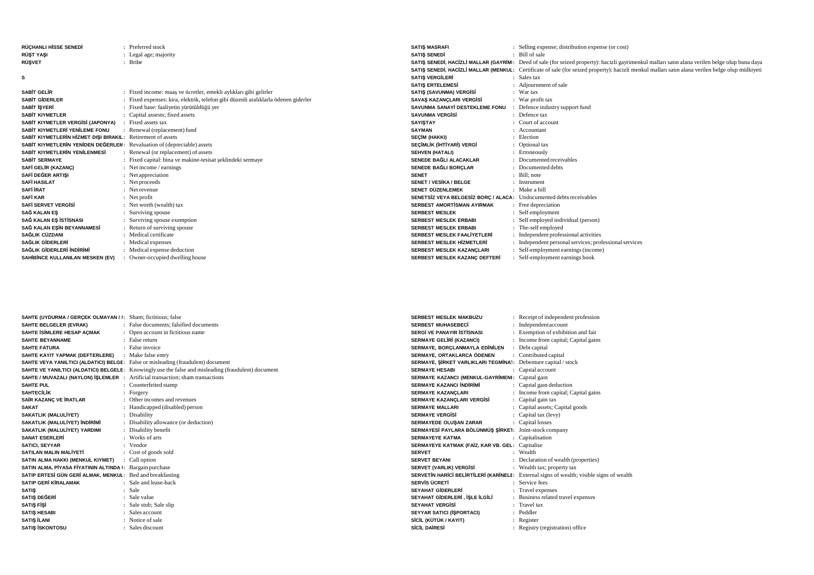| RÜCHANLI HİSSE SENEDİ                                                   | : Preferred stock                                                                  | <b>SATIS MASRAFI</b>                                                       | : Selling expense; distribution expense (or cost)                                                                                                      |
|-------------------------------------------------------------------------|------------------------------------------------------------------------------------|----------------------------------------------------------------------------|--------------------------------------------------------------------------------------------------------------------------------------------------------|
| <b>RÜST YASI</b>                                                        | : Legal age; majority                                                              | <b>SATIS SENEDI</b>                                                        | : Bill of sale                                                                                                                                         |
| <b>RÜSVET</b>                                                           | : Bribe                                                                            |                                                                            | <b>SATIŞ SENEDİ, HACİZLİ MALLAR (GAYRİM</b> : Deed of sale (for seized property): hacizli gayrimenkul malları satın alana verilen belge olup buna daya |
|                                                                         |                                                                                    |                                                                            | SATIŞ SENEDİ, HACİZLİ MALLAR (MENKUL: Certificate of sale (for seized property): hacizli menkul malları satın alana verilen belge olup mülkiyeti       |
| <b>s</b>                                                                |                                                                                    | <b>SATIS VERGİLERİ</b>                                                     | : Sales tax                                                                                                                                            |
|                                                                         |                                                                                    | <b>SATIS ERTELEMESi</b>                                                    | : Adjournment of sale                                                                                                                                  |
| <b>SABIT GELIR</b>                                                      | : Fixed income: maas ve ücretler, emekli aylıkları gibi gelirler                   | SATIS (SAVUNMA) VERGISI                                                    | $:$ War tax                                                                                                                                            |
| SABIT GIDERLER                                                          | : Fixed expenses: kira, elektrik, telefon gibi düzenli aralıklarla ödenen giderler | SAVAŞ KAZANÇLARI VERGİSİ                                                   | : War profit tax                                                                                                                                       |
| SABİT İŞYERİ                                                            | : Fixed base: faaliyetin yürütüldüğü yer                                           | SAVUNMA SANAYİ DESTEKLEME FONU                                             | : Defence industry support fund                                                                                                                        |
| <b>SABIT KIYMETLER</b>                                                  | : Capital assests; fixed assets                                                    | <b>SAVUNMA VERGISI</b>                                                     | : Defence tax                                                                                                                                          |
| SABİT KIYMETLER VERGİSİ (JAPONYA)                                       | : Fixed assets tax                                                                 | <b>SAYISTAY</b>                                                            | : Court of account                                                                                                                                     |
| SABİT KIYMETLERİ YENİLEME FONU                                          | Renewal (replacement) fund                                                         | <b>SAYMAN</b>                                                              | : Accountant                                                                                                                                           |
| SABİT KIYMETLERİN HİZMET DISI BIRAKIL: Retirement of assets             |                                                                                    | <b>SECIM (HAKKI)</b>                                                       | : Election                                                                                                                                             |
| SABİT KIYMETLERİN YENİDEN DEĞERLEN: Revaluation of (depreciable) assets |                                                                                    | SECIMLIK (IHTIYARI) VERGI                                                  | : Optional tax                                                                                                                                         |
| SABİT KIYMETLERİN YENİLENMESİ                                           | : Renewal (or replacement) of assets                                               | <b>SEHVEN (HATALI)</b>                                                     | : Erroneously                                                                                                                                          |
| SABİT SERMAYE                                                           | : Fixed capital: bina ve makine-tesisat seklindeki sermaye                         | SENEDE BAĞLI ALACAKLAR                                                     | : Documented receivables                                                                                                                               |
| SAFİ GELİR (KAZANÇ)                                                     | : Net income / earnings                                                            | SENEDE BAĞLI BORÇLAR                                                       | : Documented debts                                                                                                                                     |
| SAFİ DEĞER ARTISI                                                       | : Net appreciation                                                                 | <b>SENET</b>                                                               | : Bill: note                                                                                                                                           |
| <b>SAFİ HASILAT</b>                                                     | : Net proceeds                                                                     | SENET / VESİKA / BELGE                                                     | : Instrument                                                                                                                                           |
| <b>SAFİ İRAT</b>                                                        | : Net revenue                                                                      | SENET DÜZENLEMEK                                                           | : Make a bill                                                                                                                                          |
| <b>SAFİ KAR</b>                                                         | $\therefore$ Net profit                                                            | <b>SENETSIZ VEYA BELGESIZ BORC / ALACA:</b> Undocumented debts receivables |                                                                                                                                                        |
| <b>SAFİ SERVET VERGİSİ</b>                                              | : Net worth (wealth) tax                                                           | SERBEST AMORTISMAN AYIRMAK                                                 | : Free depreciation                                                                                                                                    |
| SAĞ KALAN ES                                                            | : Surviving spouse                                                                 | <b>SERBEST MESLEK</b>                                                      | : Self employment                                                                                                                                      |
| SAĞ KALAN ES İSTİSNASI                                                  | : Surviving spouse exemption                                                       | <b>SERBEST MESLEK ERBABI</b>                                               | : Self employed individual (person)                                                                                                                    |
| SAĞ KALAN EŞİN BEYANNAMESİ                                              | : Return of surviving spouse                                                       | <b>SERBEST MESLEK ERBABI</b>                                               | : The-self employed                                                                                                                                    |
| SAĞLIK CÜZDANI                                                          | : Medical certificate                                                              | SERBEST MESLEK FAALIYETLER                                                 | : Independent professional activities                                                                                                                  |
| SAĞLIK GİDERLERİ                                                        | : Medical expenses                                                                 | <b>SERBEST MESLEK HİZMETLERİ</b>                                           | : Independent personal services; professional services                                                                                                 |
| SAĞLIK GİDERLERİ İNDIRIMI                                               | : Medical expense deduction                                                        | SERBEST MESLEK KAZANÇLARI                                                  | : Self-employment earnings (income)                                                                                                                    |
| SAHİBİNCE KULLANILAN MESKEN (EV)                                        | : Owner-occupied dwelling house                                                    | SERBEST MESLEK KAZANC DEFTERİ                                              | : Self-employment earnings book                                                                                                                        |

| <b>SAHTE (UYDURMA / GERCEK OLMAYAN / I:</b> Sham; fictitious; false                     |                                                                                                     |
|-----------------------------------------------------------------------------------------|-----------------------------------------------------------------------------------------------------|
| SAHTE BELGELER (EVRAK)                                                                  | : False documents: falsified documents                                                              |
| SAHTE İSİMLERE HESAP AÇMAK                                                              | : Open account in fictitious name                                                                   |
| <b>SAHTE BEYANNAME</b>                                                                  | · False return                                                                                      |
| <b>SAHTE FATURA</b>                                                                     | : False invoice                                                                                     |
| SAHTE KAYIT YAPMAK (DEFTERLERE)                                                         | : Make false entry                                                                                  |
| <b>SAHTE VEYA YANILTICI (ALDATICI) BELGE:</b> False or misleading (fraudulent) document |                                                                                                     |
|                                                                                         | SAHTE VE YANILTICI (ALDATICI) BELGELE: Knowingly use the false and misleading (fraudulent) document |
| <b>SAHTE / MUVAZALI (NAYLON) İŞLEMLER</b> : Artificial transaction; sham transactions   |                                                                                                     |
| <b>SAHTE PUL</b>                                                                        | Counterfeited stamp                                                                                 |
| <b>SAHTECILIK</b>                                                                       | Forgery                                                                                             |
| SAİR KAZANÇ VE İRATLAR                                                                  | Other incomes and revenues                                                                          |
| <b>SAKAT</b>                                                                            | Handicapped (disabled) person                                                                       |
| SAKATLIK (MALULİYET)                                                                    | : Disability                                                                                        |
| SAKATLIK (MALULİYET) İNDİRİMİ                                                           | : Disability allowance (or deduction)                                                               |
| SAKATLIK (MALULİYET) YARDIMI                                                            | : Disability benefit                                                                                |
| <b>SANAT ESERLERÍ</b>                                                                   | Works of arts                                                                                       |
| <b>SATICI, SEYYAR</b>                                                                   | : Vendor                                                                                            |
| SATILAN MALIN MALIYETI                                                                  | : Cost of goods sold                                                                                |
| SATIN ALMA HAKKI (MENKUL KIYMET)<br>٠                                                   | Call option                                                                                         |
| SATIN ALMA, PİYASA FİYATININ ALTINDA I: Bargain purchase                                |                                                                                                     |
| SATIP ERTESI GÜN GERİ ALMAK, MENKUL: Bed and breakfasting                               |                                                                                                     |
| <b>SATIP GERİ KİRALAMAK</b>                                                             | Sale and lease-back                                                                                 |
| <b>SATIS</b>                                                                            | : Sale                                                                                              |
| SATIŞ DEĞERİ                                                                            | : Sale value                                                                                        |
| <b>SATIS FISI</b>                                                                       | : Sale stub; Sale slip                                                                              |
| <b>SATIS HESABI</b>                                                                     | Sales account                                                                                       |
| <b>SATIS İLANI</b>                                                                      | : Notice of sale                                                                                    |
| <b>SATIS ISKONTOSU</b>                                                                  | : Sales discount                                                                                    |

| <b>SERREST MESLEK MAKRUZU</b>                                  | : Receipt of independent profession                                                      |
|----------------------------------------------------------------|------------------------------------------------------------------------------------------|
| <b>SERBEST MUHASEBECI</b>                                      | Independent account                                                                      |
| SERGİ VE PANAYIR İSTİSNASI                                     | Exemption of exhibition and fair                                                         |
| SERMAYE GELİRİ (KAZANCI)                                       | : Income from capital; Capital gains                                                     |
| SERMAYE, BORÇLANMAYLA EDİNİLEN                                 | : Debt capital                                                                           |
| SERMAYE, ORTAKLARCA ÖDENEN                                     | : Contributed capital                                                                    |
| SERMAYE, ŞİRKET VARLIKLARI TEGMİNA1: Debenture capital / stock |                                                                                          |
| <b>SERMAYE HESABI</b>                                          | : Capital account                                                                        |
| SERMAYE KAZANCI (MENKUL-GAYRİMENI: Capıtal gain                |                                                                                          |
| <b>SERMAYE KAZANCI İNDİRİMİ</b>                                | Capital gain deduction                                                                   |
| <b>SERMAYE KAZANÇLARI</b>                                      | : Income from capital; Capital gains                                                     |
| SERMAYE KAZANÇLARI VERGİSİ                                     | : Capital gain tax                                                                       |
| <b>SERMAYE MALLARI</b>                                         | : Capital assets; Capital goods                                                          |
| <b>SERMAYE VERGISI</b>                                         | : Capital tax (levy)                                                                     |
| SERMAYEDE OLUŞAN ZARAR                                         | : Capital losses                                                                         |
| SERMAYESİ PAYLARA BÖLÜNMÜŞ ŞİRKET: Joint-stock company         |                                                                                          |
| <b>SERMAYEYE KATMA</b>                                         | : Capitalisation                                                                         |
| SERMAYEYE KATMAK (FAİZ, KAR VB. GEL: Capitalise                |                                                                                          |
| <b>SERVET</b>                                                  | : Wealth                                                                                 |
| <b>SERVET BEYANI</b>                                           | Declaration of wealth (properties)                                                       |
| SERVET (VARLIK) VERGİSİ                                        | : Wealth tax; property tax                                                               |
|                                                                | SERVETIN HARICI BELIRTILERI (KARINELE: External signs of wealth; visible signs of wealth |
| SERVÍS ÜCRETÍ                                                  | : Service fees                                                                           |
| <b>SEYAHAT GİDERLERİ</b>                                       | Travel expenses                                                                          |
| SEYAHAT GİDERLERİ , İŞLE İLGİLİ                                | : Business related travel expenses                                                       |
| <b>SEYAHAT VERGISI</b>                                         | · Travel tax                                                                             |
| <b>SEYYAR SATICI (İŞPORTACI)</b>                               | : Peddler                                                                                |
| SİCİL (KÜTÜK / KAYIT)                                          | : Register                                                                               |
| SÍCÍL DAÍRESÍ                                                  | : Registry (registration) office                                                         |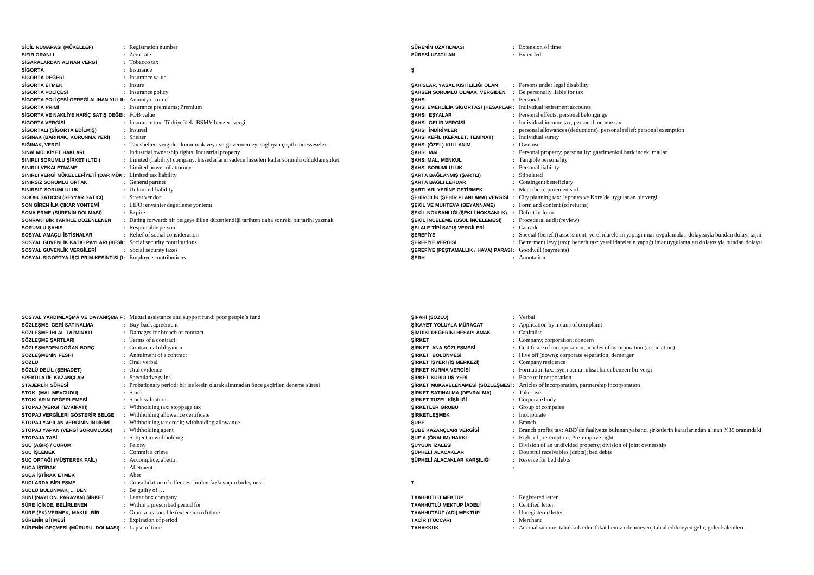| SİCİL NUMARASI (MÜKELLEF)                                           | : Registration number                                                                        | SÜRENİN UZATILMASI                                                          | : Extension of time                                                                                        |
|---------------------------------------------------------------------|----------------------------------------------------------------------------------------------|-----------------------------------------------------------------------------|------------------------------------------------------------------------------------------------------------|
| <b>SIFIR ORANLI</b>                                                 | : Zero-rate                                                                                  | SÜRESİ UZATILAN                                                             | : Extended                                                                                                 |
| SİGARALARDAN ALINAN VERGİ                                           | : Tobacco tax                                                                                |                                                                             |                                                                                                            |
| <b>SİGORTA</b>                                                      | : Insurance                                                                                  |                                                                             |                                                                                                            |
| <b>SİGORTA DEĞERİ</b>                                               | : Insurance value                                                                            |                                                                             |                                                                                                            |
| <b>SİGORTA ETMEK</b>                                                | : Insure                                                                                     | SAHISLAR. YASAL KISITLILIĞI OLAN                                            | : Persons under legal disability                                                                           |
| <b>SIGORTA POLICESI</b>                                             | : Insurance policy                                                                           | SAHSEN SORUMLU OLMAK, VERGIDEN                                              | Be personally liable for tax                                                                               |
| SİGORTA POLİÇESİ GEREĞİ ALINAN YILLII: Annuity income               |                                                                                              | <b>SAHSi</b>                                                                | : Personal                                                                                                 |
| <b>SIGORTA PRIMI</b>                                                | : Insurance premiums; Premium                                                                | <b>SAHSI EMEKLILIK SIGORTASI (HESAPLAR: Individual retirement accounts)</b> |                                                                                                            |
| SIGORTA VE NAKLIYE HARIÇ SATIŞ DEĞE: FOB value                      |                                                                                              | <b>SAHSI ESYALAR</b>                                                        | : Personal effects; personal belongings                                                                    |
| <b>SIGORTA VERGISI</b>                                              | : Insurance tax: Türkiye'deki BSMV benzeri vergi                                             | SAHSI GELIR VERGISI                                                         | : Individual income tax; personal income tax                                                               |
| SİGORTALI (SİGORTA EDİLMİŞ)                                         | : Insured                                                                                    | SAHSI İNDİRİMLER                                                            | : personal allowances (deductions); personal relief; personal exemption                                    |
| SIĞINAK (BARINAK, KORUNMA YERİ)                                     | : Shelter                                                                                    | SAHSI KEFİL (KEFALET, TEMİNAT)                                              | : Individual surety                                                                                        |
| SIĞINAK, VERGİ                                                      | : Tax shelter: vergiden korunmak veya vergi vermemeyi sağlayan çeşitli müesseseler           | ŞAHSI (ÖZEL) KULLANIM                                                       | : Own use                                                                                                  |
| SINAİ MÜLKİYET HAKLARI                                              | : Industrial ownership rights; Industrial property                                           | SAHSi MAL                                                                   | : Personal property; personality: gayrimenkul haricindeki mallar                                           |
| SINIRLI SORUMLU SİRKET (LTD.)                                       | : Limited (liability) company: hissedarların sadece hisseleri kadar sorumlu oldukları sirket | <b>SAHSI MAL, MENKUL</b>                                                    | : Tangible personality                                                                                     |
| SINIRLI VEKALETNAME                                                 | : Limited power of attorney                                                                  | <b>SAHSI SORUMLULUK</b>                                                     | : Personal liability                                                                                       |
| SINIRLI VERGİ MÜKELLEFİYETİ (DAR MÜK: Limited tax liability         |                                                                                              | <b>SARTA BAĞLANMIŞ (SARTLI)</b>                                             | : Stipulated                                                                                               |
| <b>SINIRSIZ SORUMLU ORTAK</b>                                       | : General partner                                                                            | SARTA BAĞLI LEHDAR                                                          | : Contingent beneficiary                                                                                   |
| <b>SINIRSIZ SORUMLULUK</b>                                          | : Unlimited liability                                                                        | <b>SARTLARI YERINE GETIRMEK</b>                                             | : Meet the requirements of                                                                                 |
| <b>SOKAK SATICISI (SEYYAR SATICI)</b>                               | : Street vendor                                                                              | SEHİRCİLİK (SEHİR PLANLAMA) VERGİSİ                                         | City planning tax: Japonya ve Kore'de uygulanan bir vergi                                                  |
| SON GİREN İLK ÇIKAR YÖNTEMİ                                         | : LIFO: envanter değerleme yöntemi                                                           | <b>SEKİL VE MUHTEVA (BEYANNAME)</b>                                         | : Form and content (of returns)                                                                            |
| SONA ERME (SÜRENİN DOLMASI)                                         | : Expire                                                                                     | ŞEKİL NOKSANLIĞI (ŞEKLİ NOKSANLIK)                                          | Defect in form                                                                                             |
| SONRAKİ BİR TARİHLE DÜZENLENEN                                      | : Dating forward: bir belgeye fiilen düzenlendiği tarihten daha sonraki bir tarihi yazmak    | SEKİL İNCELEME (USÜL İNCELEMESİ)                                            | : Procedural audit (review)                                                                                |
| <b>SORUMLU SAHIS</b>                                                | : Responsible person                                                                         | <b>SELALE TIPI SATIS VERGILERI</b>                                          | : Cascade                                                                                                  |
| SOSYAL AMACLI İSTİSNALAR                                            | : Relief of social consideration                                                             | <b>SEREFIYE</b>                                                             | : Special (benefit) assessment; yerel idarelerin yaptığı imar uygulamaları dolayısıyla bundan dolayı taşın |
| SOSYAL GÜVENLİK KATKI PAYLARI (KESİI: Social security contributions |                                                                                              | <b>SEREFIYE VERGISI</b>                                                     | : Betterment levy (tax); benefit tax: yerel idarelerin yaptığı imar uygulamaları dolayısıyla bundan dolayı |
| SOSYAL GÜVENLİK VERGİLERİ                                           | : Social security taxes                                                                      | SEREFİYE (PEŞTAMALLIK / HAVA) PARASI: Goodwill (payments)                   |                                                                                                            |
| SOSYAL SİGORTYA İŞÇİ PRİM KESİNTİSİ (I: Employee contributions      |                                                                                              | <b>SERH</b>                                                                 | : Annotation                                                                                               |
|                                                                     |                                                                                              |                                                                             |                                                                                                            |

|                                                   | SOSYAL YARDIMLAŞMA VE DAYANIŞMA F: Mutual assistance and support fund; poor people's fund | ŞİFAHİ (SÖZLÜ)                     | : Verbal                                                                                                |
|---------------------------------------------------|-------------------------------------------------------------------------------------------|------------------------------------|---------------------------------------------------------------------------------------------------------|
| SÖZLESME. GERİ SATINALMA                          | Buy-back agreement                                                                        | SİKAYET YOLUYLA MÜRACAT            | : Application by means of complaint                                                                     |
| SÖZLESME İHLAL TAZMİNATI                          | : Damages for breach of contract                                                          | SİMDİKİ DEĞERİNİ HESAPLAMAK        | : Capitalise                                                                                            |
| SÖZLESME SARTLARI                                 | : Terms of a contract                                                                     | <b>SİRKET</b>                      | : Company; corporation; concern                                                                         |
| SÖZLESMEDEN DOĞAN BORÇ                            | : Contractual obligation                                                                  | SİRKET ANA SÖZLESMESİ              | : Certificate of incorporation; articles of incorporation (association)                                 |
| SÖZLEŞMENİN FESHİ                                 | Annulment of a contract                                                                   | SİRKET BÖLÜNMESİ                   | : Hive off (down); corporate separation; demerger                                                       |
| SÖZLÜ                                             | : Oral: verbal                                                                            | SİRKET İSYERİ (İS MERKEZİ)         | : Company residence                                                                                     |
| SÖZLÜ DELİL (ŞEHADET)                             | : Oral evidence                                                                           | <b>SİRKET KURMA VERGİSİ</b>        | : Formation tax: işyerı açma ruhsat harcı benzeri bir vergi                                             |
| SPEKÜLATİF KAZANCLAR                              | : Speculative gains                                                                       | SIRKET KURULUS YERİ                | : Place of incorporation                                                                                |
| <b>STAJERLİK SÜRESİ</b>                           | : Probationary period: bir ise kesin olarak alınmadan önce geçirilen deneme süresi        |                                    | ŞİRKET MUKAVELENAMESİ (SÖZLEŞMESİ: Articles of incorporation, partnership incorporation                 |
| <b>STOK (MAL MEVCUDU)</b>                         | : Stock                                                                                   | <b>SİRKET SATINALMA (DEVRALMA)</b> | : Take-over                                                                                             |
| STOKLARIN DEĞERLEMESİ                             | : Stock valuation                                                                         | ŞİRKET TÜZEL KİŞİLİĞİ              | : Corporate body                                                                                        |
| STOPAJ (VERGİ TEVKİFATI)                          | : Withholding tax; stoppage tax                                                           | <b>SİRKETLER GRUBU</b>             | : Group of compaies                                                                                     |
| STOPAJ VERGİLERİ GÖSTERİR BELGE                   | Withholding allowance certificate                                                         | <b>SİRKETLESMEK</b>                | : Incorporate                                                                                           |
| STOPAJ YAPILAN VERGİNİN İNDİRİMİ                  | Withholding tax credit; withholding allowance                                             | <b>SUBE</b>                        | : Branch                                                                                                |
| STOPAJ YAPAN (VERGİ SORUMLUSU)                    | Withholding agent                                                                         | <b>SUBE KAZANCLARI VERGISI</b>     | : Branch profits tax: ABD'de faaliyette bulunan yabancı sirketlerin kararlarından alınan %39 oranındaki |
| <b>STOPAJA TABİ</b>                               | : Subject to withholding                                                                  | <b>SUF A (ÖNALIM) HAKKI</b>        | : Right of pre-emption; Pre-emptive right                                                               |
| SUÇ (AĞIR) / CÜRÜM                                | : Felony                                                                                  | <b>SUYUUN İZALESİ</b>              | : Division of an undivided property; division of joint ownership                                        |
| <b>SUÇ İŞLEMEK</b>                                | : Commit a crime                                                                          | SÜPHELİ ALACAKLAR                  | : Doubtful receivables (debts); bed debts                                                               |
| SUC ORTAĞI (MÜŞTEREK FAİL)                        | : Accomplice; abettor                                                                     | SÜPHELİ ALACAKLAR KARSILIĞI        | : Reserve for bed debts                                                                                 |
| <b>SUCA ISTIRAK</b>                               | : Abetment                                                                                |                                    |                                                                                                         |
| <b>SUCA ISTIRAK ETMEK</b>                         | : Abet                                                                                    |                                    |                                                                                                         |
| SUCLARDA BİRLEŞME                                 | : Consolidation of offences: birden fazla suçun birleşmesi                                |                                    |                                                                                                         |
| SUCLU BULUNMAK,  DEN                              | $\therefore$ Be guilty of $\dots$                                                         |                                    |                                                                                                         |
| SUNİ (NAYLON, PARAVAN) ŞİRKET                     | : Letter box company                                                                      | <b>TAAHHÜTLÜ MEKTUP</b>            | : Registered letter                                                                                     |
| SÜRE İCİNDE, BELİRLENEN                           | : Within a prescribed period for                                                          | TAAHHÜTLÜ MEKTUP İADELİ            | : Certified letter                                                                                      |
| SÜRE (EK) VERMEK, MAKUL BİR                       | : Grant a reasonable (extension of) time                                                  | TAAHHÜTSÜZ (ADİ) MEKTUP            | : Unregistered letter                                                                                   |
| SÜRENİN BİTMESİ                                   | : Expiration of period                                                                    | <b>TACÍR (TÜCCAR)</b>              | : Merchant                                                                                              |
| SÜRENİN GEÇMESİ (MÜRURU, DOLMASI) : Lapse of time |                                                                                           | <b>TAHAKKUK</b>                    | : Accrual /accrue: tahakkuk eden fakat henüz ödenmeyen, tahsil edilmeyen gelir, gider kalemleri         |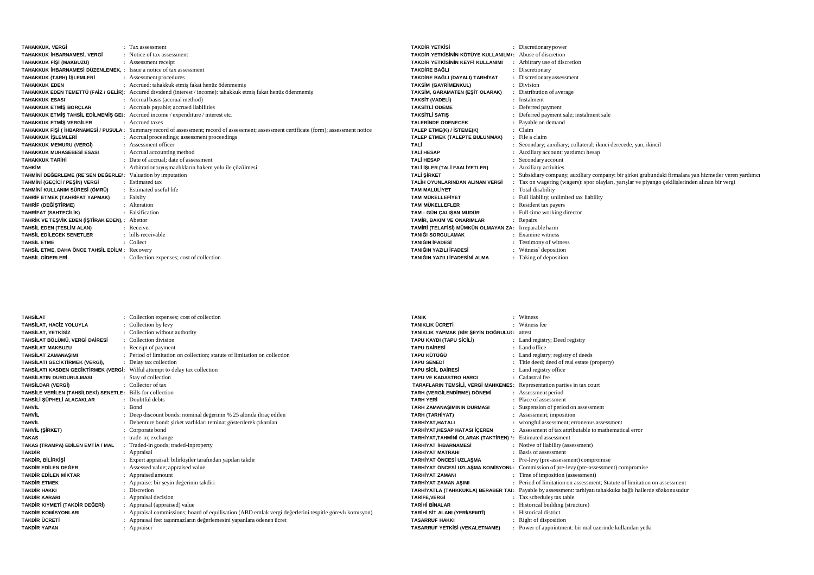| <b>TAHAKKUK, VERGİ</b>                                                     | : Tax assessment                                                                                                                          | TA  |
|----------------------------------------------------------------------------|-------------------------------------------------------------------------------------------------------------------------------------------|-----|
| TAHAKKUK İHBARNAMESİ, VERGİ                                                | : Notice of tax assessment                                                                                                                | TA  |
| TAHAKKUK FİŞİ (MAKBUZU)                                                    | : Assessment receipt                                                                                                                      | TA  |
| <b>TAHAKKUK İHBARNAMESİ DÜZENLEMEK. :</b> Issue a notice of tax assessment |                                                                                                                                           | TA  |
| TAHAKKUK (TARH) İŞLEMLERİ                                                  | : Assessment procedures                                                                                                                   | TA  |
| <b>TAHAKKUK EDEN</b>                                                       | : Accrued: tahakkuk etmis fakat henüz ödenmemis                                                                                           | TA  |
|                                                                            | TAHAKKUK EDEN TEMETTÜ (FAİZ / GELİR): Accured dividend (interest / income): tahakkuk etmiş fakat henüz ödenmemiş                          | TA  |
| <b>TAHAKKUK ESASI</b>                                                      | : Accrual basis (accrual method)                                                                                                          | TA  |
| <b>TAHAKKUK ETMİŞ BORÇLAR</b>                                              | : Accruals payable; accrued liabilities                                                                                                   | TA  |
|                                                                            | TAHAKKUK ETMİŞ TAHSİL EDİLMEMİŞ GEI: Accrued income / expenditure / interest etc.                                                         | TA  |
| <b>TAHAKKUK ETMİS VERGİLER</b>                                             | : Accrued taxes                                                                                                                           | TA  |
|                                                                            | TAHAKKUK FIŞİ (İHBARNAMESİ / PUSULA: Summary record of assessment; record of assessment; assessment certificate (form); assessment notice | TAI |
| <b>TAHAKKUK İSLEMLERİ</b>                                                  | : Accrual proceedings; assessment proceedings                                                                                             | TAI |
| TAHAKKUK MEMURU (VERGİ)                                                    | : Assessment officer                                                                                                                      | TA  |
| <b>TAHAKKUK MUHASEBESİ ESASI</b>                                           | : Accrual accounting method                                                                                                               | TA  |
| <b>TAHAKKUK TARİHİ</b>                                                     | : Date of accrual: date of assessment                                                                                                     | TA  |
| ТАНКІМ                                                                     | : Arbitration: uyuşmazlıkların hakem yolu ile çözülmesi                                                                                   | TA  |
| TAHMİNİ DEĞERLEME (RE'SEN DEĞERLEI: Valuation by imputation                |                                                                                                                                           | TA  |
| TAHMİNİ (GEÇİCİ / PEŞİN) VERGİ                                             | : Estimated tax                                                                                                                           | TA  |
| TAHMİNİ KULLANIM SÜRESİ (ÖMRÜ)                                             | : Estimated useful life                                                                                                                   | TAI |
| TAHRİF ETMEK (TAHRİFAT YAPMAK)                                             | : Falsify                                                                                                                                 | TA  |
| TAHRİF (DEĞİŞTİRME)                                                        | : Alteration                                                                                                                              | TAI |
| TAHRİFAT (SAHTECİLİK)                                                      | : Falsification                                                                                                                           | TA  |
| TAHRİK VE TEŞVİK EDEN (İŞTİRAK EDEN),: Abettor                             |                                                                                                                                           | TAI |
| TAHSİL EDEN (TESLİM ALAN)                                                  | : Receiver                                                                                                                                | TA  |
| TAHSİL EDİLECEK SENETLER                                                   | : bills receivable                                                                                                                        | TAI |
| <b>TAHSİL ETME</b>                                                         | $\therefore$ Collect                                                                                                                      | TAI |
| TAHSİL ETME. DAHA ÖNCE TAHSİL EDİLM: Recovery                              |                                                                                                                                           | TAI |
| <b>TAHSİL GİDERLERİ</b>                                                    | : Collection expenses; cost of collection                                                                                                 | TAI |

| <b>TAKDIR YETKISİ</b>                                    | : Discretionary power                                                                                 |
|----------------------------------------------------------|-------------------------------------------------------------------------------------------------------|
| TAKDIR YETKISININ KÖTÜYE KULLANILM/: Abuse of discretion |                                                                                                       |
| TAKDİR YETKİSİNİN KEYFİ KULLANIMI                        | : Arbitrary use of discretion                                                                         |
| <b>TAKDİRE BAĞLI</b>                                     | : Discretionary                                                                                       |
| TAKDİRE BAĞLI (DAYALI) TARHİYAT                          | : Discretionary assessment                                                                            |
| <b>TAKSİM (GAYRİMENKUL)</b>                              | : Division                                                                                            |
| TAKSİM, GARAMATEN (EŞİT OLARAK)                          | : Distribution of average                                                                             |
| <b>TAKSİT (VADELİ)</b>                                   | : Instalment                                                                                          |
| <b>TAKSİTI İ ÖDEME</b>                                   | : Deferred payment                                                                                    |
| <b>TAKSİTLİ SATIS</b>                                    | : Deferred payment sale; instalment sale                                                              |
| <b>TALEBINDE ÖDENECEK</b>                                | : Payable on demand                                                                                   |
| TALEP ETME(K) / İSTEME(K)                                | : Claim                                                                                               |
| TALEP ETMEK (TALEPTE BULUNMAK)                           | : File a claim                                                                                        |
| TALİ                                                     | : Secondary; auxiliary; collateral: ikinci derecede, yan, ikincil                                     |
| <b>TALİ HESAP</b>                                        | : Auxiliary account: yardımcı hesap                                                                   |
| <b>TALİ HESAP</b>                                        | : Secondary account                                                                                   |
| TALİ İŞLER (TALİ FAALİYETLER)                            | : Auxiliary activities                                                                                |
| <b>TALİ ŞİRKET</b>                                       | : Subsidiary company; auxiliary company: bir şirket grubundaki firmalara yan hizmetler veren yardımcı |
| TALİH OYUNLARINDAN ALINAN VERGİ                          | : Tax on wagering (wagers): spor olaylari, yarislar ve piyango cekilislerinden alınan bir vergi       |
| <b>TAM MALULİYET</b>                                     | : Total disability                                                                                    |
| <b>TAM MÜKELLEFİYET</b>                                  | : Full liability; unlimited tax liability                                                             |
| <b>TAM MÜKELLEFLER</b>                                   | : Resident tax payers                                                                                 |
| TAM - GÜN ÇALIŞAN MÜDÜR                                  | : Full-time working director                                                                          |
| TAMİR. BAKIM VE ONARIMLAR                                | : Repairs                                                                                             |
| TAMİRİ (TELAFİSİ) MÜMKÜN OLMAYAN ZA: Irreparable harm    |                                                                                                       |
| <b>TANIĞI SORGULAMAK</b>                                 | : Examine witness                                                                                     |
| <b>TANIĞIN İFADESİ</b>                                   | : Testimony of witness                                                                                |
| TANIĞIN YAZILI İFADESİ                                   | : Witness' deposition                                                                                 |
| TANIĞIN YAZILI İFADESİNİ ALMA                            | : Taking of deposition                                                                                |

| <b>TAHSİLAT</b>                                            | : Collection expenses; cost of collection                                                              | <b>TANIK</b>                                                            | : Witness                                                                                                  |
|------------------------------------------------------------|--------------------------------------------------------------------------------------------------------|-------------------------------------------------------------------------|------------------------------------------------------------------------------------------------------------|
| TAHSİLAT. HACİZ YOLUYLA                                    | : Collection by levy                                                                                   | <b>TANIKLIK ÜCRETİ</b>                                                  | : Witness fee                                                                                              |
| <b>TAHSİLAT, YETKİSİZ</b>                                  | : Collection without authority                                                                         | TANIKLIK YAPMAK (BİR ŞEYİN DOĞRULUC: attest                             |                                                                                                            |
| TAHSİLAT BÖLÜMÜ, VERGİ DAİRESİ                             | : Collection division                                                                                  | TAPU KAYDI (TAPU SİCİLİ)                                                | : Land registry; Deed registry                                                                             |
| <b>TAHSİLAT MAKBUZU</b>                                    | : Receipt of payment                                                                                   | <b>TAPU DAIRESI</b>                                                     | : Land office                                                                                              |
| <b>TAHSİLAT ZAMANASIMI</b>                                 | : Period of limitation on collection: statute of limitation on collection                              | <b>TAPU KÜTÜĞÜ</b>                                                      | : Land registry; registry of deeds                                                                         |
| TAHSİLATI GECİKTİRMEK (VERGİ),                             | : Delay tax collection                                                                                 | <b>TAPU SENEDI</b>                                                      | : Title deed; deed of real estate (property)                                                               |
| TAHSİLATI KASDEN GECİKTİRMEK (VERGİ:                       | Wilful attempt to delay tax collection                                                                 | <b>TAPU SÍCÍL DAÍRESÍ</b>                                               | : Land registry office                                                                                     |
| <b>TAHSİLATIN DURDURULMASI</b>                             | : Stay of collection                                                                                   | <b>TAPU VE KADASTRO HARCI</b>                                           | : Cadastral fee                                                                                            |
| <b>TAHSİLDAR (VERGİ)</b>                                   | : Collector of tax                                                                                     | TARAFLARIN TEMSİLİ, VERGİ MAHKEMES: Representation parties in tax court |                                                                                                            |
| TAHSILE VERILEN (TAHSILDEKI) SENETLE: Bills for collection |                                                                                                        | TARH (VERGİLENDİRME) DÖNEMİ                                             | : Assessment period                                                                                        |
| TAHSİLİ ŞÜPHELİ ALACAKLAR                                  | : Doubtful debts                                                                                       | <b>TARH YERİ</b>                                                        | : Place of assessment                                                                                      |
| <b>TAHVİL</b>                                              | : Bond                                                                                                 | TARH ZAMANAŞIMININ DURMASI                                              | : Suspension of period on assessment                                                                       |
| <b>TAHVİL</b>                                              | : Deep discount bonds: nominal değerinin % 25 altında ihraç edilen                                     | TARH (TARHİYAT)                                                         | : Assessment; imposition                                                                                   |
| <b>TAHVİL</b>                                              | : Debenture bond: sirket varlıkları teminat gösterilerek çıkarılan                                     | TARHİYAT.HATALI                                                         | : wrongful assessment; erroneous assessment                                                                |
| TAHVİL (ŞİRKET)                                            | Corporate bond                                                                                         | <b>TARHİYAT, HESAP HATASI İÇEREN</b>                                    | : Assessment of tax attributable to mathematical error                                                     |
| <b>TAKAS</b>                                               | : trade-in; exchange                                                                                   | TARHİYAT.TAHMİNİ OLARAK (TAKTİREN) ): Estimated assessment              |                                                                                                            |
| TAKAS (TRAMPA) EDİLEN EMTİA / MAL                          | Traded-in goods; traded-inproperty                                                                     | <b>TARHIYAT İHBARNAMESİ</b>                                             | : Notive of liability (assessment)                                                                         |
| <b>TAKDİR</b>                                              | : Appraisal                                                                                            | <b>TARHIYAT MATRAHI</b>                                                 | : Basis of assessment                                                                                      |
| <b>TAKDIR, BİLİRKİSİ</b>                                   | : Expert appraisal: bilirkisiler tarafından yapılan takdir                                             | TARHİYAT ÖNCESİ UZLASMA                                                 | : Pre-levy (pre-assessment) compromise                                                                     |
| TAKDİR EDİLEN DEĞER                                        | : Assessed value; appraised value                                                                      |                                                                         | TARHİYAT ÖNCESİ UZLAŞMA KOMİSYONU: Commission of pre-levy (pre-assessment) compromise                      |
| <b>TAKDIR EDILEN MIKTAR</b>                                | : Appraised amount                                                                                     | <b>TARHİYAT ZAMANI</b>                                                  | : Time of imposition (assessment)                                                                          |
| <b>TAKDIR ETMEK</b>                                        | : Appraise: bir seyin değerinin takdiri                                                                | <b>TARHİYAT ZAMAN ASIMI</b>                                             | : Period of limitation on assessment: Statute of limitation on assessment                                  |
| <b>TAKDIR HAKKI</b>                                        | : Discretion                                                                                           |                                                                         | TARHİYATLA (TAHKKUKLA) BERABER TAI: Payable by assessment: tarhiyatı tahakkuka bağlı hallerde sözkonusudur |
| <b>TAKDIR KARARI</b>                                       | : Appraisal decision                                                                                   | TARİFE.VERGİ                                                            | : Tax schedules tax table                                                                                  |
| TAKDİR KIYMETİ (TAKDİR DEĞERİ)                             | : Appraisal (appraised) value                                                                          | <b>TARİHİ BİNALAR</b>                                                   | : Historical building (structure)                                                                          |
| <b>TAKDIR KOMISYONLARI</b>                                 | : Appraisal commissions; board of equilisation (ABD emlak vergi değerlerini tespitle görevli komisyon) | TARİHİ SİT ALANI (YERİ/SEMTİ)                                           | : Historical district                                                                                      |
| <b>TAKDİR ÜCRETİ</b>                                       | : Appraisal fee: taşınmazların değerlemesini yapanlara ödenen ücret                                    | <b>TASARRUF HAKKI</b>                                                   | : Right of disposition                                                                                     |
| <b>TAKDİR YAPAN</b>                                        | : Appraiser                                                                                            | TASARRUF YETKİSİ (VEKALETNAME)                                          | : Power of appointment: bir mal üzerinde kullanılan yetki                                                  |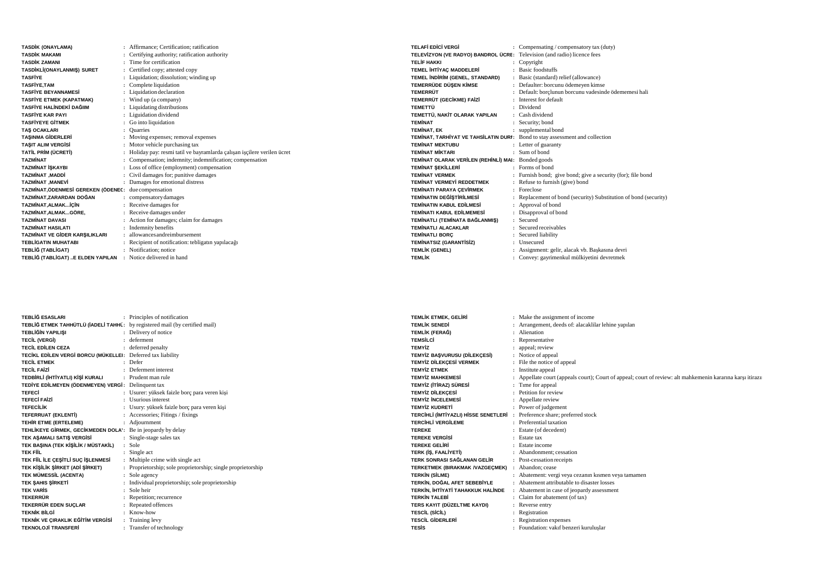| <b>TASDİK (ONAYLAMA)</b>              |    | Affirmance; Certification; ratification                                |
|---------------------------------------|----|------------------------------------------------------------------------|
| <b>TASDİK MAKAMI</b>                  |    | Certifying authority; ratification authority                           |
| <b>TASDİK ZAMANI</b>                  |    | Time for certification                                                 |
| TASDİKLİ(ONAYLANMIŞ) SURET            | ÷  | Certified copy; attested copy                                          |
| <b>TASFIYE</b>                        |    | Liquidation; dissolution; winding up                                   |
| <b>TASFİYE.TAM</b>                    |    | Complete liquidation                                                   |
| <b>TASFİYE BEYANNAMESİ</b>            |    | Liquidation declaration                                                |
| TASFİYE ETMEK (KAPATMAK)              |    | Wind up (a company)                                                    |
| TASFİYE HALİNDEKİ DAĞIIM              |    | Liquidating distributions                                              |
| <b>TASFIYE KAR PAYI</b>               |    | Liguidation dividend                                                   |
| <b>TASFİYEYE GİTMEK</b>               |    | Go into liquidation                                                    |
| <b>TAS OCAKLARI</b>                   |    | <b>Ouarries</b>                                                        |
| <b>TASINMA GİDERLERİ</b>              |    | Moving expenses; removal expenses                                      |
| <b>TASIT ALIM VERGISI</b>             |    | Motor vehicle purchasing tax                                           |
| TATİL PRİM (ÜCRETİ)                   |    | Holiday pay: resmi tatil ve bayramlarda çalışan işçilere verilen ücret |
| <b>TAZMİNAT</b>                       |    | Compensation; indemnity; indemnification; compensation                 |
| <b>TAZMİNAT İSKAYBI</b>               |    | : Loss of office (employment) compensation                             |
| <b>TAZMİNAT .MADDİ</b>                |    | Civil damages for; punitive damages                                    |
| <b>TAZMİNAT .MANEVİ</b>               |    | Damages for emotional distress                                         |
| TAZMİNAT.ÖDENMESİ GEREKEN (ÖDENEC:    |    | due compensation                                                       |
| TAZMİNAT.ZARARDAN DOĞAN               |    | compensatory damages                                                   |
| TAZMİNAT, ALMAKİÇİN                   |    | : Receive damages for                                                  |
| TAZMİNAT, ALMAKGÖRE,                  |    | Receive damages under                                                  |
| <b>TAZMİNAT DAVASI</b>                |    | Action for damages; claim for damages                                  |
| <b>TAZMİNAT HASILATI</b>              |    | <b>Indemnity</b> benefits                                              |
| <b>TAZMİNAT VE GİDER KARSILIKLARI</b> |    | allowances and reimbursement                                           |
| <b>TEBLİGATIN MUHATABI</b>            |    | Recipient of notification: tebligatin yapılacağı                       |
| TEBLİĞ (TABLİGAT)                     |    | Notification: notice                                                   |
| TEBLİĞ (TABLİGAT) E ELDEN YAPILAN     | ٠. | Notice delivered in hand                                               |

| <b>TELAFİ EDİCİ VERGİ</b>                                                    |   | : Compensating / compensatory tax (duty)                       |
|------------------------------------------------------------------------------|---|----------------------------------------------------------------|
| TELEVIZYON (VE RADYO) BANDROL ÜCRE: Television (and radio) licence fees      |   |                                                                |
| <b>TFI İF HAKKI</b>                                                          |   | Copyright                                                      |
| TEMEL İHTİYAÇ MADDELERİ                                                      |   | <b>Basic foodstuffs</b>                                        |
| TEMEL İNDİRİM (GENEL, STANDARD)                                              |   | Basic (standard) relief (allowance)                            |
| TEMERRÜDE DÜSEN KİMSE                                                        |   | Defaulter: borcunu ödemeyen kimse                              |
| <b>TEMERRÜT</b>                                                              |   | Default: borclunun borcunu vadesinde ödememesi hali            |
| TEMERRÜT (GECİKME) FAİZİ                                                     |   | Interest for default                                           |
| <b>TEMETTÜ</b>                                                               |   | : Dividend                                                     |
| TEMETTÜ. NAKİT OLARAK YAPILAN                                                |   | : Cash dividend                                                |
| <b>TFMİNAT</b>                                                               |   | Security; bond                                                 |
| <b>TEMİNAT, EK</b>                                                           |   | : supplemental bond                                            |
| TEMINAT, TARHIYAT VE TAHSİLATIN DURI: Bond to stay assessment and collection |   |                                                                |
| <b>TEMİNAT MEKTURU</b>                                                       |   | : Letter of guaranty                                           |
| <b>TEMİNAT MİKTARI</b>                                                       |   | : Sum of bond                                                  |
| TEMİNAT OLARAK VERİLEN (REHİNLİ) MAI: Bonded goods                           |   |                                                                |
| <b>TEMİNAT SEKİLLERİ</b>                                                     |   | : Forms of bond                                                |
| <b>TEMINAT VERMEK</b>                                                        |   | Furnish bond; give bond; give a security (for); file bond      |
| <b>TEMİNAT VERMEYİ REDDETMEK</b>                                             |   | : Refuse to furnish (give) bond                                |
| <b>TEMİNATI PARAYA CEVİRMEK</b>                                              |   | $\cdot$ Foreclose                                              |
| <b>TEMİNATIN DEĞİSTİRİLMESİ</b>                                              | ÷ | Replacement of bond (security) Substitution of bond (security) |
| <b>TEMINATIN KARUL EDILMESİ</b>                                              |   | Approval of bond                                               |
| <b>TEMİNATI KABUL EDİLMEMESİ</b>                                             |   | Disapproval of bond                                            |
| TEMİNATLI (TEMİNATA BAĞLANMIŞ)                                               |   | Secured                                                        |
| <b>TEMİNATLI ALACAKLAR</b>                                                   |   | Secured receivables                                            |
| <b>TEMİNATLI BORÇ</b>                                                        |   | Secured liability                                              |
| <b>TEMİNATSIZ (GARANTİSİZ)</b>                                               |   | Unsecured                                                      |
| <b>TEMLİK (GENEL)</b>                                                        |   | Assignment: gelir, alacak vb. Başkasına devri                  |
| <b>TEMLİK</b>                                                                |   | : Convey: gayrimenkul mülkiyetini devretmek                    |

| <b>TEBLİĞ ESASLARI</b>                                                      | : Principles of notification                               |
|-----------------------------------------------------------------------------|------------------------------------------------------------|
| TEBLİĞ ETMEK TAHHÜTLÜ (İADELİ TAHHÜ: by registered mail (by certified mail) |                                                            |
| <b>TEBLİĞİN YAPILISI</b>                                                    | : Delivery of notice                                       |
| <b>TECİL (VERGİ)</b>                                                        | · deferment                                                |
| <b>TECİL EDİLEN CEZA</b>                                                    | : deferred penalty                                         |
| TECİKL EDİLEN VERGİ BORCU (MÜKELLEI: Deferred tax liability                 |                                                            |
| <b>TECIL ETMEK</b>                                                          | $\cdot$ Defer                                              |
| <b>TECİL FAİZİ</b>                                                          | : Deferment interest                                       |
| TEDBİRLİ (İHTİYATLI) KİŞİ KURALI                                            | : Prudent man rule                                         |
| TEDİYE EDİLMEYEN (ÖDENMEYEN) VERGİ: Delinquent tax                          |                                                            |
| <b>TEFECI</b>                                                               | : Usurer: yüksek faizle borç para veren kişi               |
| <b>TEFECİ FAİZİ</b>                                                         | : Usurious interest                                        |
| <b>TEFECILIK</b>                                                            | : Usury: yüksek faizle borç para veren kişi                |
| <b>TEFERRUAT (EKLENTI)</b>                                                  | : Accessories; Fitings / fixings                           |
| TEHİR ETME (ERTELEME)<br>÷.                                                 | Adjournment                                                |
| TEHLİKEYE GİRMEK, GECİKMEDEN DOLA': Be in jeopardy by delay                 |                                                            |
| TEK AŞAMALI SATIŞ VERGİSİ                                                   | Single-stage sales tax                                     |
| TEK BAŞINA (TEK KİŞİLİK / MÜSTAKİL)                                         | : Sole                                                     |
| <b>TEK FILL</b>                                                             | : Single act                                               |
| TEK FİİL İLE ÇEŞİTLİ SUÇ İŞLENMESİ                                          | : Multiple crime with single act                           |
| TEK KİŞİLİK ŞİRKET (ADİ ŞİRKET)                                             | Proprietorship; sole proprietorship; single proprietorship |
| TEK MÜMESSİL (ACENTA)<br>÷.                                                 | Sole agency                                                |
| TEK ŞAHIS ŞİRKETİ<br>$\mathbf{r}$                                           | Individual proprietorship; sole proprietorship             |
| <b>TEK VARIS</b>                                                            | : Sole heir                                                |
| <b>TEKERRÜR</b>                                                             | : Repetition; recurrence                                   |
| TEKERRÜR EDEN SUÇLAR                                                        | Repeated offences                                          |
| <b>TEKNİK BİLGİ</b>                                                         | $:$ Know-how                                               |
| TEKNİK VE CIRAKLIK EĞİTİM VERGİSİ                                           | : Training levy                                            |
| <b>TEKNOLOJİ TRANSFERİ</b>                                                  | : Transfer of technology                                   |
|                                                                             |                                                            |

| <b>TEMLİK ETMEK, GELİRİ</b>                                              | : Make the assignment of income                                                                            |
|--------------------------------------------------------------------------|------------------------------------------------------------------------------------------------------------|
| <b>TEMI İK SENEDİ</b>                                                    | : Arrangement, deeds of: alacaklilar lehine yapılan                                                        |
| TEMLİK (FERAĞ)                                                           | : Alienation                                                                                               |
| <b>TEMSİLCİ</b>                                                          | : Representative                                                                                           |
| <b>TEMYİZ</b>                                                            | appeal; review                                                                                             |
| TEMYİZ BAŞVURUSU (DİLEKÇESİ)                                             | : Notice of appeal                                                                                         |
| <b>TEMYİZ DİLEKCESİ VERMEK</b>                                           | : File the notice of appeal                                                                                |
| <b>TEMYIZ ETMEK</b>                                                      | : Institute appeal                                                                                         |
| <b>TEMYİZ MAHKEMESİ</b>                                                  | : Appellate court (appeals court); Court of appeal; court of review: alt mahkemenin kararina karsi itirazi |
| TEMYİZ (İTİRAZ) SÜRESİ                                                   | : Time for appeal                                                                                          |
| <b>TEMYİZ DİLEKÇESİ</b>                                                  | : Petition for review                                                                                      |
| <b>TEMYİZ İNCELEMESİ</b>                                                 | : Appellate review                                                                                         |
| <b>TEMYİZ KUDRETİ</b>                                                    | : Power of judgement                                                                                       |
| TERCIHLI (IMTIYAZLI) HISSE SENETLERI : Preference share; preferred stock |                                                                                                            |
| <b>TERCIHLİ VERGİLEME</b>                                                | : Preferential taxation                                                                                    |
| <b>TEREKE</b>                                                            | : Estate (of decedent)                                                                                     |
| <b>TEREKE VERGISI</b>                                                    | : Estate tax                                                                                               |
| <b>TEREKE GELIRI</b>                                                     | : Estate income                                                                                            |
| TERK (İŞ, FAALİYETİ)                                                     | : Abandonment: cessation                                                                                   |
| TERK SONRASI SAĞLANAN GELİR                                              | : Post-cessation receipts                                                                                  |
| TERKETMEK (BIRAKMAK /VAZGECMEK)                                          | : Abandon: cease                                                                                           |
| <b>TERKİN (SİLME)</b>                                                    | : Abatement: vergi veya cezanın kısmen veya tamamen                                                        |
| TERKÍN. DOĞAL AFET SEBEBİYLE                                             | : Abatement attributable to disaster losses                                                                |
| TERKİN, İHTİYATİ TAHAKKUK HALİNDE                                        | : Abatement in case of jeopardy assessment                                                                 |
| <b>TERKÍN TALEBÍ</b>                                                     | : Claim for abatement (of tax)                                                                             |
| TERS KAYIT (DÜZELTME KAYDI)                                              | : Reverse entry                                                                                            |
| TESCİL (SİCİL)                                                           | : Registration                                                                                             |
| <b>TESCIL GIDERLERI</b>                                                  | : Registration expenses                                                                                    |
| <b>TESIS</b>                                                             | : Foundation: vakıf benzeri kuruluşlar                                                                     |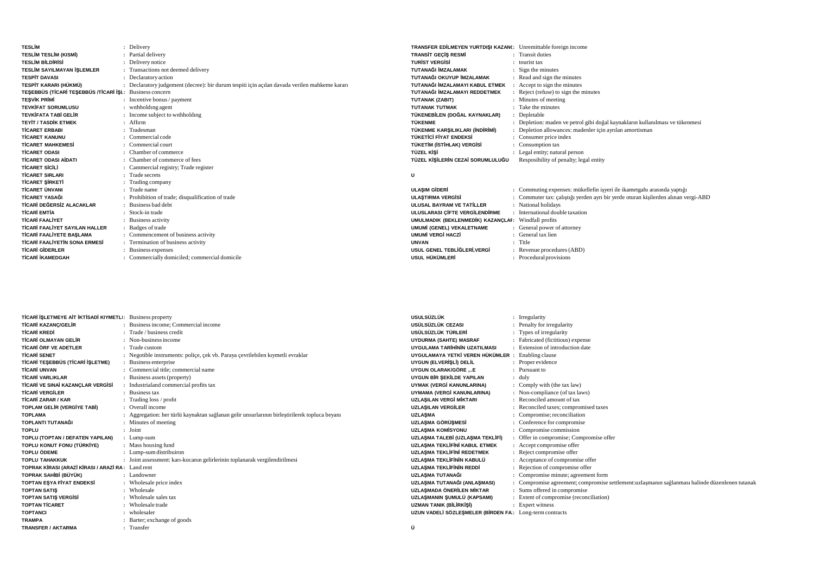| <b>TESLİM</b>                                           | : Delivery                                                                                    | TRANSFER EDİLMEYEN YURTDIŞI KAZANI: Unremittable foreign income |                                                                                    |
|---------------------------------------------------------|-----------------------------------------------------------------------------------------------|-----------------------------------------------------------------|------------------------------------------------------------------------------------|
| <b>TESLIM TESLIM (KISMI)</b>                            | : Partial delivery                                                                            | <b>TRANSIT GECIS RESMI</b>                                      | : Transit duties                                                                   |
| <b>TESLIM BILDIRISI</b>                                 | : Delivery notice                                                                             | <b>TURIST VERGISI</b>                                           | $:$ tourist tax                                                                    |
| TESLİM SAYILMAYAN İŞLEMLER                              | : Transactions not deemed delivery                                                            | TUTANAĞI İMZALAMAK                                              | : Sign the minutes                                                                 |
| <b>TESPİT DAVASI</b>                                    | : Declaratory action                                                                          | TUTANAĞI OKUYUP İMZALAMAK                                       | : Read and sign the minutes                                                        |
| TESPİT KARARI (HÜKMÜ)                                   | : Declaratory judgement (decree): bir durum tespiti için açılan davada verilen mahkeme kararı | TUTANAĞI İMZALAMAYI KABUL ETMEK                                 | Accept to sign the minutes                                                         |
| TESEBBÜS (TİCARİ TESEBBÜS /TİCARİ İŞI: Business concern |                                                                                               | TUTANAĞI İMZALAMAYI REDDETMEK                                   | Reject (refuse) to sign the minutes                                                |
| <b>TESVİK PRİMİ</b>                                     | : Incentive bonus / payment                                                                   | TUTANAK (ZABIT)                                                 | : Minutes of meeting                                                               |
| <b>TEVKİFAT SORUMLUSU</b>                               | : withholding agent                                                                           | <b>TUTANAK TUTMAK</b>                                           | : Take the minutes                                                                 |
| <b>TEVKİFATA TABİ GELİR</b>                             | : Income subject to withholding                                                               | TÜKENEBİLEN (DOĞAL KAYNAKLAR)                                   | : Depletable                                                                       |
| <b>TEYIT / TASDIK ETMEK</b>                             | : Affirm                                                                                      | <b>TÜKENME</b>                                                  | : Depletion: maden ve petrol gibi doğal kaynakların kullanılması ve tükenmesi      |
| <b>TİCARET ERBABI</b>                                   | : Tradesman                                                                                   | TÜKENME KARŞILIKLARI (İNDİRİMİ)                                 | : Depletion allowances: madenler icin ayrılan amortisman                           |
| <b>TİCARET KANUNU</b>                                   | $\therefore$ Commercial code                                                                  | TÜKETİCİ FİYAT ENDEKSİ                                          | : Consumer price index                                                             |
| <b>TİCARET MAHKEMESİ</b>                                | : Commercial court                                                                            | TÜKETİM (İSTİHLAK) VERGİSİ                                      | : Consumption tax                                                                  |
| <b>TİCARET ODASI</b>                                    | : Chamber of commerce                                                                         | <b>TÜZEL KİSİ</b>                                               | : Legal entity; natural person                                                     |
| <b>TİCARET ODASI AİDATI</b>                             | : Chamber of commerce of fees                                                                 | TÜZEL KİSİLERİN CEZAİ SORUMLULUĞU                               |                                                                                    |
|                                                         |                                                                                               |                                                                 | Resposibility of penalty; legal entity                                             |
| <b>TİCARET SİCİLİ</b>                                   | : Cammercial registry; Trade register                                                         |                                                                 |                                                                                    |
| <b>TİCARET SIRLARI</b>                                  | : Trade secrets                                                                               | U                                                               |                                                                                    |
| <b>TİCARET ŞİRKETİ</b>                                  | : Trading company                                                                             |                                                                 |                                                                                    |
| <b>TİCARET ÜNVANI</b>                                   | : Trade name                                                                                  | <b>ULASIM GİDERİ</b>                                            | : Commuting expenses: mükellefin işyeri ile ikametgahı arasında yaptığı            |
| <b>TİCARET YASAĞI</b>                                   | : Prohibition of trade; disqualification of trade                                             | <b>ULASTIRMA VERGÍSÍ</b>                                        | : Commuter tax: calistiği yerden ayrı bir yerde oturan kişilerden alınan vergi-ABD |
| TİCARİ DEĞERSİZ ALACAKLAR                               | Business bad debt                                                                             | ULUSAL BAYRAM VE TATİLLER                                       | : National holidays                                                                |
| <b>TİCARİ EMTİA</b>                                     | : Stock-in trade                                                                              | ULUSLARASI ÇİFTE VERGİLENDİRME                                  | : International double taxation                                                    |
| <b>TİCARİ FAALİYET</b>                                  | : Business activity                                                                           | UMULMADIK (BEKLENMEDİK) KAZANÇLAF: Windfall profits             |                                                                                    |
| <b>TİCARİ FAALİYET SAYILAN HALLER</b>                   | : Badges of trade                                                                             | UMUMİ (GENEL) VEKALETNAME                                       | : General power of attorney                                                        |
| <b>TİCARİ FAALİYETE BASLAMA</b>                         | : Commencement of business activity                                                           | <b>UMUMİ VERGİ HACZİ</b>                                        | : General tax lien                                                                 |
| <b>TİCARİ FAALİYETİN SONA ERMESİ</b>                    | : Termination of business activity                                                            | <b>UNVAN</b>                                                    | : Title                                                                            |
| <b>TİCARİ GİDERLER</b>                                  | Business expenses                                                                             | USUL GENEL TEBLİĞLERİ.VERGİ                                     | : Revenue procedures (ABD)                                                         |
| <b>TİCARİ İKAMEDGAH</b>                                 | : Commercially domiciled; commercial domicile                                                 | USUL HÜKÜMLERİ                                                  | : Procedural provisions                                                            |

| TICARI ISLETMEYE AIT IKTISADI KIYMETLI: Business property |                                                                                               | <b>USULSÜZLÜK</b>                                       | : Irregularity                                                                                  |
|-----------------------------------------------------------|-----------------------------------------------------------------------------------------------|---------------------------------------------------------|-------------------------------------------------------------------------------------------------|
| <b>TİCARİ KAZANC/GELİR</b>                                | : Business income: Commercial income                                                          | USÜLSÜZLÜK CEZASI                                       | : Penalty for irregularity                                                                      |
| <b>TİCARİ KREDİ</b>                                       | : Trade / business credit                                                                     | USÜLSÜZLÜK TÜRLERİ                                      | : Types of irregularity                                                                         |
| <b>TİCARİ OLMAYAN GELİR</b>                               | : Non-business income                                                                         | UYDURMA (SAHTE) MASRAF                                  | : Fabricated (fictitious) expense                                                               |
| <b>TİCARİ ÖRF VE ADETLER</b>                              | Trade custom                                                                                  | UYGULAMA TARİHİNİN UZATILMASI                           | : Extension of introduction date                                                                |
| <b>TİCARİ SENET</b>                                       | : Negotible instruments: police, cek vb. Paraya cevrilebilen kıymetli evraklar                | UYGULAMAYA YETKİ VEREN HÜKÜMLER :                       | Enabling clause                                                                                 |
| TİCARİ TEŞEBBÜS (TİCARİ İŞLETME)                          | : Business enterprise                                                                         | UYGUN (ELVERİŞLİ) DELİL                                 | : Proper evidence                                                                               |
| TİCARİ UNVAN                                              | : Commercial title: commercial name                                                           | UYGUN OLARAK/GÖRE E                                     | : Pursuant to                                                                                   |
| <b>TİCARİ VARLIKLAR</b>                                   | : Business assets (property)                                                                  | UYGUN BİR ŞEKİLDE YAPILAN                               | $:$ duly                                                                                        |
| TİCARİ VE SINAİ KAZANÇLAR VERGİSİ                         | Industrialand commercial profits tax                                                          | UYMAK (VERGİ KANUNLARINA)                               | : Comply with (the tax law)                                                                     |
| <b>TİCARİ VERGİLER</b>                                    | : Business tax                                                                                | UYMAMA (VERGİ KANUNLARINA)                              | : Non-compliance (of tax laws)                                                                  |
| <b>TİCARİ ZARAR / KAR</b>                                 | : Trading $loss / profit$                                                                     | UZLASILAN VERGİ MİKTARI                                 | : Reconciled amount of tax                                                                      |
| <b>TOPLAM GELIR (VERGIYE TABI)</b>                        | : Overall income                                                                              | <b>UZLASILAN VERGİLER</b>                               | : Reconciled taxes; compromised taxes                                                           |
| <b>TOPLAMA</b>                                            | : Aggregation: her türlü kaynaktan sağlanan gelir unsurlarının birleştirilerek topluca beyanı | <b>UZLASMA</b>                                          | : Compromise; reconciliation                                                                    |
| TOPLANTI TUTANAĞI                                         | : Minutes of meeting                                                                          | <b>UZLASMA GÖRÜSMESİ</b>                                | : Conference for compromise                                                                     |
| <b>TOPLU</b>                                              | : Joint                                                                                       | <b>UZLASMA KOMÍSYONU</b>                                | : Compromise commission                                                                         |
| TOPLU (TOPTAN / DEFATEN YAPILAN)                          | : Lump-sum                                                                                    | UZLASMA TALEBİ (UZLASMA TEKLİFİ)                        | : Offer in compromise; Compromise offer                                                         |
| TOPLU KONUT FONU (TÜRKİYE)                                | : Mass housing fund                                                                           | UZLASMA TEKLİFİNİ KABUL ETMEK                           | : Accept compromise offer                                                                       |
| <b>TOPLU ÖDEME</b>                                        | : Lump-sum distribuiron                                                                       | UZLASMA TEKLİFİNİ REDETMEK                              | : Reject compromise offer                                                                       |
| <b>TOPLU TAHAKKUK</b>                                     | : Joint assessment: kari-kocanin gelirlerinin toplanarak vergilendirilmesi                    | UZLASMA TEKLİFİNİN KABULÜ                               | : Acceptance of compromise offer                                                                |
| TOPRAK KİRASI (ARAZİ KİRASI / ARAZİ RA: Land rent         |                                                                                               | <b>UZLASMA TEKLÍFÍNÍN REDDÍ</b>                         | : Rejection of compromise offer                                                                 |
| TOPRAK SAHİBİ (BÜYÜK)                                     | : Landowner                                                                                   | UZLASMA TUTANAĞI                                        | : Compromise minute; agreement form                                                             |
| <b>TOPTAN ESYA FİYAT ENDEKSİ</b>                          | : Wholesale price index                                                                       | UZLAŞMA TUTANAĞI (ANLAŞMASI)                            | : Compromise agreement; compromise settlement: uzlasmanın sağlanması halinde düzenlenen tutanak |
| <b>TOPTAN SATIS</b>                                       | : Wholesale                                                                                   | UZLASMADA ÖNERİLEN MİKTAR                               | : Sums offered in compromise                                                                    |
| <b>TOPTAN SATIS VERGISI</b>                               | Wholesale sales tax                                                                           | UZLAŞMANIN ŞUMULÜ (KAPSAMI)                             | : Extent of compromise (reconciliation)                                                         |
| <b>TOPTAN TİCARET</b>                                     | : Wholesale trade                                                                             | <b>UZMAN TANIK (BİLİRKİŞİ)</b>                          | : Expert witness                                                                                |
| <b>TOPTANCI</b>                                           | : wholesaler                                                                                  | UZUN VADELİ SÖZLEŞMELER (BİRDEN FA: Long-term contracts |                                                                                                 |
| <b>TRAMPA</b>                                             | : Barter; exchange of goods                                                                   |                                                         |                                                                                                 |
| <b>TRANSFER / AKTARMA</b>                                 | Transfer                                                                                      | Ü                                                       |                                                                                                 |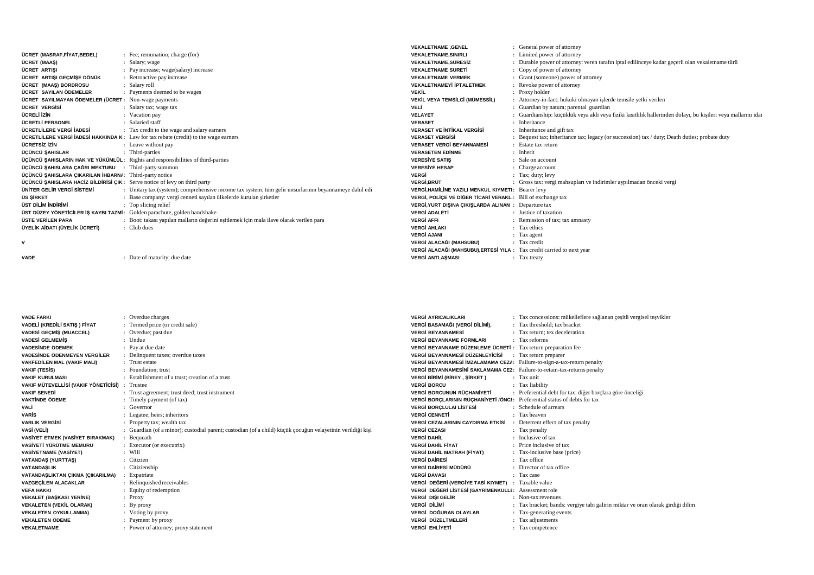|                                                                           |                                                                                                       | <b>VEKALETNAME .GENEL</b>                                              | : General power of attorney                                                                                   |
|---------------------------------------------------------------------------|-------------------------------------------------------------------------------------------------------|------------------------------------------------------------------------|---------------------------------------------------------------------------------------------------------------|
| ÜCRET (MASRAF.FİYAT.BEDEL)                                                | : Fee; remunation; charge (for)                                                                       | <b>VEKALETNAME.SINIRLI</b>                                             | : Limited power of attorney                                                                                   |
| ÜCRET (MAAS)                                                              | : Salary; wage                                                                                        | <b>VEKALETNAME.SÜRESİZ</b>                                             | : Durable power of attorney: veren tarafin iptal edilinceye kadar gecerli olan vekaletname türü               |
| ÜCRET ARTISI                                                              | : Pay increase; wage(salary) increase                                                                 | <b>VEKALETNAME SURETİ</b>                                              | : Copy of power of attorney                                                                                   |
| ÜCRET ARTISI GECMİSE DÖNÜK                                                | : Retroactive pay increase                                                                            | <b>VEKALETNAME VERMEK</b>                                              | : Grant (someone) power of attorney                                                                           |
| ÜCRET (MAAS) BORDROSU                                                     | : Salary roll                                                                                         | <b>VEKALETNAMEYİ İPTALETMEK</b>                                        | : Revoke power of attorney                                                                                    |
| ÜCRET SAYILAN ÖDEMELER                                                    | : Payments deemed to be wages                                                                         | <b>VEKİL</b>                                                           | : Proxy holder                                                                                                |
| ÜCRET SAYILMAYAN ÖDEMELER (ÜCRET: Non-wage payments                       |                                                                                                       | VEKİL VEYA TEMSİLCİ (MÜMESSİL)                                         | : Attorney-in-fact: hukuki olmayan işlerde temsile yetki verilen                                              |
| ÜCRET VERGİSİ                                                             | : Salary tax; wage tax                                                                                | VELİ                                                                   | : Guardian by natura; parental guardian                                                                       |
| ÜCRELİ İZİN                                                               | : Vacation pay                                                                                        | <b>VELAYET</b>                                                         | : Guardianship: küçüklük veya akli veya fiziki kısıtlılık hallerinden dolayı, bu kişileri veya mallarını idai |
| ÜCRETLİ PERSONEL                                                          | : Salaried staff                                                                                      | <b>VERASET</b>                                                         | : Inheritance                                                                                                 |
| ÜCRETLİLERE VERGİ İADESİ                                                  | : Tax credit to the wage and salary earners                                                           | <b>VERASET VE INTIKAL VERGISI</b>                                      | : Inheritance and gift tax                                                                                    |
|                                                                           | <b>ÜCRETLİLERE VERGİ İADESİ HAKKINDA K:</b> Law for tax rebate (credit) to the wage earners           | <b>VERASET VERGISI</b>                                                 | : Bequest tax; inheritance tax; legacy (or succession) tax / duty; Death duties; probate duty                 |
| ÜCRETSİZ İZİN                                                             | : Leave without pay                                                                                   | <b>VERASET VERGİ BEYANNAMESİ</b>                                       | : Estate tax return                                                                                           |
| ÜÇÜNCÜ ŞAHISLAR                                                           | : Third-parties                                                                                       | <b>VERASETEN EDINME</b>                                                | : Inherit                                                                                                     |
|                                                                           | ÜÇÜNCÜ ŞAHISLARIN HAK VE YÜKÜMLÜL: Rights and responsibilities of third-parties                       | <b>VERESIYE SATIS</b>                                                  | : Sale on account                                                                                             |
| ÜCÜNCÜ SAHISLARA CAĞRI MEKTUBU                                            | : Third-party summon                                                                                  | <b>VERESIYE HESAP</b>                                                  | : Charge account                                                                                              |
| ÜÇÜNCÜ ŞAHISLARA ÇIKARILAN İHBARNI: Third-party notice                    |                                                                                                       | VERGİ                                                                  | $:$ Tax; duty; levy                                                                                           |
| ÜÇÜNCÜ ŞAHISLARA HACİZ BİLDİRİSİ ÇIK: Serve notice of levy on third party |                                                                                                       | <b>VERGİ.BRÜT</b>                                                      | : Gross tax: vergi mahsupları ve indirimler aypılmadan önceki vergi                                           |
| ÜNİTER GELİR VERGİ SİSTEMİ                                                | : Unitary tax (system); comprehensive income tax system: tüm gelir unsurlarının beyannameye dahil edi | <b>VERGİ.HAMİLİNE YAZILI MENKUL KIYMETI: Bearer levv</b>               |                                                                                                               |
| ÜS SİRKET                                                                 | : Base company: vergi cenneti sayılan ülkelerde kurulan şirketler                                     | VERGİ. POLİCE VE DİĞER TİCARİ VERAKL.: Bill of exchange tax            |                                                                                                               |
| ÜST DİLİM İNDİRİMİ                                                        | : Top slicing relief                                                                                  | VERGİ, YURT DIŞINA ÇIKIŞLARDA ALINAN: Departure tax                    |                                                                                                               |
| ÜST DÜZEY YÖNETICILER İŞ KAYBI TAZMİ: Golden parachute, golden handshake  |                                                                                                       | <b>VERGİ ADALETİ</b>                                                   | : Justice of taxation                                                                                         |
| ÜSTE VERİLEN PARA                                                         | : Boot: takası yapılan malların değerini esitlemek için mala ilave olarak verilen para                | <b>VERGİ AFFI</b>                                                      | : Remission of tax; tax amnasty                                                                               |
| ÜYELİK AİDATI (ÜYELİK ÜCRETİ)                                             | $\therefore$ Club dues                                                                                | <b>VERGİ AHLAKI</b>                                                    | : Tax ethics                                                                                                  |
|                                                                           |                                                                                                       | <b>VERGİ AJANI</b>                                                     | $\therefore$ Tax agent                                                                                        |
|                                                                           |                                                                                                       | VERGİ ALACAĞI (MAHSUBU)                                                | : Tax credit                                                                                                  |
|                                                                           |                                                                                                       | VERGİ ALACAĞI (MAHSUBU), ERTESİ YILA : Tax credit carried to next year |                                                                                                               |
|                                                                           |                                                                                                       |                                                                        |                                                                                                               |

```
VADE
```
**:** Date of maturity; due date

| <b>VERGİ AFFI</b>       | : Remission of tax; tax                                        |
|-------------------------|----------------------------------------------------------------|
| <b>VERGİ AHLAKI</b>     | : Tax ethics                                                   |
| <b>VERGİ AJANI</b>      | : Tax agent                                                    |
| VERGİ ALACAĞI (MAHSUBU) | : Tax credit                                                   |
|                         |                                                                |
| <b>VERGİ ANTLAŞMASI</b> | : Tax treaty                                                   |
|                         |                                                                |
|                         |                                                                |
|                         |                                                                |
|                         |                                                                |
|                         |                                                                |
|                         |                                                                |
|                         | VERGİ ALACAĞI (MAHSUBU), ERTESİ YILA : Tax credit carried to n |

| <b>VADE FARKI</b>                              | : Overdue charges                                                                                          |
|------------------------------------------------|------------------------------------------------------------------------------------------------------------|
| VADELİ (KREDİLİ SATIŞ ) FİYAT                  | : Termed price (or credit sale)                                                                            |
| <b>VADESİ GEÇMİŞ (MUACCEL)</b>                 | : Overdue; past due                                                                                        |
| <b>VADESİ GELMEMİS</b>                         | $:$ Undue                                                                                                  |
| <b>VADESINDE ÖDEMEK</b>                        | : Pay at due date                                                                                          |
| VADESİNDE ÖDENMEYEN VERGİLER                   | : Delinquent taxes; overdue taxes                                                                          |
| <b>VAKFEDİLEN MAL (VAKIF MALI)</b>             | : Trust estate                                                                                             |
| <b>VAKIF (TESIS)</b>                           | : Foundation: trust                                                                                        |
| <b>VAKIF KURULMASI</b>                         | : Establishment of a trust: creation of a trust                                                            |
| VAKIF MÜTEVELLİSİ (VAKIF YÖNETİCİSİ) : Trustee |                                                                                                            |
| <b>VAKIF SENEDİ</b>                            | : Trust agreement; trust deed; trust instrument                                                            |
| <b>VAKTINDE ÖDEME</b>                          | : Timely payment (of tax)                                                                                  |
| VALİ                                           | $:$ Governor                                                                                               |
| <b>VARIS</b>                                   | : Legatee; heirs; inheritors                                                                               |
| <b>VARLIK VERGISI</b>                          | : Property tax; wealth tax                                                                                 |
| VASİ (VELİ)                                    | : Guardian (of a minor); custodial parent; custodian (of a child) küçük çocuğun velayetinin verildiği kişi |
| VASİYET ETMEK (VASİYET BIRAKMAK)               | : Bequeath                                                                                                 |
| VASİYETİ YÜRÜTME MEMURU                        | : Executor (or executrix)                                                                                  |
| <b>VASİYETNAME (VASİYET)</b>                   | $:$ Will                                                                                                   |
| VATANDAS (YURTTAS)                             | : Citizien                                                                                                 |
| <b>VATANDASLIK</b>                             | : Citizienship                                                                                             |
| VATANDAŞLIKTAN ÇIKMA (ÇIKARILMA)               | : Expatriate                                                                                               |
| VAZGEÇİLEN ALACAKLAR                           | : Relinquished receivables                                                                                 |
| <b>VEFA HAKKI</b>                              | : Equity of redemption                                                                                     |
| <b>VEKALET (BAŞKASI YERİNE)</b>                | $:$ Proxy                                                                                                  |
| <b>VEKALETEN (VEKİL OLARAK)</b>                | $:$ By proxy                                                                                               |
| <b>VEKALETEN OYKULLANMA)</b>                   | : Voting by proxy                                                                                          |
| <b>VEKALETEN ÖDEME</b>                         | : Payment by proxy                                                                                         |
| <b>VEKALETNAME</b>                             | : Power of attorney; proxy statement                                                                       |

| <b>VERGİ AYRICALIKLARI</b>                                                | : Tax concessions: mükelleflere sağlanan çeşitli vergisel teşvikler          |
|---------------------------------------------------------------------------|------------------------------------------------------------------------------|
| VERGİ BASAMAĞI (VERGİ DİLİMİ),                                            | Tax threshold: tax bracket                                                   |
| <b>VERGİ BEYANNAMESİ</b>                                                  | : Tax return: tex deceleration                                               |
| <b>VERGİ BEYANNAME FORMLARI</b>                                           | : Tax reforms                                                                |
| VERGİ BEYANNAME DÜZENLEME ÜCRETİ:                                         | Tax return preparation fee                                                   |
| VERGİ BEYANNAMESİ DÜZENLEYİCİSİ                                           | : Tax return preparer                                                        |
| VERGI BEYANNAMESI IMZALAMAMA CEZA: Failure-to-sign-a-tax-return penalty   |                                                                              |
| VERGİ BEYANNAMESİNİ SAKLAMAMA CEZ: Failure-to-retain-tax-returns penalty  |                                                                              |
| <b>VERGİ BİRİMİ (BİREY, ŞİRKET)</b>                                       | : Tax unit                                                                   |
| <b>VERGI BORCU</b>                                                        | Tax liability                                                                |
| VERGİ BORCUNUN RÜCHANİYETİ                                                | : Preferential debt for tax: diğer borçlara göre önceliği                    |
| VERGİ BORÇLARININ RÜÇHANİYETİ /ÖNCI: Preferential status of debts for tax |                                                                              |
| <b>VERGİ BORÇLULAI LİSTESİ</b>                                            | : Schedule of arrears                                                        |
| <b>VERGİ CENNETİ</b>                                                      | : Tax heaven                                                                 |
| <b>VERGİ CEZALARININ CAYDIRMA ETKİSİ</b>                                  | : Deterrent effect of tax penalty                                            |
| <b>VERGÍ CEZASI</b>                                                       | : Tax penalty                                                                |
| VERGÍ DAHÍI                                                               | : Inclusive of tax                                                           |
| <b>VERGİ DAHİL FİYAT</b>                                                  | : Price inclusive of tax                                                     |
| VERGİ DAHİL MATRAH (FİYAT)                                                | Tax-inclusive base (price)                                                   |
| <b>VERGİ DAİRESİ</b>                                                      | : Tax office                                                                 |
| VERGİ DAİRESİ MÜDÜRÜ                                                      | Director of tax office                                                       |
| <b>VERGİ DAVASI</b>                                                       | Tax case                                                                     |
| VERGİ DEĞERİ (VERGİYE TABİ KIYMET) :                                      | Taxable value                                                                |
| VERGİ DEĞERİ LİSTESİ (GAYRİMENKULLI: Assessment role                      |                                                                              |
| <b>VERGI DISI GELIR</b>                                                   | : Non-tax revenues                                                           |
| VERGİ DİLİMİ                                                              | Tax bracket; bands: vergiye tabi galirin miktar ve oran olarak girdiği dilim |
| VERGİ DOĞURAN OLAYLAR                                                     | Tax-generating events                                                        |
| VERGİ DÜZELTMELERİ                                                        | Tax adjustments                                                              |
| <b>VERGI EHLIYETI</b>                                                     | Tax competence                                                               |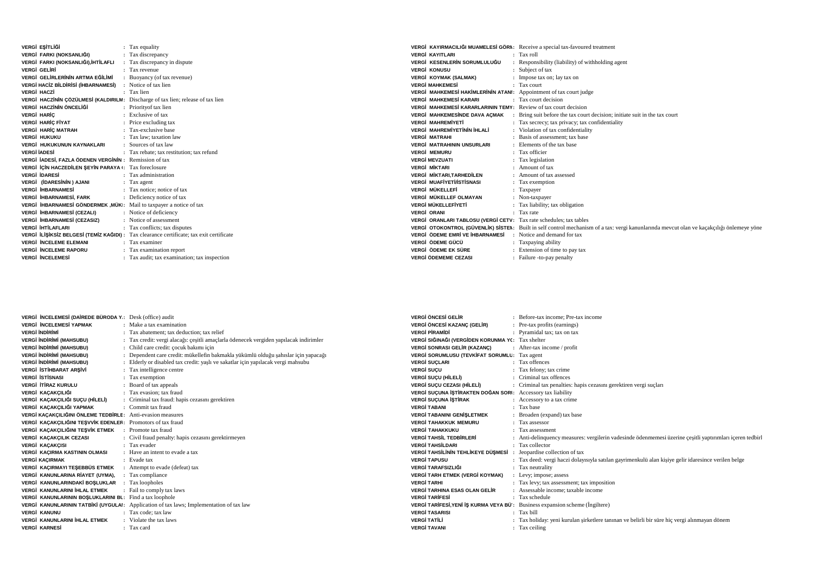| VERGİ EŞİTLİĞİ                                                                  |    | : Tax equality                                                                           |
|---------------------------------------------------------------------------------|----|------------------------------------------------------------------------------------------|
| VERGİ FARKI (NOKSANLIĞI)                                                        |    | : Tax discrepancy                                                                        |
| VERGİ FARKI (NOKSANLIĞI),İHTİLAFLI                                              | ÷. | Tax discrepancy in dispute                                                               |
| VERGİ GELİRİ                                                                    |    | · Tax revenue                                                                            |
| VERGİ GELİRLERİNİN ARTMA EĞİLİMİ                                                |    | : Buoyancy (of tax revenue)                                                              |
| <b>VERGİ HACİZ BİLDİRİSİ (İHBARNAMESİ)</b>                                      |    | : Notice of tax lien                                                                     |
| VERGÍ HACZÍ                                                                     |    | : Tax lien                                                                               |
| VERGİ HACZİNİN ÇÖZÜLMESİ (KALDIRILM: Discharge of tax lien; release of tax lien |    |                                                                                          |
| VERGİ HACZİNİN ÖNCELİĞİ                                                         |    | : Priority of tax lien                                                                   |
| <b>VERGI HARIC</b>                                                              |    | · Exclusive of tax                                                                       |
| VERGİ HARİÇ FİYAT                                                               |    | : Price excluding tax                                                                    |
| <b>VERGI HARIC MATRAH</b>                                                       |    | : Tax-exclusive base                                                                     |
| VERGİ HUKUKU                                                                    |    | : Tax law; taxation law                                                                  |
| VERGİ HUKUKUNUN KAYNAKLARI                                                      |    | : Sources of tax law                                                                     |
| <b>VERGİ İADESİ</b>                                                             |    | : Tax rebate; tax restitution; tax refund                                                |
| VERGİ İADESİ, FAZLA ÖDENEN VERGİNİN: Remission of tax                           |    |                                                                                          |
| VERGİ İÇİN HACZEDİLEN ŞEYİN PARAYA I: Tax foreclosure                           |    |                                                                                          |
| VERGİ İDARESİ                                                                   |    | : Tax administration                                                                     |
| VERGİ (İDARESİNİN) AJANI                                                        |    | : Tax agent                                                                              |
| <b>VERGİ İHBARNAMESİ</b>                                                        |    | : Tax notice; notice of tax                                                              |
| VERGİ İHBARNAMESİ, FARK                                                         |    | : Deficiency notice of tax                                                               |
| VERGİ İHBARNAMESİ GÖNDERMEK , MÜKI: Mail to taxpayer a notice of tax            |    |                                                                                          |
| VERGİ İHBARNAMESİ (CEZALI)                                                      |    | : Notice of deficiency                                                                   |
| VERGİ İHBARNAMESİ (CEZASIZ)                                                     |    | : Notice of assessment                                                                   |
| VERGİ İHTİLAFLARI                                                               |    | : Tax conflicts; tax disputes                                                            |
|                                                                                 |    | VERGİ İLİŞİKSİZ BELGESİ (TEMİZ KAĞIDI) : Tax clearance certificate; tax exit certificate |
| <b>VERGI INCELEME ELEMANI</b>                                                   |    | : Tax examiner                                                                           |
| <b>VERGI INCELEME RAPORU</b>                                                    |    | : Tax examination report                                                                 |
| VERGİ İNCELEMESİ                                                                |    | : Tax audit; tax examination; tax inspection                                             |
|                                                                                 |    |                                                                                          |

|                                                                           | VERGİ KAYIRMACILIĞI MUAMELESİ GÖRN: Receive a special tax-favoured treatment                                                              |
|---------------------------------------------------------------------------|-------------------------------------------------------------------------------------------------------------------------------------------|
| <b>VERGİ KAYITLARI</b>                                                    | $:$ Tax roll                                                                                                                              |
| VERGİ KESENLERİN SORUMLULUĞU                                              | : Responsibility (liability) of withholding agent                                                                                         |
| <b>VERGİ KONUSU</b>                                                       | : Subject of tax                                                                                                                          |
| VERGİ KOYMAK (SALMAK)                                                     | : Impose tax on; lay tax on                                                                                                               |
| <b>VERGİ MAHKEMESİ</b>                                                    | $\therefore$ Tax court                                                                                                                    |
| <b>VERGI MAHKEMESI HAKIMLERININ ATANI:</b> Appointment of tax court judge |                                                                                                                                           |
| <b>VERGİ MAHKEMESİ KARARI</b>                                             | : Tax court decision                                                                                                                      |
| <b>VERGI MAHKEMESI KARARLARININ TEMY:</b> Review of tax court decision    |                                                                                                                                           |
| VERGİ MAHKEMESİNDE DAVA AÇMAK                                             | : Bring suit before the tax court decision; initiate suit in the tax court                                                                |
| <b>VERGİ MAHREMİYETİ</b>                                                  | : Tax secrecy; tax privacy; tax confidentiality                                                                                           |
| <b>VERGI MAHREMIYETININ İHLALİ</b>                                        | : Violation of tax confidentiality                                                                                                        |
| <b>VERGI MATRAHI</b>                                                      | : Basis of assessment: tax base                                                                                                           |
| <b>VERGİ MATRAHININ UNSURLARI</b>                                         | : Elements of the tax base                                                                                                                |
| <b>VERGI MEMURU</b>                                                       | : Tax officier                                                                                                                            |
| <b>VERGİ MEVZUATI</b>                                                     | : Tax legislation                                                                                                                         |
| <b>VERGI MIKTARI</b>                                                      | $:$ Amount of tax                                                                                                                         |
| <b>VERGI MIKTARI.TARHEDILEN</b>                                           | : Amount of tax assessed                                                                                                                  |
| <b>VERGİ MUAFİYETİ/İSTİSNASI</b>                                          | : Tax exemption                                                                                                                           |
| VERGİ MÜKELLEFİ                                                           | : Taxpayer                                                                                                                                |
| VERGİ MÜKELLEF OLMAYAN                                                    | : Non-taxpayer                                                                                                                            |
| VERGİ MÜKELLEFİYETİ                                                       | : Tax liability; tax obligation                                                                                                           |
| <b>VERGI ORANI</b>                                                        | : Tax rate                                                                                                                                |
| VERGİ ORANLARI TABLOSU (VERGİ CETV: Tax rate schedules; tax tables        |                                                                                                                                           |
|                                                                           | VERGİ OTOKONTROL (GÜVENLİK) SİSTEN: Built in self control mechanism of a tax: vergi kanunlarında mevcut olan ve kaçakçılığı önlemeye yöne |
| VERGİ ÖDEME EMRİ VE İHBARNAMESİ                                           | : Notice and demand for tax                                                                                                               |
| VERGİ ÖDEME GÜCÜ                                                          | : Taxpaying ability                                                                                                                       |
| VERGİ ÖDEME EK SÜRE                                                       | : Extension of time to pay tax                                                                                                            |
| <b>VERGİ ÖDEMEME CEZASI</b>                                               | : Failure -to-pay penalty                                                                                                                 |

| <b>VERGİ İNCELEMESİ (DAİREDE BÜRODA Y.: Desk (office) audit</b> |                                                                                         | <b>VERGİ ÖNCESİ GELİR</b>                                                            | : Before-tax income: Pre-tax income                                                                      |
|-----------------------------------------------------------------|-----------------------------------------------------------------------------------------|--------------------------------------------------------------------------------------|----------------------------------------------------------------------------------------------------------|
| <b>VERGİ İNCELEMESİ YAPMAK</b>                                  | : Make a tax examination                                                                | VERGİ ÖNCESİ KAZANC (GELİR)                                                          | : Pre-tax profits (earnings)                                                                             |
| <b>VERGİ İNDİRİMİ</b>                                           | Tax abatement: tax deduction: tax relief                                                | <b>VERGÍ PÍRAMÍDÍ</b>                                                                | : Pyramidal tax: tax on tax                                                                              |
| <b>VERGİ İNDİRİMİ (MAHSUBU)</b>                                 | : Tax credit: vergi alacağı: cesitli amaclarla ödenecek vergiden yapılacak indirimler   | VERGİ SIĞINAĞI (VERGİDEN KORUNMA YC: Tax shelter                                     |                                                                                                          |
| <b>VERGİ İNDİRİMİ (MAHSUBU)</b>                                 | Child care credit: cocuk bakımı için                                                    | <b>VERGI SONRASI GELIR (KAZANÇ)</b>                                                  | $\therefore$ After-tax income / profit                                                                   |
| <b>VERGİ İNDİRİMİ (MAHSUBU)</b>                                 | Dependent care credit: mükellefin bakmakla yükümlü olduğu şahıslar için yapacağı        | VERGİ SORUMLUSU (TEVKİFAT SORUMLU: Tax agent                                         |                                                                                                          |
| <b>VERGİ İNDİRİMİ (MAHSUBU)</b>                                 | : Elderly or disabled tax credit: yash ve sakatlar için yapılacak vergi mahsubu         | <b>VERGİ SUCLARI</b>                                                                 | : Tax offences                                                                                           |
| VERGİ İSTİHBARAT ARŞİVİ                                         | : Tax intelligence centre                                                               | <b>VERGI SUCU</b>                                                                    | : Tax felony; tax crime                                                                                  |
| VERGİ İSTİSNASI                                                 | : Tax exemption                                                                         | <b>VERGI SUCU (HİLELİ)</b>                                                           | : Criminal tax offences                                                                                  |
| VERGİ İTİRAZ KURULU                                             | Board of tax appeals                                                                    | VERGİ SUÇU CEZASI (HİLELİ)                                                           | : Criminal tax penalties: hapis cezasını gerektiren vergi suçları                                        |
| VERGİ KAÇAKÇILIĞI                                               | : Tax evasion: tax fraud                                                                | VERGİ SUÇUNA İŞTİRAKTEN DOĞAN SORI: Accessory tax liability                          |                                                                                                          |
| VERGİ KAÇAKÇILIĞI SUÇU (HİLELİ)                                 | : Criminal tax fraud: hapis cezasını gerektiren                                         | <b>VERGI SUÇUNA İŞTİRAK</b>                                                          | : Accessory to a tax crime                                                                               |
| VERGİ KAÇAKÇILIĞI YAPMAK                                        | : Commit tax fraud                                                                      | <b>VERGİ TABANI</b>                                                                  | : Tax base                                                                                               |
| VERGİ KAÇAKÇILIĞINI ÖNLEME TEDBİRLE: Anti-evasion measures      |                                                                                         | <b>VERGİ TABANINI GENİSLETMEK</b>                                                    | : Broaden (expand) tax base                                                                              |
| VERGİ KAÇAKÇILIĞINI TEŞVVİK EDENLER: Promotors of tax fraud     |                                                                                         | <b>VERGİ TAHAKKUK MEMURU</b>                                                         | : Tax assessor                                                                                           |
| VERGİ KAÇAKÇILIĞINI TEŞVİK ETMEK                                | : Promote tax fraud                                                                     | <b>VERGI TAHAKKUKU</b>                                                               | : Tax assessment                                                                                         |
| VERGİ KAÇAKÇILIK CEZASI                                         | Civil fraud penalty: hapis cezasini gerektirmeyen                                       | <b>VERGİ TAHSİL TEDBİRLERİ</b>                                                       | : Anti-delinquency measures: vergilerin vadesinde ödenmemesi üzerine cesitli yaptırımları içeren tedbirl |
| VERGİ KAÇAKÇISI                                                 | : Tax evader                                                                            | <b>VERGİ TAHSİLDARI</b>                                                              | : Tax collector                                                                                          |
| VERGİ KAÇIRMA KASTININ OLMASI                                   | Have an intent to evade a tax                                                           | <b>VERGİ TAHSİLİNİN TEHLİKEYE DÜSMESİ</b>                                            | : Jeopardise collection of tax                                                                           |
| <b>VERGİ KACIRMAK</b>                                           | : Evade tax                                                                             | <b>VERGI TAPUSU</b>                                                                  | : Tax deed: vergi haczi dolayısıyla satılan gayrimenkulü alan kişiye gelir idaresince verilen belge      |
| VERGİ KAÇIRMAYI TEŞEBBÜS ETMEK                                  | Attempt to evade (defeat) tax                                                           | VERGİ TARAFSIZLIĞI                                                                   | : Tax neutrality                                                                                         |
| VERGİ KANUNLARINA RİAYET (UYMA).                                | : Tax compliance                                                                        | <b>VERGİ TARH ETMEK (VERGİ KOYMAK)</b>                                               | : Levy; impose; assess                                                                                   |
| VERGİ KANUNLARINDAKİ BOSLUKLAR                                  | Tax loopholes                                                                           | <b>VERGİ TARHI</b>                                                                   | : Tax levy; tax assessment; tax imposition                                                               |
| VERGİ KANUNLARINI İHLAL ETMEK                                   | : Fail to comply tax laws                                                               | <b>VERGI TARHINA ESAS OLAN GELIR</b>                                                 | : Assessable income: taxable income                                                                      |
| VERGİ KANUNLARININ BOŞLUKLARINI BI: Find a tax loophole         |                                                                                         | <b>VERGİ TARİFESİ</b>                                                                | : Tax schedule                                                                                           |
|                                                                 | VERGİ KANUNLARININ TATBİKİ (UYGULAI: Application of tax laws; Implementation of tax law | <b>VERGI TARIFESI, YENI IS KURMA VEYA BÜ</b> : Business expansion scheme (Ingiltere) |                                                                                                          |
| VERGİ KANUNU                                                    | : Tax code: tax law                                                                     | <b>VERGİ TASARISI</b>                                                                | : Tax bill                                                                                               |
| VERGİ KANUNLARINI İHLAL ETMEK                                   | : Violate the tax laws                                                                  | <b>VERGİ TATİLİ</b>                                                                  | : Tax holiday: yeni kurulan sirketlere tanınan ve belirli bir süre hiç vergi alınmayan dönem             |
| VERGİ KARNESİ                                                   | $\therefore$ Tax card                                                                   | <b>VERGİ TAVANI</b>                                                                  | : Tax ceiling                                                                                            |